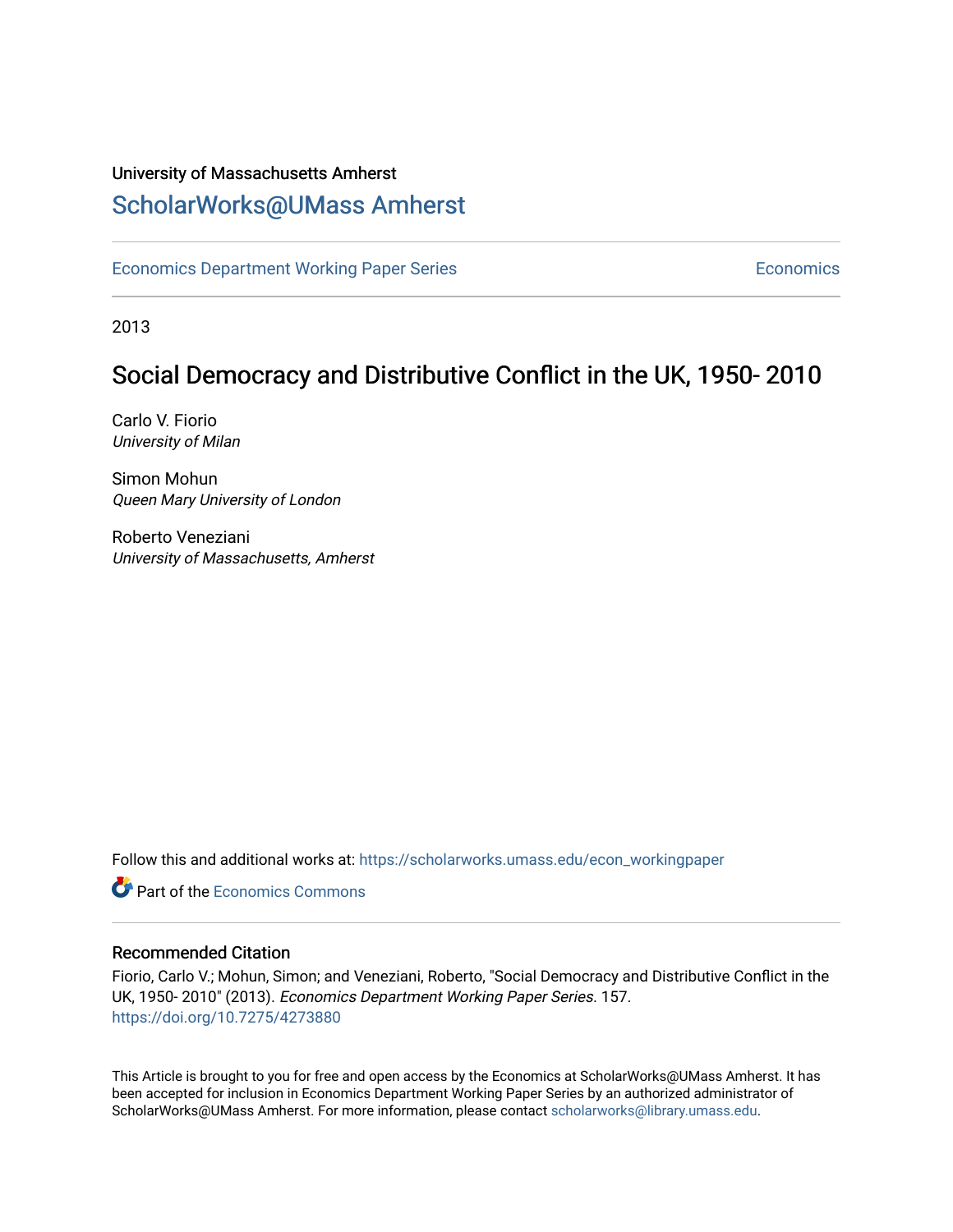# University of Massachusetts Amherst [ScholarWorks@UMass Amherst](https://scholarworks.umass.edu/)

[Economics Department Working Paper Series](https://scholarworks.umass.edu/econ_workingpaper) **Economics** Economics

2013

# Social Democracy and Distributive Conflict in the UK, 1950- 2010

Carlo V. Fiorio University of Milan

Simon Mohun Queen Mary University of London

Roberto Veneziani University of Massachusetts, Amherst

Follow this and additional works at: [https://scholarworks.umass.edu/econ\\_workingpaper](https://scholarworks.umass.edu/econ_workingpaper?utm_source=scholarworks.umass.edu%2Fecon_workingpaper%2F157&utm_medium=PDF&utm_campaign=PDFCoverPages) 

**C** Part of the [Economics Commons](http://network.bepress.com/hgg/discipline/340?utm_source=scholarworks.umass.edu%2Fecon_workingpaper%2F157&utm_medium=PDF&utm_campaign=PDFCoverPages)

#### Recommended Citation

Fiorio, Carlo V.; Mohun, Simon; and Veneziani, Roberto, "Social Democracy and Distributive Conflict in the UK, 1950- 2010" (2013). Economics Department Working Paper Series. 157. <https://doi.org/10.7275/4273880>

This Article is brought to you for free and open access by the Economics at ScholarWorks@UMass Amherst. It has been accepted for inclusion in Economics Department Working Paper Series by an authorized administrator of ScholarWorks@UMass Amherst. For more information, please contact [scholarworks@library.umass.edu.](mailto:scholarworks@library.umass.edu)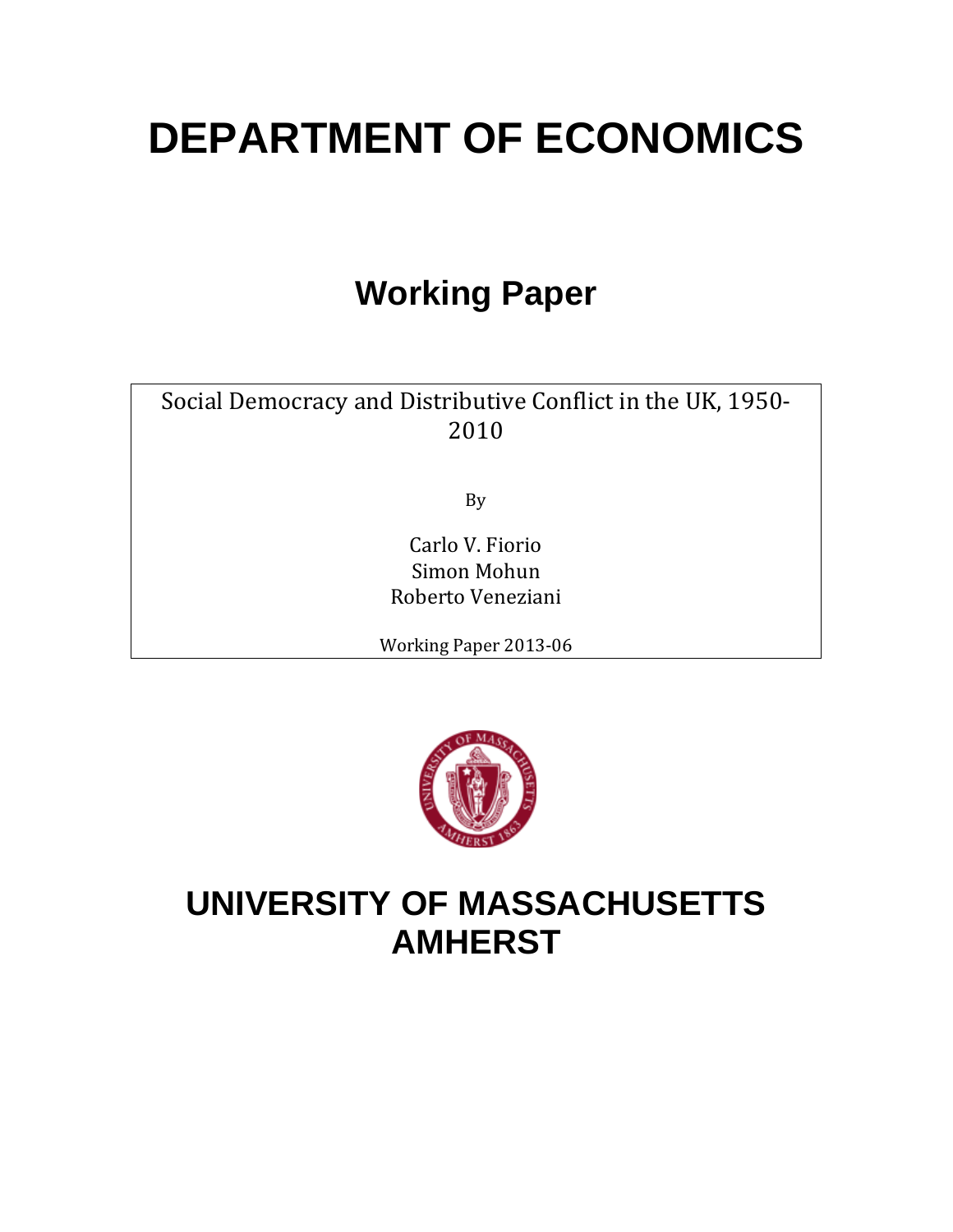# **DEPARTMENT OF ECONOMICS**

# **Working Paper**

Social Democracy and Distributive Conflict in the UK, 1950- 2010

By

Carlo V. Fiorio Simon Mohun Roberto Veneziani

Working Paper 2013-06



# **UNIVERSITY OF MASSACHUSETTS AMHERST**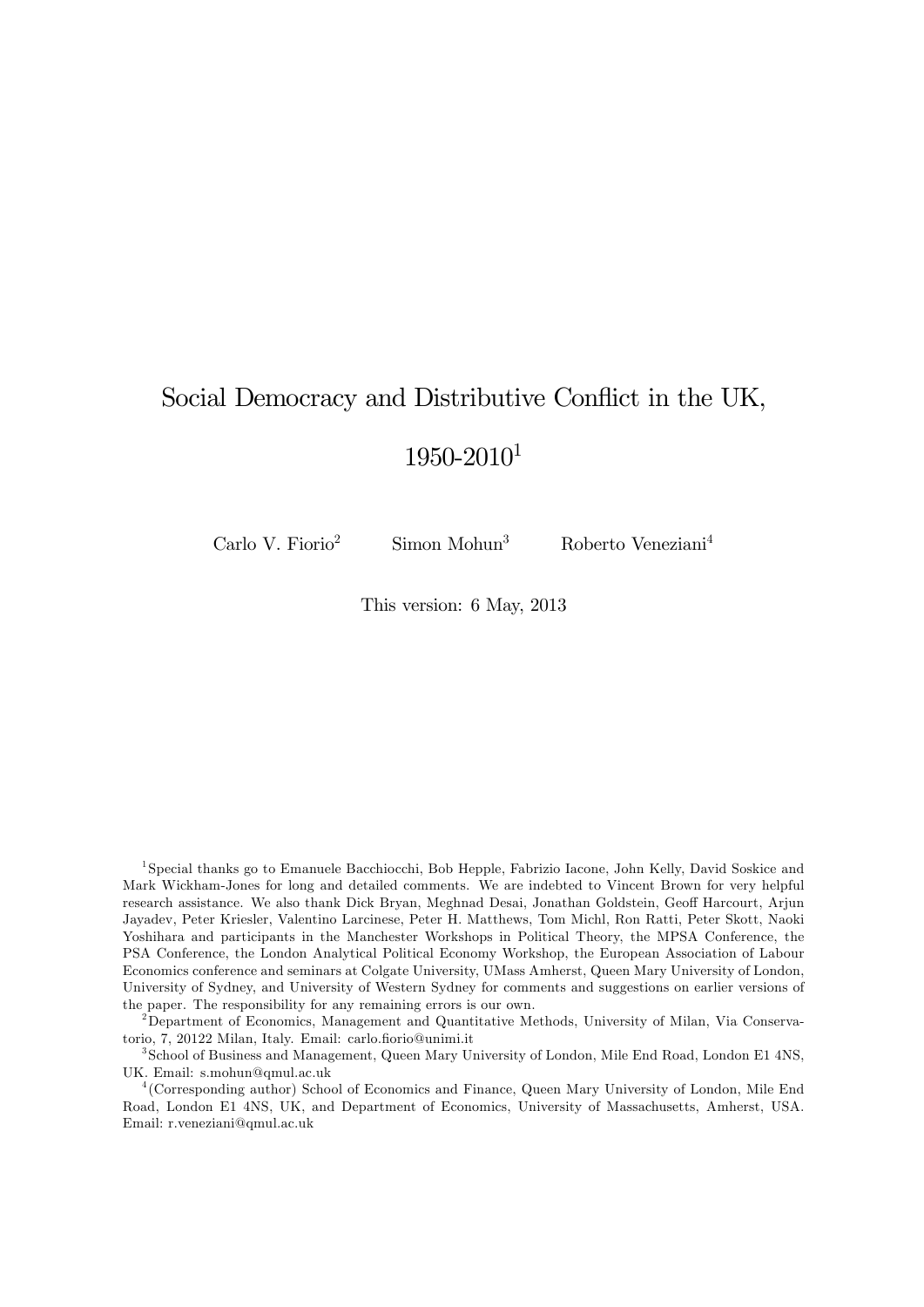# Social Democracy and Distributive Conflict in the UK, 1950-2010<sup>1</sup>

 $Carlo V. Fiorio<sup>2</sup>$  Simon Mohun<sup>3</sup> Roberto Veneziani<sup>4</sup>

This version: 6 May, 2013

1 Special thanks go to Emanuele Bacchiocchi, Bob Hepple, Fabrizio Iacone, John Kelly, David Soskice and Mark Wickham-Jones for long and detailed comments. We are indebted to Vincent Brown for very helpful research assistance. We also thank Dick Bryan, Meghnad Desai, Jonathan Goldstein, Geoff Harcourt, Arjun Jayadev, Peter Kriesler, Valentino Larcinese, Peter H. Matthews, Tom Michl, Ron Ratti, Peter Skott, Naoki Yoshihara and participants in the Manchester Workshops in Political Theory, the MPSA Conference, the PSA Conference, the London Analytical Political Economy Workshop, the European Association of Labour Economics conference and seminars at Colgate University, UMass Amherst, Queen Mary University of London, University of Sydney, and University of Western Sydney for comments and suggestions on earlier versions of the paper. The responsibility for any remaining errors is our own.

<sup>2</sup>Department of Economics, Management and Quantitative Methods, University of Milan, Via Conservatorio, 7, 20122 Milan, Italy. Email: carlo.fiorio@unimi.it

3 School of Business and Management, Queen Mary University of London, Mile End Road, London E1 4NS, UK. Email: s.mohun@qmul.ac.uk

4 (Corresponding author) School of Economics and Finance, Queen Mary University of London, Mile End Road, London E1 4NS, UK, and Department of Economics, University of Massachusetts, Amherst, USA. Email: r.veneziani@qmul.ac.uk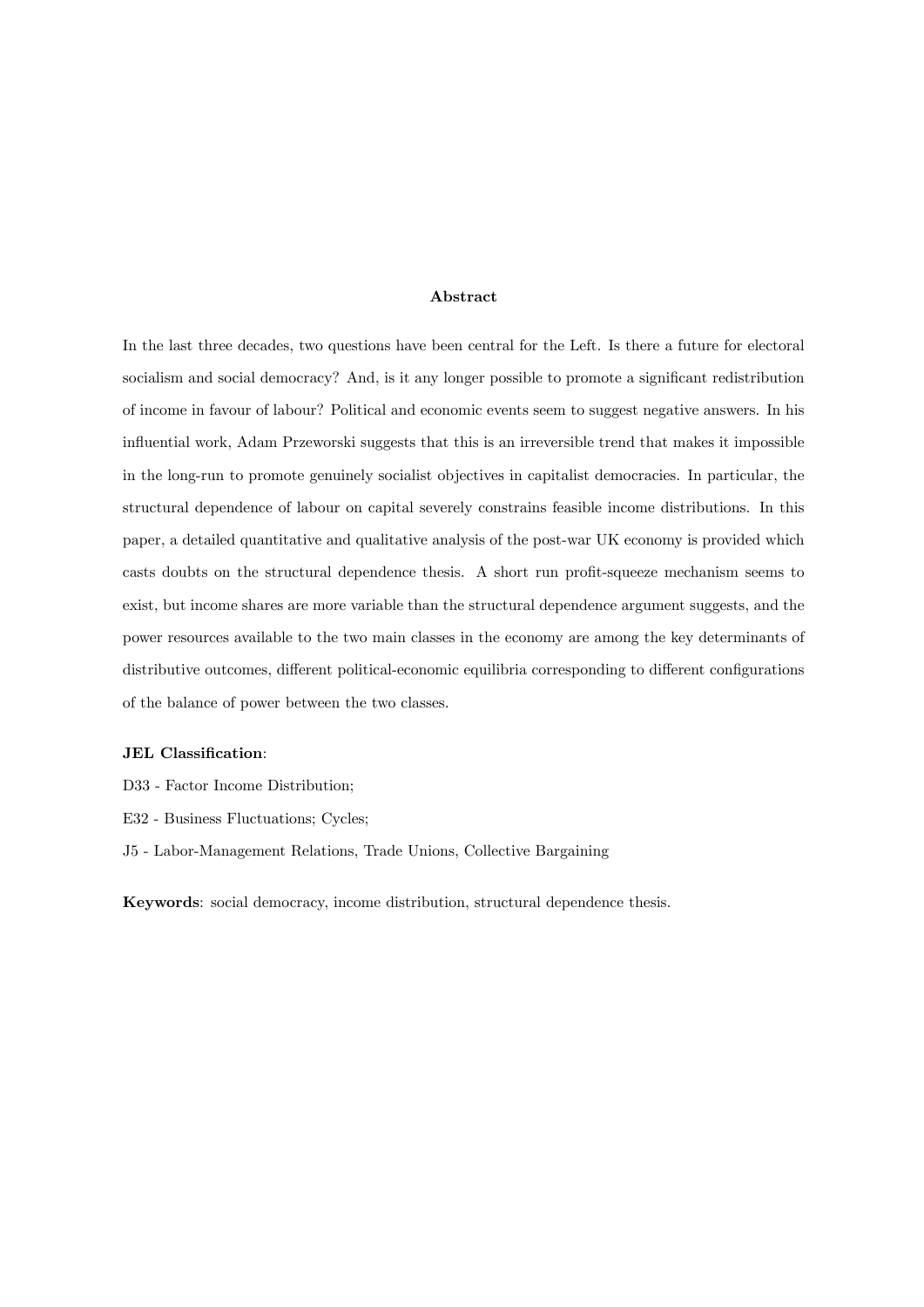#### Abstract

In the last three decades, two questions have been central for the Left. Is there a future for electoral socialism and social democracy? And, is it any longer possible to promote a significant redistribution of income in favour of labour? Political and economic events seem to suggest negative answers. In his influential work, Adam Przeworski suggests that this is an irreversible trend that makes it impossible in the long-run to promote genuinely socialist objectives in capitalist democracies. In particular, the structural dependence of labour on capital severely constrains feasible income distributions. In this paper, a detailed quantitative and qualitative analysis of the post-war UK economy is provided which casts doubts on the structural dependence thesis. A short run profit-squeeze mechanism seems to exist, but income shares are more variable than the structural dependence argument suggests, and the power resources available to the two main classes in the economy are among the key determinants of distributive outcomes, different political-economic equilibria corresponding to different configurations of the balance of power between the two classes.

#### JEL Classification:

- D33 Factor Income Distribution;
- E32 Business Fluctuations; Cycles;
- J5 Labor-Management Relations, Trade Unions, Collective Bargaining

Keywords: social democracy, income distribution, structural dependence thesis.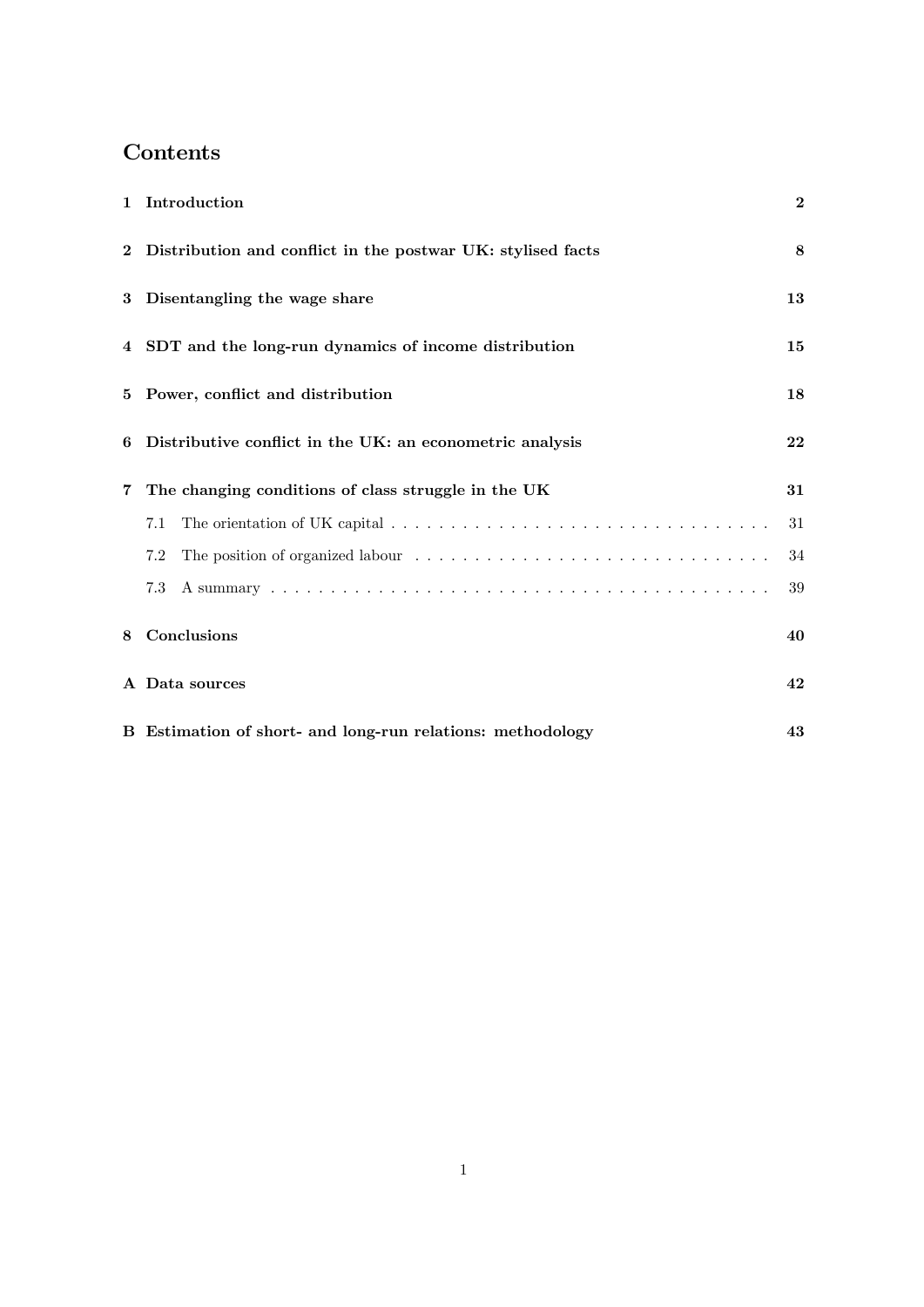# Contents

|   | 1 Introduction                                                | $\mathbf{2}$ |
|---|---------------------------------------------------------------|--------------|
|   | 2 Distribution and conflict in the postwar UK: stylised facts | 8            |
| 3 | Disentangling the wage share                                  | 13           |
|   | 4 SDT and the long-run dynamics of income distribution        | 15           |
|   | 5 Power, conflict and distribution                            | 18           |
| 6 | Distributive conflict in the UK: an econometric analysis      | 22           |
| 7 | The changing conditions of class struggle in the UK           | 31           |
|   | 7.1                                                           | 31           |
|   | 7.2                                                           | 34           |
|   | 7.3                                                           | 39           |
| 8 | Conclusions                                                   | 40           |
|   | A Data sources                                                | 42           |
|   | B Estimation of short- and long-run relations: methodology    | 43           |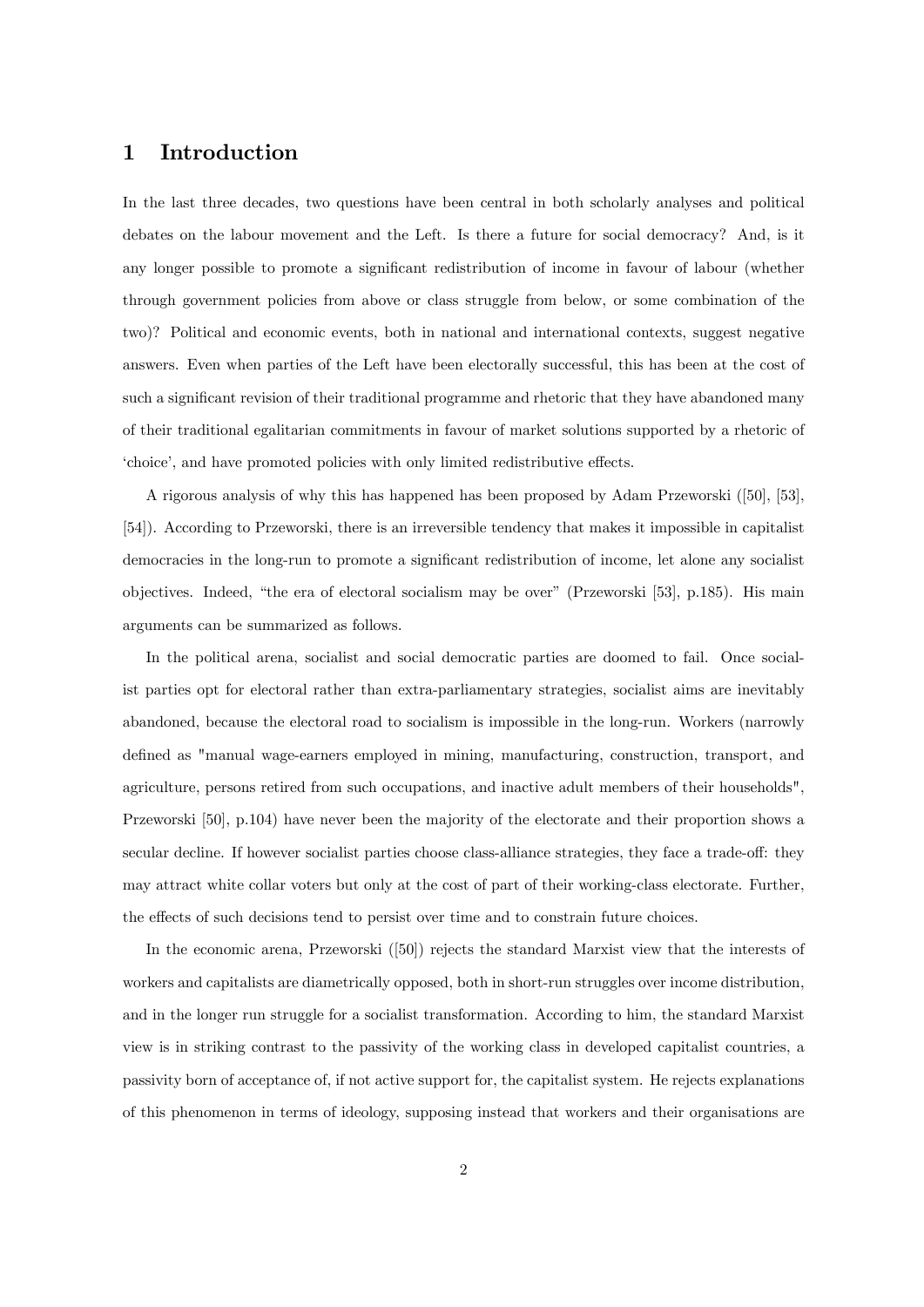### 1 Introduction

In the last three decades, two questions have been central in both scholarly analyses and political debates on the labour movement and the Left. Is there a future for social democracy? And, is it any longer possible to promote a significant redistribution of income in favour of labour (whether through government policies from above or class struggle from below, or some combination of the two)? Political and economic events, both in national and international contexts, suggest negative answers. Even when parties of the Left have been electorally successful, this has been at the cost of such a significant revision of their traditional programme and rhetoric that they have abandoned many of their traditional egalitarian commitments in favour of market solutions supported by a rhetoric of 'choice', and have promoted policies with only limited redistributive effects.

A rigorous analysis of why this has happened has been proposed by Adam Przeworski ([50], [53], [54]). According to Przeworski, there is an irreversible tendency that makes it impossible in capitalist democracies in the long-run to promote a significant redistribution of income, let alone any socialist objectives. Indeed, "the era of electoral socialism may be over" (Przeworski  $[53]$ , p.185). His main arguments can be summarized as follows.

In the political arena, socialist and social democratic parties are doomed to fail. Once socialist parties opt for electoral rather than extra-parliamentary strategies, socialist aims are inevitably abandoned, because the electoral road to socialism is impossible in the long-run. Workers (narrowly defined as "manual wage-earners employed in mining, manufacturing, construction, transport, and agriculture, persons retired from such occupations, and inactive adult members of their households", Przeworski [50], p.104) have never been the majority of the electorate and their proportion shows a secular decline. If however socialist parties choose class-alliance strategies, they face a trade-off: they may attract white collar voters but only at the cost of part of their working-class electorate. Further, the effects of such decisions tend to persist over time and to constrain future choices.

In the economic arena, Przeworski ([50]) rejects the standard Marxist view that the interests of workers and capitalists are diametrically opposed, both in short-run struggles over income distribution, and in the longer run struggle for a socialist transformation. According to him, the standard Marxist view is in striking contrast to the passivity of the working class in developed capitalist countries, a passivity born of acceptance of, if not active support for, the capitalist system. He rejects explanations of this phenomenon in terms of ideology, supposing instead that workers and their organisations are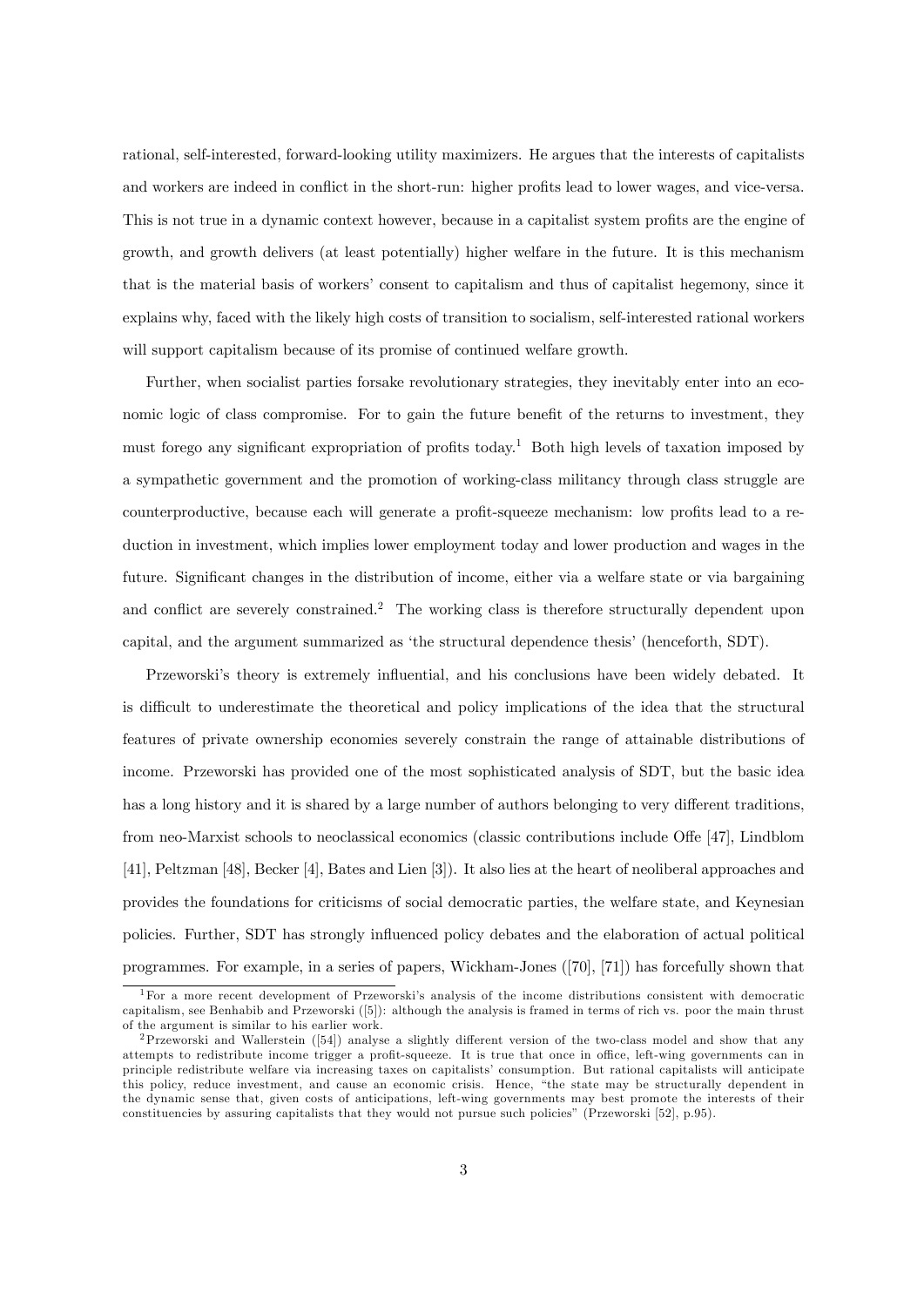rational, self-interested, forward-looking utility maximizers. He argues that the interests of capitalists and workers are indeed in conflict in the short-run: higher profits lead to lower wages, and vice-versa. This is not true in a dynamic context however, because in a capitalist system profits are the engine of growth, and growth delivers (at least potentially) higher welfare in the future. It is this mechanism that is the material basis of workers' consent to capitalism and thus of capitalist hegemony, since it explains why, faced with the likely high costs of transition to socialism, self-interested rational workers will support capitalism because of its promise of continued welfare growth.

Further, when socialist parties forsake revolutionary strategies, they inevitably enter into an economic logic of class compromise. For to gain the future benefit of the returns to investment, they must forego any significant expropriation of profits today.<sup>1</sup> Both high levels of taxation imposed by a sympathetic government and the promotion of working-class militancy through class struggle are counterproductive, because each will generate a profit-squeeze mechanism: low profits lead to a reduction in investment, which implies lower employment today and lower production and wages in the future. Significant changes in the distribution of income, either via a welfare state or via bargaining and conflict are severely constrained.<sup>2</sup> The working class is therefore structurally dependent upon capital, and the argument summarized as 'the structural dependence thesis' (henceforth, SDT).

Przeworski's theory is extremely influential, and his conclusions have been widely debated. It is difficult to underestimate the theoretical and policy implications of the idea that the structural features of private ownership economies severely constrain the range of attainable distributions of income. Przeworski has provided one of the most sophisticated analysis of SDT, but the basic idea has a long history and it is shared by a large number of authors belonging to very different traditions, from neo-Marxist schools to neoclassical economics (classic contributions include Offe [47], Lindblom [41], Peltzman [48], Becker [4], Bates and Lien [3]). It also lies at the heart of neoliberal approaches and provides the foundations for criticisms of social democratic parties, the welfare state, and Keynesian policies. Further, SDT has strongly ináuenced policy debates and the elaboration of actual political programmes. For example, in a series of papers, Wickham-Jones ([70], [71]) has forcefully shown that

<sup>&</sup>lt;sup>1</sup>For a more recent development of Przeworski's analysis of the income distributions consistent with democratic capitalism, see Benhabib and Przeworski ([5]): although the analysis is framed in terms of rich vs. poor the main thrust of the argument is similar to his earlier work.

<sup>&</sup>lt;sup>2</sup>Przeworski and Wallerstein ([54]) analyse a slightly different version of the two-class model and show that any attempts to redistribute income trigger a profit-squeeze. It is true that once in office, left-wing governments can in principle redistribute welfare via increasing taxes on capitalistsí consumption. But rational capitalists will anticipate this policy, reduce investment, and cause an economic crisis. Hence, "the state may be structurally dependent in the dynamic sense that, given costs of anticipations, left-wing governments may best promote the interests of their constituencies by assuring capitalists that they would not pursue such policiesî (Przeworski [52], p.95).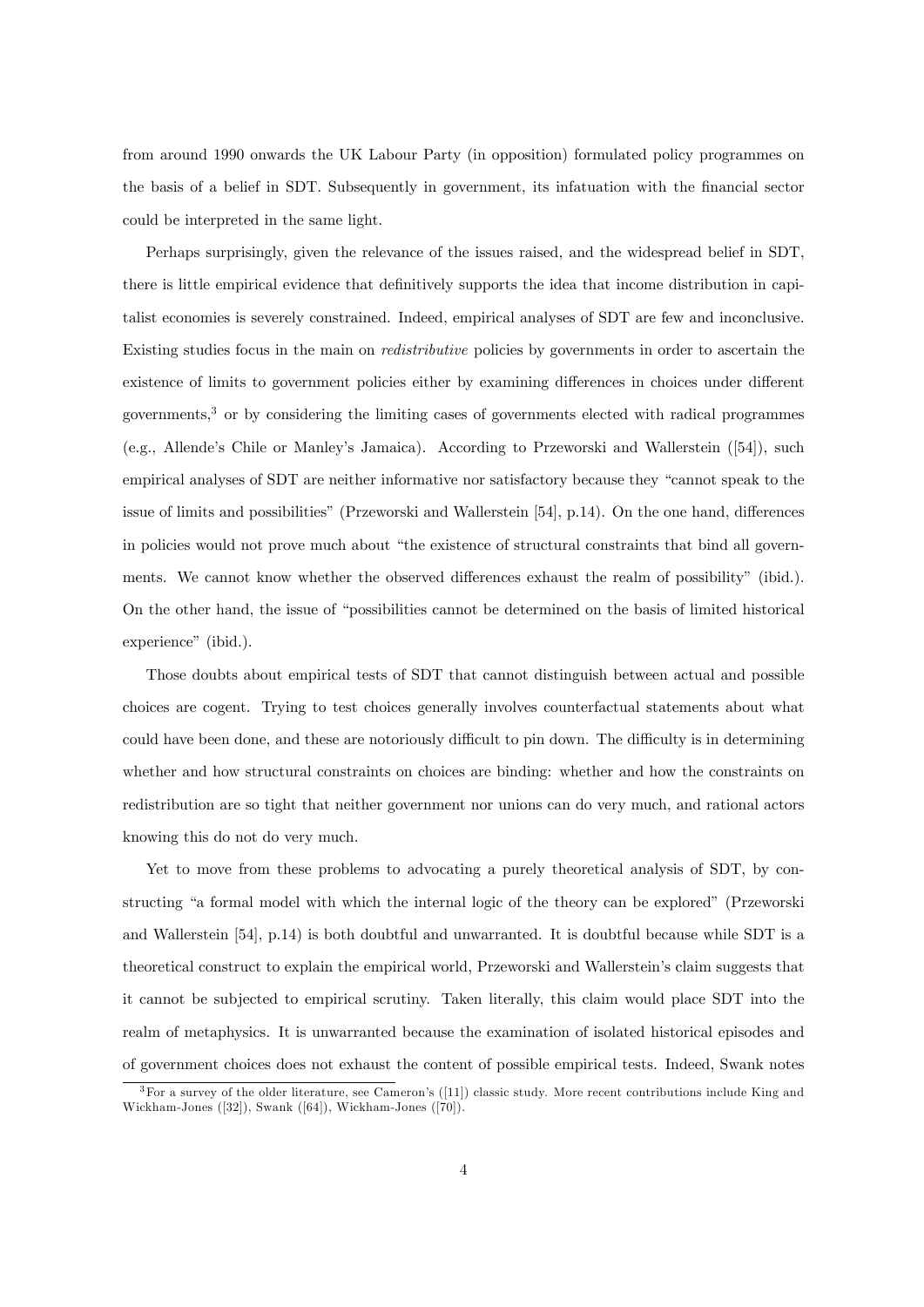from around 1990 onwards the UK Labour Party (in opposition) formulated policy programmes on the basis of a belief in SDT. Subsequently in government, its infatuation with the financial sector could be interpreted in the same light.

Perhaps surprisingly, given the relevance of the issues raised, and the widespread belief in SDT, there is little empirical evidence that definitively supports the idea that income distribution in capitalist economies is severely constrained. Indeed, empirical analyses of SDT are few and inconclusive. Existing studies focus in the main on redistributive policies by governments in order to ascertain the existence of limits to government policies either by examining differences in choices under different governments,<sup>3</sup> or by considering the limiting cases of governments elected with radical programmes (e.g., Allendeís Chile or Manleyís Jamaica). According to Przeworski and Wallerstein ([54]), such empirical analyses of SDT are neither informative nor satisfactory because they "cannot speak to the issue of limits and possibilities" (Przeworski and Wallerstein  $[54]$ , p.14). On the one hand, differences in policies would not prove much about "the existence of structural constraints that bind all governments. We cannot know whether the observed differences exhaust the realm of possibility" (ibid.). On the other hand, the issue of "possibilities cannot be determined on the basis of limited historical experience" (ibid.).

Those doubts about empirical tests of SDT that cannot distinguish between actual and possible choices are cogent. Trying to test choices generally involves counterfactual statements about what could have been done, and these are notoriously difficult to pin down. The difficulty is in determining whether and how structural constraints on choices are binding: whether and how the constraints on redistribution are so tight that neither government nor unions can do very much, and rational actors knowing this do not do very much.

Yet to move from these problems to advocating a purely theoretical analysis of SDT, by constructing "a formal model with which the internal logic of the theory can be explored" (Przeworski and Wallerstein [54], p.14) is both doubtful and unwarranted. It is doubtful because while SDT is a theoretical construct to explain the empirical world, Przeworski and Wallersteinís claim suggests that it cannot be subjected to empirical scrutiny. Taken literally, this claim would place SDT into the realm of metaphysics. It is unwarranted because the examination of isolated historical episodes and of government choices does not exhaust the content of possible empirical tests. Indeed, Swank notes

 $3$  For a survey of the older literature, see Cameron's ([11]) classic study. More recent contributions include King and Wickham-Jones ([32]), Swank ([64]), Wickham-Jones ([70]).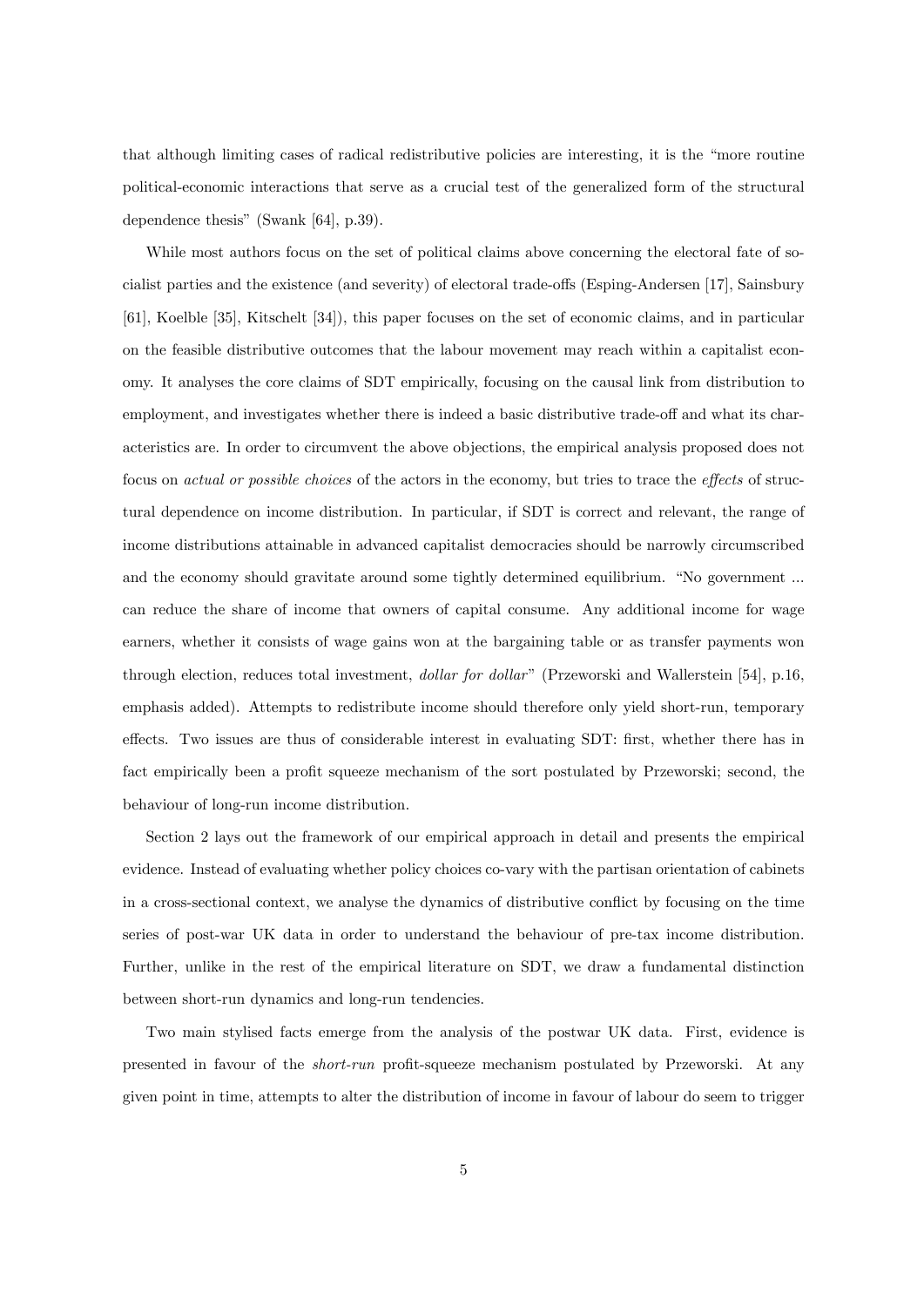that although limiting cases of radical redistributive policies are interesting, it is the "more routine" political-economic interactions that serve as a crucial test of the generalized form of the structural dependence thesis" (Swank  $[64]$ , p.39).

While most authors focus on the set of political claims above concerning the electoral fate of socialist parties and the existence (and severity) of electoral trade-offs (Esping-Andersen [17], Sainsbury [61], Koelble [35], Kitschelt [34]), this paper focuses on the set of economic claims, and in particular on the feasible distributive outcomes that the labour movement may reach within a capitalist economy. It analyses the core claims of SDT empirically, focusing on the causal link from distribution to employment, and investigates whether there is indeed a basic distributive trade-off and what its characteristics are. In order to circumvent the above objections, the empirical analysis proposed does not focus on *actual or possible choices* of the actors in the economy, but tries to trace the *effects* of structural dependence on income distribution. In particular, if SDT is correct and relevant, the range of income distributions attainable in advanced capitalist democracies should be narrowly circumscribed and the economy should gravitate around some tightly determined equilibrium. "No government ... can reduce the share of income that owners of capital consume. Any additional income for wage earners, whether it consists of wage gains won at the bargaining table or as transfer payments won through election, reduces total investment, *dollar for dollar*" (Przeworski and Wallerstein [54], p.16, emphasis added). Attempts to redistribute income should therefore only yield short-run, temporary effects. Two issues are thus of considerable interest in evaluating SDT: first, whether there has in fact empirically been a profit squeeze mechanism of the sort postulated by Przeworski; second, the behaviour of long-run income distribution.

Section 2 lays out the framework of our empirical approach in detail and presents the empirical evidence. Instead of evaluating whether policy choices co-vary with the partisan orientation of cabinets in a cross-sectional context, we analyse the dynamics of distributive conflict by focusing on the time series of post-war UK data in order to understand the behaviour of pre-tax income distribution. Further, unlike in the rest of the empirical literature on SDT, we draw a fundamental distinction between short-run dynamics and long-run tendencies.

Two main stylised facts emerge from the analysis of the postwar UK data. First, evidence is presented in favour of the *short-run* profit-squeeze mechanism postulated by Przeworski. At any given point in time, attempts to alter the distribution of income in favour of labour do seem to trigger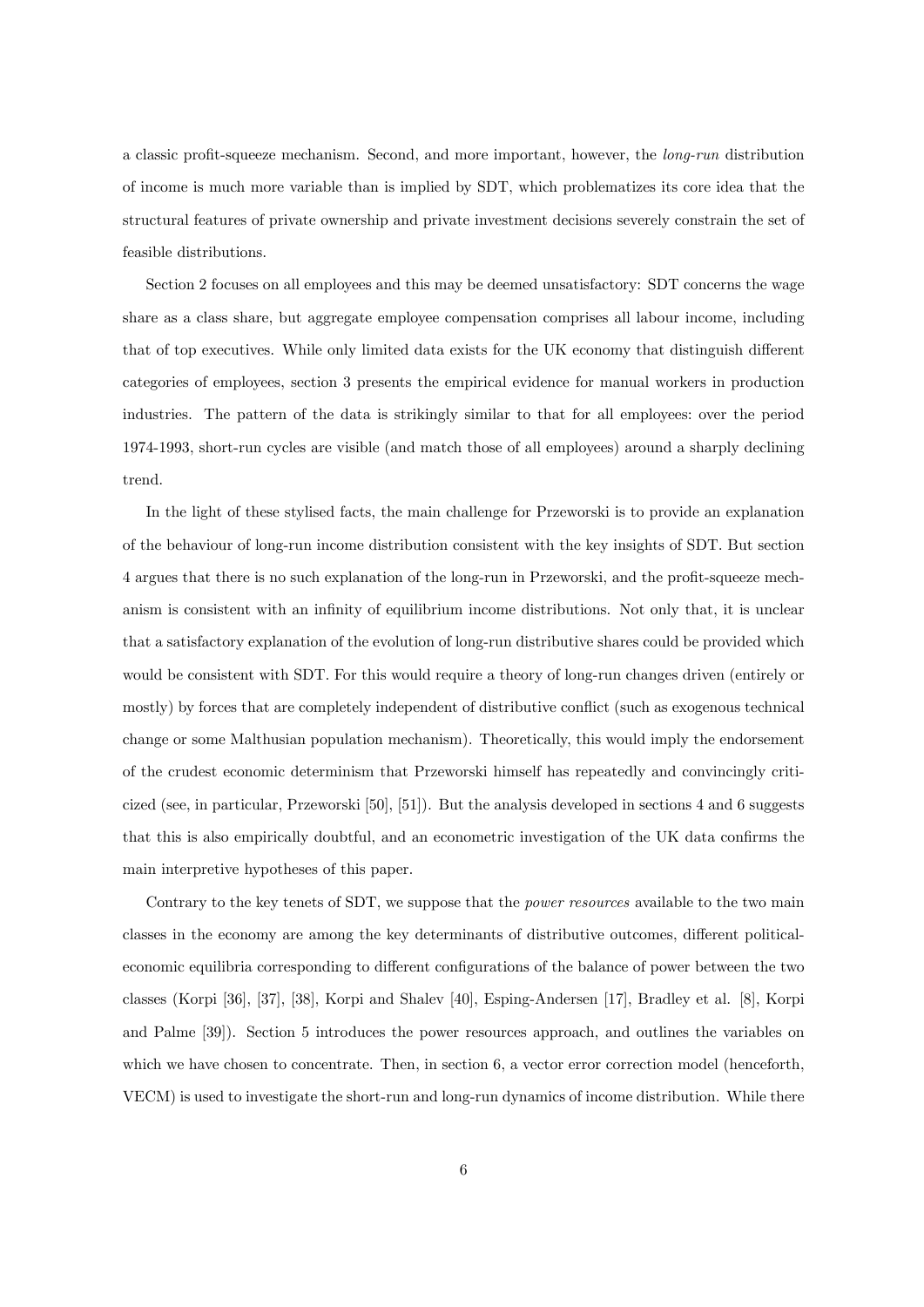a classic profit-squeeze mechanism. Second, and more important, however, the *long-run* distribution of income is much more variable than is implied by SDT, which problematizes its core idea that the structural features of private ownership and private investment decisions severely constrain the set of feasible distributions.

Section 2 focuses on all employees and this may be deemed unsatisfactory: SDT concerns the wage share as a class share, but aggregate employee compensation comprises all labour income, including that of top executives. While only limited data exists for the UK economy that distinguish different categories of employees, section 3 presents the empirical evidence for manual workers in production industries. The pattern of the data is strikingly similar to that for all employees: over the period 1974-1993, short-run cycles are visible (and match those of all employees) around a sharply declining trend.

In the light of these stylised facts, the main challenge for Przeworski is to provide an explanation of the behaviour of long-run income distribution consistent with the key insights of SDT. But section 4 argues that there is no such explanation of the long-run in Przeworski, and the profit-squeeze mechanism is consistent with an infinity of equilibrium income distributions. Not only that, it is unclear that a satisfactory explanation of the evolution of long-run distributive shares could be provided which would be consistent with SDT. For this would require a theory of long-run changes driven (entirely or mostly) by forces that are completely independent of distributive conflict (such as exogenous technical change or some Malthusian population mechanism). Theoretically, this would imply the endorsement of the crudest economic determinism that Przeworski himself has repeatedly and convincingly criticized (see, in particular, Przeworski [50], [51]). But the analysis developed in sections 4 and 6 suggests that this is also empirically doubtful, and an econometric investigation of the UK data confirms the main interpretive hypotheses of this paper.

Contrary to the key tenets of SDT, we suppose that the *power resources* available to the two main classes in the economy are among the key determinants of distributive outcomes, different politicaleconomic equilibria corresponding to different configurations of the balance of power between the two classes (Korpi [36], [37], [38], Korpi and Shalev [40], Esping-Andersen [17], Bradley et al. [8], Korpi and Palme [39]). Section 5 introduces the power resources approach, and outlines the variables on which we have chosen to concentrate. Then, in section 6, a vector error correction model (henceforth, VECM) is used to investigate the short-run and long-run dynamics of income distribution. While there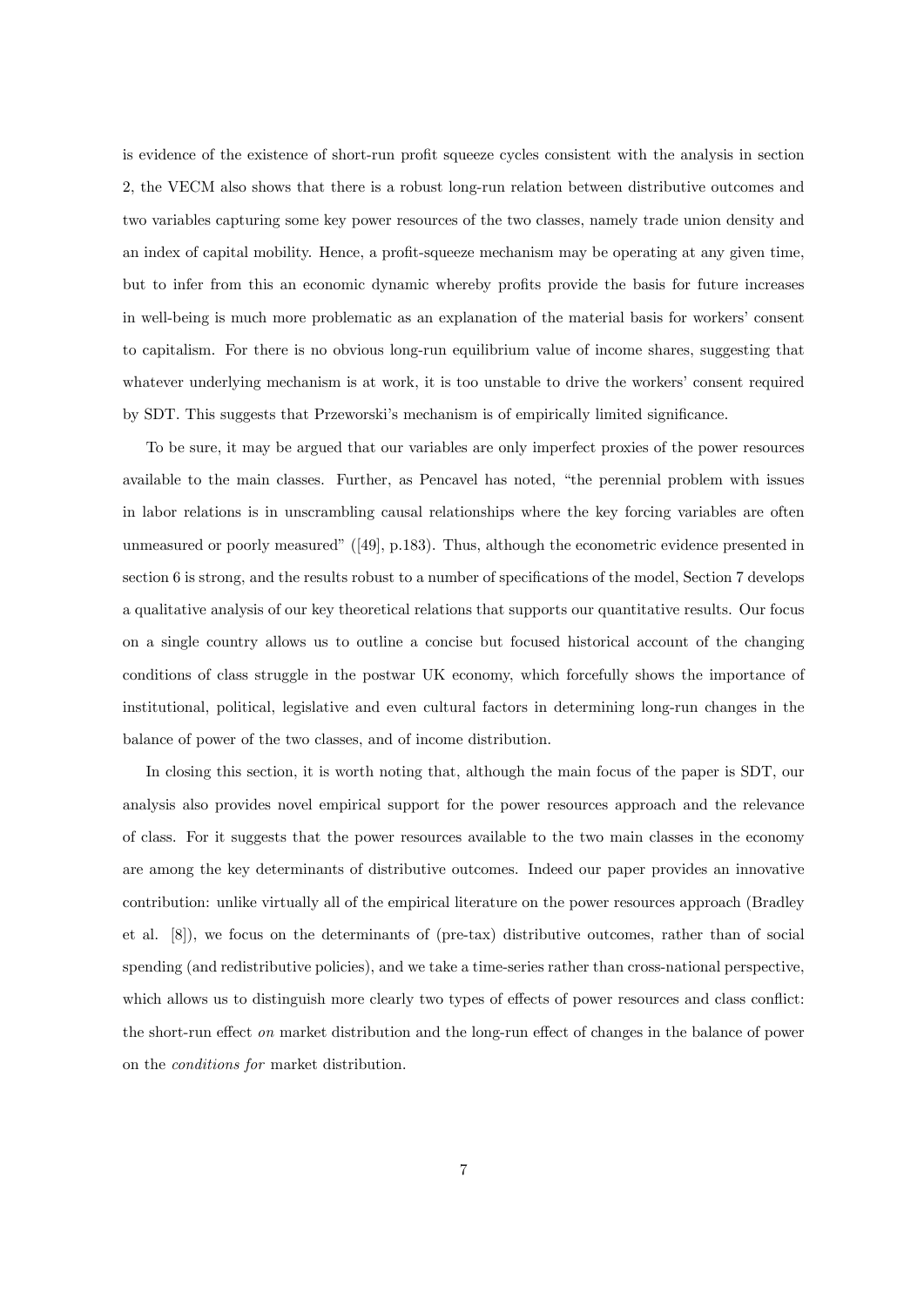is evidence of the existence of short-run profit squeeze cycles consistent with the analysis in section 2, the VECM also shows that there is a robust long-run relation between distributive outcomes and two variables capturing some key power resources of the two classes, namely trade union density and an index of capital mobility. Hence, a profit-squeeze mechanism may be operating at any given time, but to infer from this an economic dynamic whereby profits provide the basis for future increases in well-being is much more problematic as an explanation of the material basis for workers' consent to capitalism. For there is no obvious long-run equilibrium value of income shares, suggesting that whatever underlying mechanism is at work, it is too unstable to drive the workers' consent required by SDT. This suggests that Przeworski's mechanism is of empirically limited significance.

To be sure, it may be argued that our variables are only imperfect proxies of the power resources available to the main classes. Further, as Pencavel has noted, "the perennial problem with issues in labor relations is in unscrambling causal relationships where the key forcing variables are often unmeasured or poorly measured"  $(149)$ , p.183). Thus, although the econometric evidence presented in section 6 is strong, and the results robust to a number of specifications of the model, Section 7 develops a qualitative analysis of our key theoretical relations that supports our quantitative results. Our focus on a single country allows us to outline a concise but focused historical account of the changing conditions of class struggle in the postwar UK economy, which forcefully shows the importance of institutional, political, legislative and even cultural factors in determining long-run changes in the balance of power of the two classes, and of income distribution.

In closing this section, it is worth noting that, although the main focus of the paper is SDT, our analysis also provides novel empirical support for the power resources approach and the relevance of class. For it suggests that the power resources available to the two main classes in the economy are among the key determinants of distributive outcomes. Indeed our paper provides an innovative contribution: unlike virtually all of the empirical literature on the power resources approach (Bradley et al. [8]), we focus on the determinants of (pre-tax) distributive outcomes, rather than of social spending (and redistributive policies), and we take a time-series rather than cross-national perspective, which allows us to distinguish more clearly two types of effects of power resources and class conflict: the short-run effect *on* market distribution and the long-run effect of changes in the balance of power on the conditions for market distribution.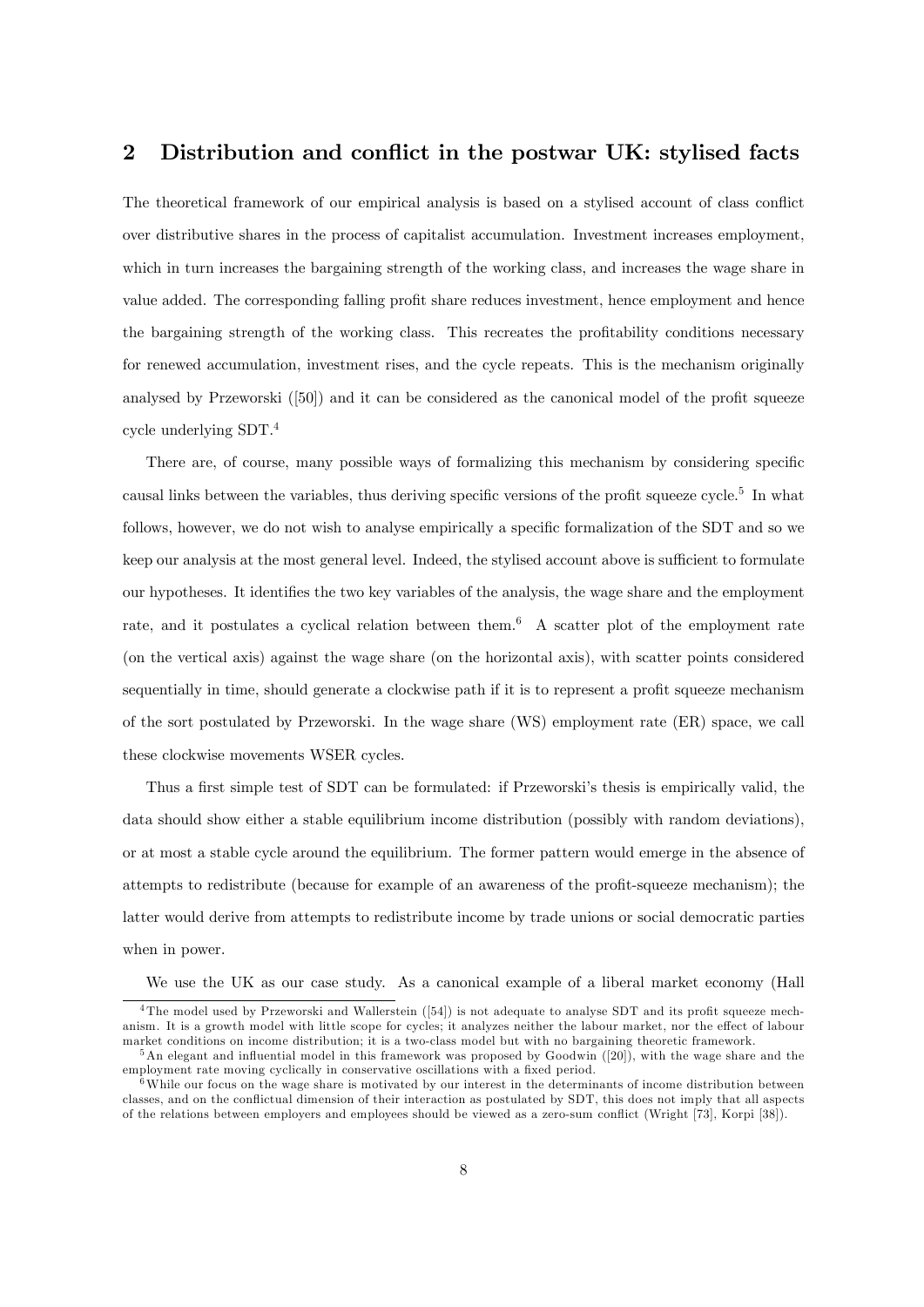### 2 Distribution and conflict in the postwar UK: stylised facts

The theoretical framework of our empirical analysis is based on a stylised account of class conflict over distributive shares in the process of capitalist accumulation. Investment increases employment, which in turn increases the bargaining strength of the working class, and increases the wage share in value added. The corresponding falling profit share reduces investment, hence employment and hence the bargaining strength of the working class. This recreates the profitability conditions necessary for renewed accumulation, investment rises, and the cycle repeats. This is the mechanism originally analysed by Przeworski  $(50)$  and it can be considered as the canonical model of the profit squeeze cycle underlying SDT.<sup>4</sup>

There are, of course, many possible ways of formalizing this mechanism by considering specific causal links between the variables, thus deriving specific versions of the profit squeeze cycle.<sup>5</sup> In what follows, however, we do not wish to analyse empirically a specific formalization of the SDT and so we keep our analysis at the most general level. Indeed, the stylised account above is sufficient to formulate our hypotheses. It identifies the two key variables of the analysis, the wage share and the employment rate, and it postulates a cyclical relation between them.<sup>6</sup> A scatter plot of the employment rate (on the vertical axis) against the wage share (on the horizontal axis), with scatter points considered sequentially in time, should generate a clockwise path if it is to represent a profit squeeze mechanism of the sort postulated by Przeworski. In the wage share (WS) employment rate (ER) space, we call these clockwise movements WSER cycles.

Thus a first simple test of SDT can be formulated: if Przeworski's thesis is empirically valid, the data should show either a stable equilibrium income distribution (possibly with random deviations), or at most a stable cycle around the equilibrium. The former pattern would emerge in the absence of attempts to redistribute (because for example of an awareness of the profit-squeeze mechanism); the latter would derive from attempts to redistribute income by trade unions or social democratic parties when in power.

We use the UK as our case study. As a canonical example of a liberal market economy (Hall

 $4$ The model used by Przeworski and Wallerstein ([54]) is not adequate to analyse SDT and its profit squeeze mechanism. It is a growth model with little scope for cycles; it analyzes neither the labour market, nor the effect of labour market conditions on income distribution; it is a two-class model but with no bargaining theoretic framework.

 $5$ An elegant and influential model in this framework was proposed by Goodwin ([20]), with the wage share and the employment rate moving cyclically in conservative oscillations with a fixed period.

<sup>&</sup>lt;sup>6</sup>While our focus on the wage share is motivated by our interest in the determinants of income distribution between classes, and on the conflictual dimension of their interaction as postulated by SDT, this does not imply that all aspects of the relations between employers and employees should be viewed as a zero-sum conáict (Wright [73], Korpi [38]).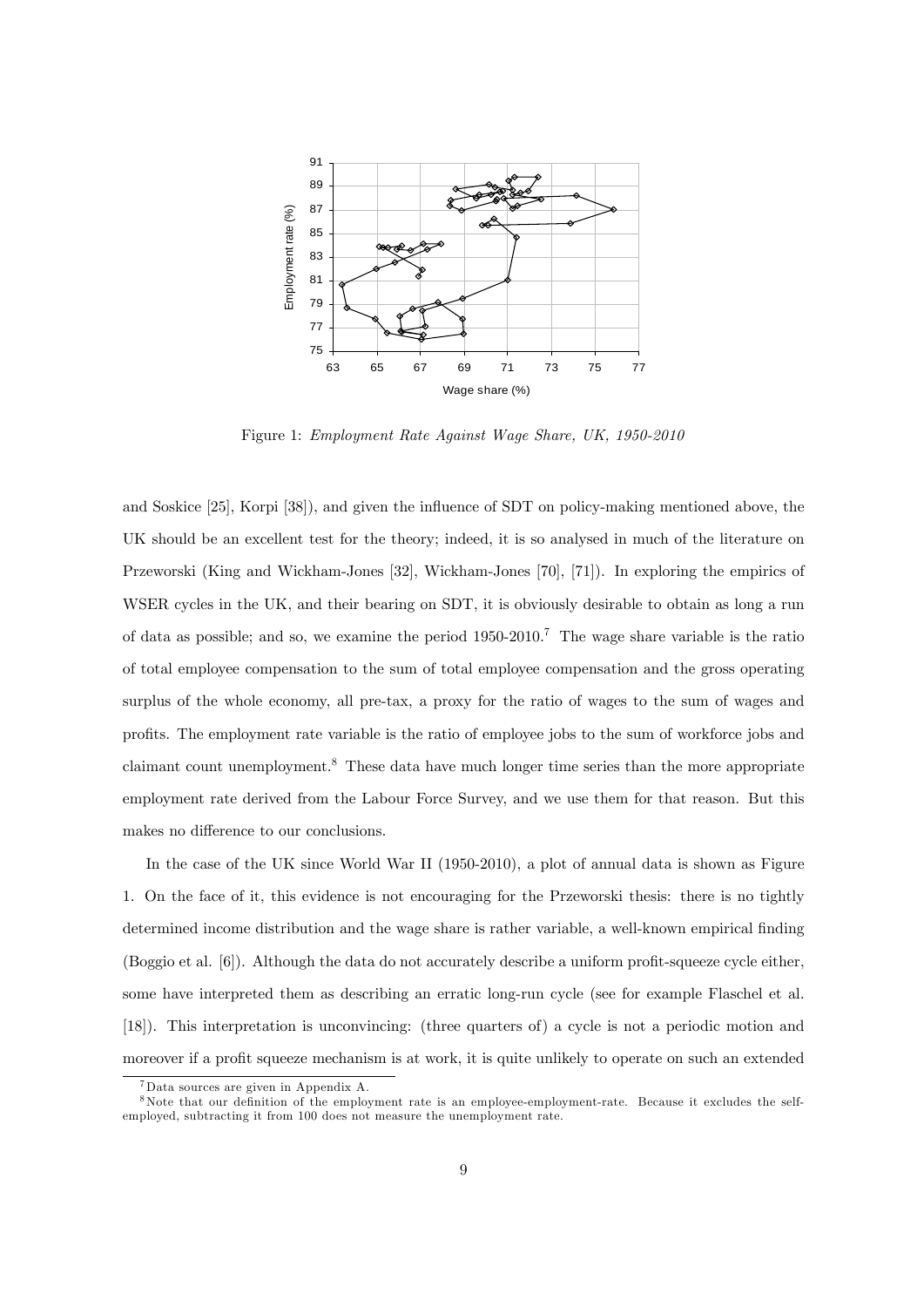

Figure 1: Employment Rate Against Wage Share, UK, 1950-2010

and Soskice [25], Korpi [38]), and given the influence of SDT on policy-making mentioned above, the UK should be an excellent test for the theory; indeed, it is so analysed in much of the literature on Przeworski (King and Wickham-Jones [32], Wickham-Jones [70], [71]). In exploring the empirics of WSER cycles in the UK, and their bearing on SDT, it is obviously desirable to obtain as long a run of data as possible; and so, we examine the period  $1950-2010$ .<sup>7</sup> The wage share variable is the ratio of total employee compensation to the sum of total employee compensation and the gross operating surplus of the whole economy, all pre-tax, a proxy for the ratio of wages to the sum of wages and profits. The employment rate variable is the ratio of employee jobs to the sum of workforce jobs and claimant count unemployment.<sup>8</sup> These data have much longer time series than the more appropriate employment rate derived from the Labour Force Survey, and we use them for that reason. But this makes no difference to our conclusions.

In the case of the UK since World War II (1950-2010), a plot of annual data is shown as Figure 1. On the face of it, this evidence is not encouraging for the Przeworski thesis: there is no tightly determined income distribution and the wage share is rather variable, a well-known empirical finding (Boggio et al.  $[6]$ ). Although the data do not accurately describe a uniform profit-squeeze cycle either, some have interpreted them as describing an erratic long-run cycle (see for example Flaschel et al. [18]). This interpretation is unconvincing: (three quarters of) a cycle is not a periodic motion and moreover if a profit squeeze mechanism is at work, it is quite unlikely to operate on such an extended

<sup>7</sup>Data sources are given in Appendix A.

<sup>&</sup>lt;sup>8</sup>Note that our definition of the employment rate is an employee-employment-rate. Because it excludes the selfemployed, subtracting it from 100 does not measure the unemployment rate.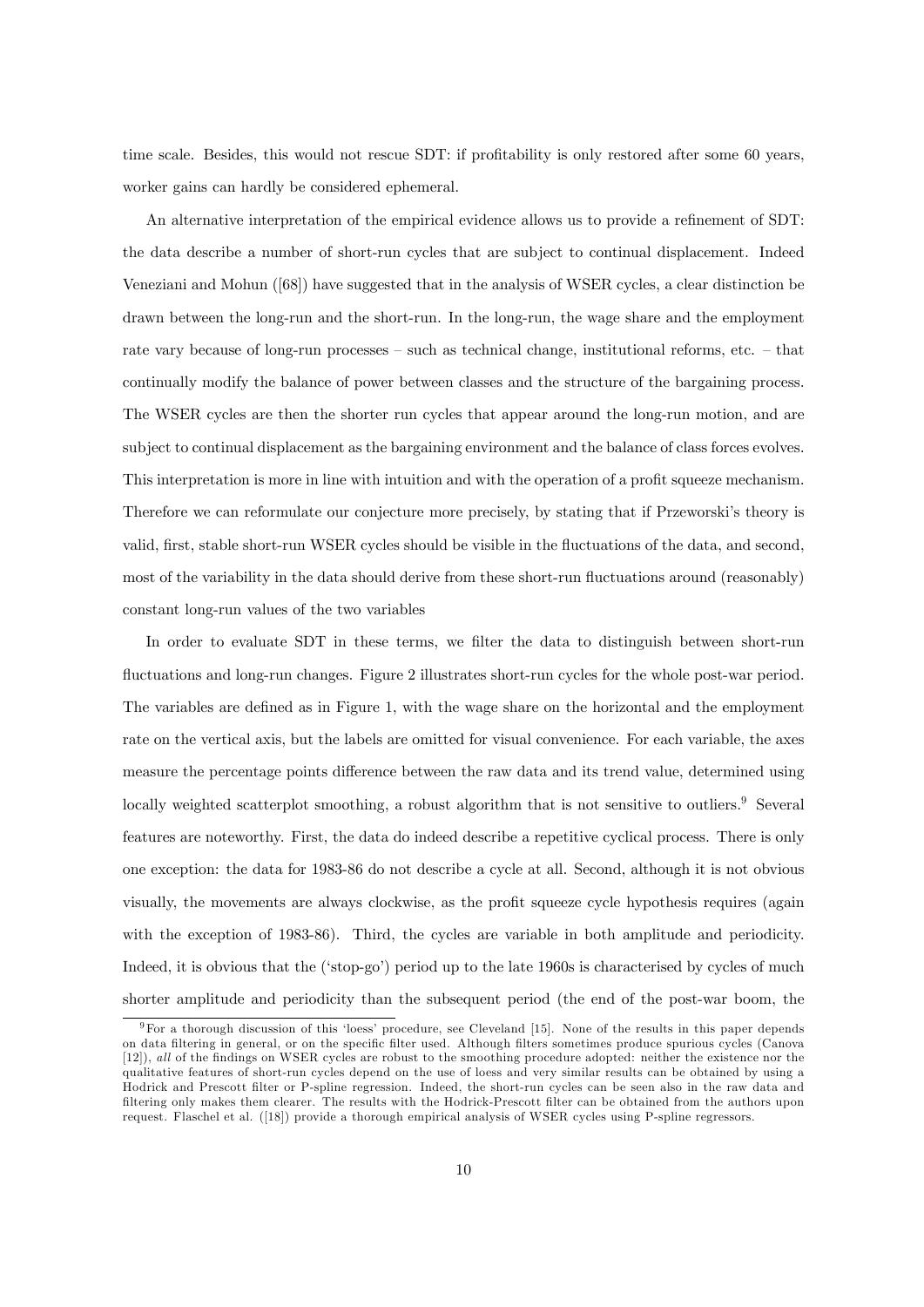time scale. Besides, this would not rescue SDT: if profitability is only restored after some 60 years, worker gains can hardly be considered ephemeral.

An alternative interpretation of the empirical evidence allows us to provide a refinement of SDT: the data describe a number of short-run cycles that are subject to continual displacement. Indeed Veneziani and Mohun ([68]) have suggested that in the analysis of WSER cycles, a clear distinction be drawn between the long-run and the short-run. In the long-run, the wage share and the employment rate vary because of long-run processes  $-$  such as technical change, institutional reforms, etc.  $-$  that continually modify the balance of power between classes and the structure of the bargaining process. The WSER cycles are then the shorter run cycles that appear around the long-run motion, and are subject to continual displacement as the bargaining environment and the balance of class forces evolves. This interpretation is more in line with intuition and with the operation of a profit squeeze mechanism. Therefore we can reformulate our conjecture more precisely, by stating that if Przeworski's theory is valid, first, stable short-run WSER cycles should be visible in the fluctuations of the data, and second, most of the variability in the data should derive from these short-run fluctuations around (reasonably) constant long-run values of the two variables

In order to evaluate SDT in these terms, we filter the data to distinguish between short-run fluctuations and long-run changes. Figure 2 illustrates short-run cycles for the whole post-war period. The variables are defined as in Figure 1, with the wage share on the horizontal and the employment rate on the vertical axis, but the labels are omitted for visual convenience. For each variable, the axes measure the percentage points difference between the raw data and its trend value, determined using locally weighted scatterplot smoothing, a robust algorithm that is not sensitive to outliers.<sup>9</sup> Several features are noteworthy. First, the data do indeed describe a repetitive cyclical process. There is only one exception: the data for 1983-86 do not describe a cycle at all. Second, although it is not obvious visually, the movements are always clockwise, as the profit squeeze cycle hypothesis requires (again with the exception of 1983-86). Third, the cycles are variable in both amplitude and periodicity. Indeed, it is obvious that the ('stop-go') period up to the late 1960s is characterised by cycles of much shorter amplitude and periodicity than the subsequent period (the end of the post-war boom, the

 $9$ For a thorough discussion of this 'loess' procedure, see Cleveland [15]. None of the results in this paper depends on data filtering in general, or on the specific filter used. Although filters sometimes produce spurious cycles (Canova [12]), all of the findings on WSER cycles are robust to the smoothing procedure adopted: neither the existence nor the qualitative features of short-run cycles depend on the use of loess and very similar results can be obtained by using a Hodrick and Prescott Ölter or P-spline regression. Indeed, the short-run cycles can be seen also in the raw data and filtering only makes them clearer. The results with the Hodrick-Prescott filter can be obtained from the authors upon request. Flaschel et al. ([18]) provide a thorough empirical analysis of WSER cycles using P-spline regressors.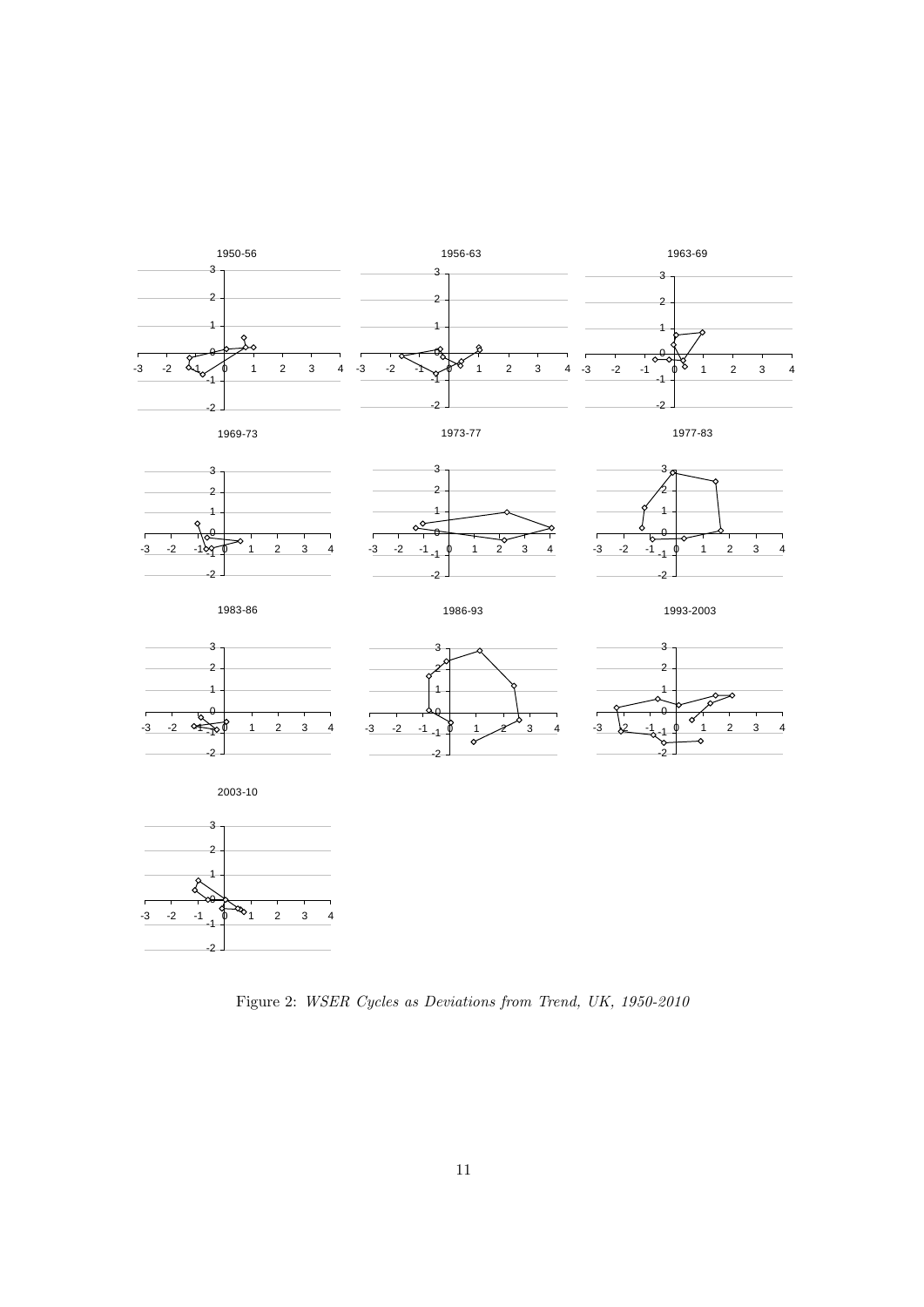

Figure 2: WSER Cycles as Deviations from Trend, UK, 1950-2010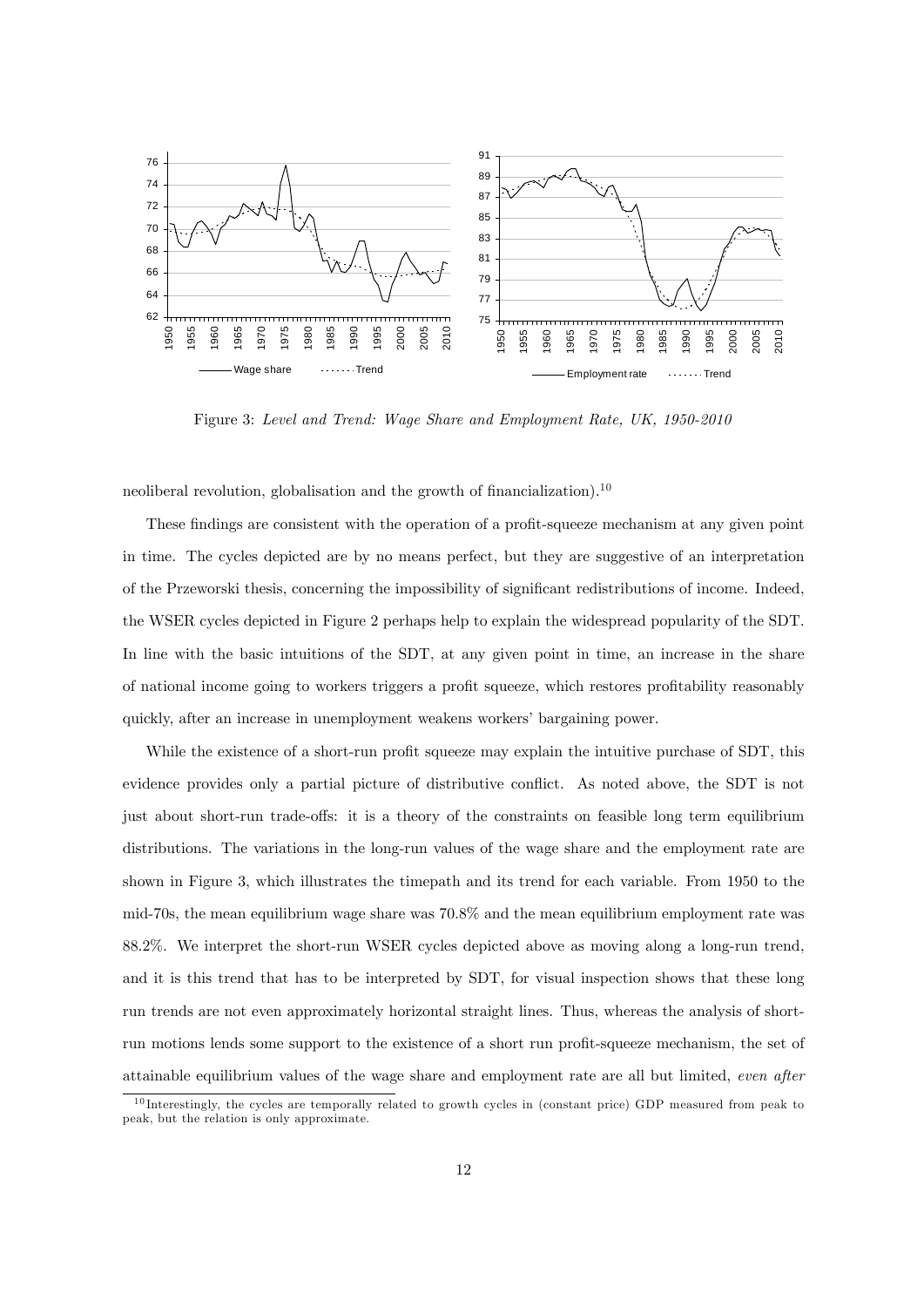

Figure 3: Level and Trend: Wage Share and Employment Rate, UK, 1950-2010

neoliberal revolution, globalisation and the growth of financialization).<sup>10</sup>

These findings are consistent with the operation of a profit-squeeze mechanism at any given point in time. The cycles depicted are by no means perfect, but they are suggestive of an interpretation of the Przeworski thesis, concerning the impossibility of significant redistributions of income. Indeed, the WSER cycles depicted in Figure 2 perhaps help to explain the widespread popularity of the SDT. In line with the basic intuitions of the SDT, at any given point in time, an increase in the share of national income going to workers triggers a profit squeeze, which restores profitability reasonably quickly, after an increase in unemployment weakens workers' bargaining power.

While the existence of a short-run profit squeeze may explain the intuitive purchase of SDT, this evidence provides only a partial picture of distributive conflict. As noted above, the SDT is not just about short-run trade-offs: it is a theory of the constraints on feasible long term equilibrium distributions. The variations in the long-run values of the wage share and the employment rate are shown in Figure 3, which illustrates the timepath and its trend for each variable. From 1950 to the mid-70s, the mean equilibrium wage share was 70.8% and the mean equilibrium employment rate was 88.2%. We interpret the short-run WSER cycles depicted above as moving along a long-run trend, and it is this trend that has to be interpreted by SDT, for visual inspection shows that these long run trends are not even approximately horizontal straight lines. Thus, whereas the analysis of shortrun motions lends some support to the existence of a short run profit-squeeze mechanism, the set of attainable equilibrium values of the wage share and employment rate are all but limited, even after

 $10$  Interestingly, the cycles are temporally related to growth cycles in (constant price) GDP measured from peak to peak, but the relation is only approximate.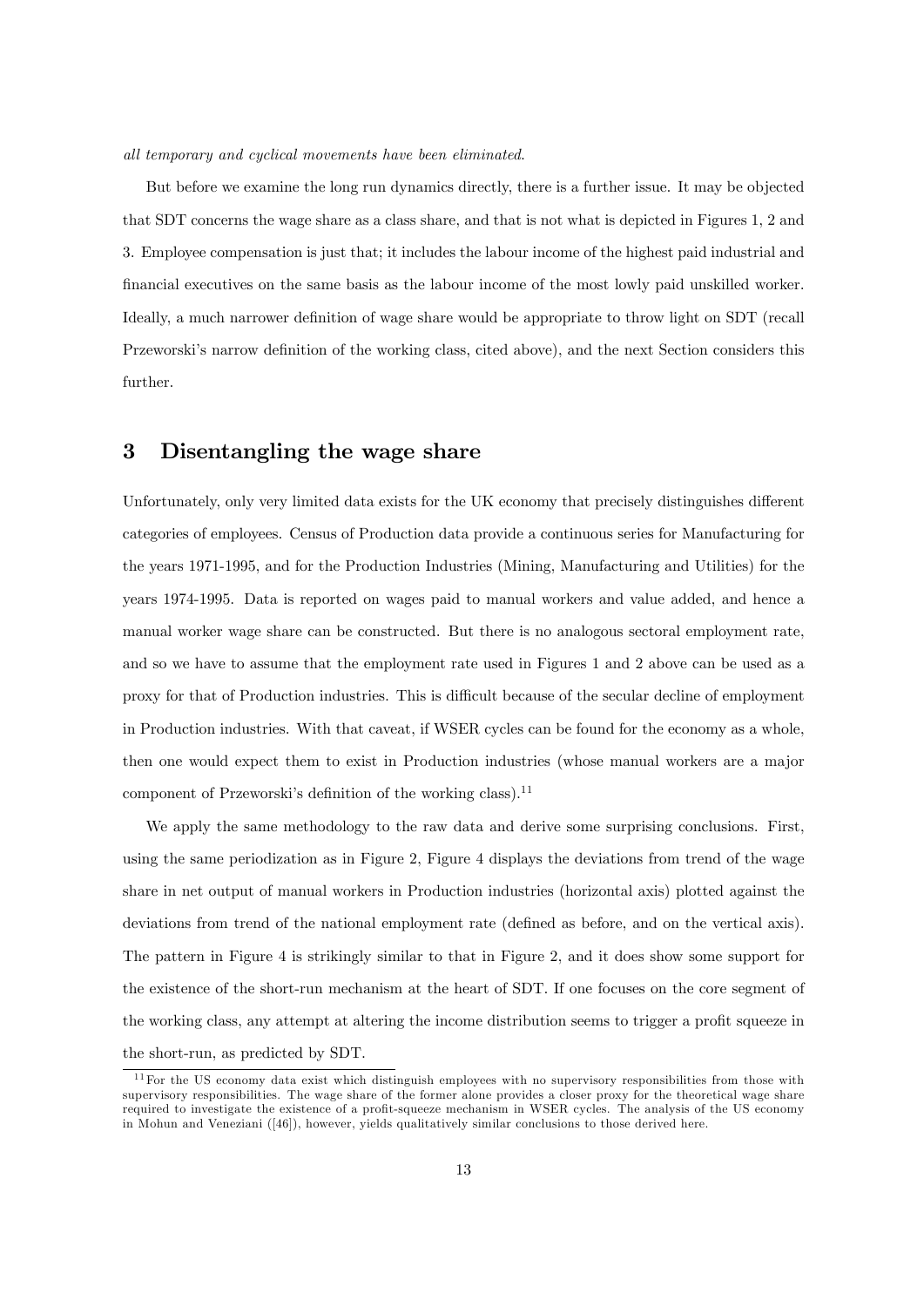#### all temporary and cyclical movements have been eliminated.

But before we examine the long run dynamics directly, there is a further issue. It may be objected that SDT concerns the wage share as a class share, and that is not what is depicted in Figures 1, 2 and 3. Employee compensation is just that; it includes the labour income of the highest paid industrial and financial executives on the same basis as the labour income of the most lowly paid unskilled worker. Ideally, a much narrower definition of wage share would be appropriate to throw light on SDT (recall Przeworski's narrow definition of the working class, cited above), and the next Section considers this further.

### 3 Disentangling the wage share

Unfortunately, only very limited data exists for the UK economy that precisely distinguishes different categories of employees. Census of Production data provide a continuous series for Manufacturing for the years 1971-1995, and for the Production Industries (Mining, Manufacturing and Utilities) for the years 1974-1995. Data is reported on wages paid to manual workers and value added, and hence a manual worker wage share can be constructed. But there is no analogous sectoral employment rate, and so we have to assume that the employment rate used in Figures 1 and 2 above can be used as a proxy for that of Production industries. This is difficult because of the secular decline of employment in Production industries. With that caveat, if WSER cycles can be found for the economy as a whole, then one would expect them to exist in Production industries (whose manual workers are a major component of Przeworski's definition of the working class).<sup>11</sup>

We apply the same methodology to the raw data and derive some surprising conclusions. First, using the same periodization as in Figure 2, Figure 4 displays the deviations from trend of the wage share in net output of manual workers in Production industries (horizontal axis) plotted against the deviations from trend of the national employment rate (defined as before, and on the vertical axis). The pattern in Figure 4 is strikingly similar to that in Figure 2, and it does show some support for the existence of the short-run mechanism at the heart of SDT. If one focuses on the core segment of the working class, any attempt at altering the income distribution seems to trigger a profit squeeze in the short-run, as predicted by SDT.

 $11$  For the US economy data exist which distinguish employees with no supervisory responsibilities from those with supervisory responsibilities. The wage share of the former alone provides a closer proxy for the theoretical wage share required to investigate the existence of a profit-squeeze mechanism in WSER cycles. The analysis of the US economy in Mohun and Veneziani ([46]), however, yields qualitatively similar conclusions to those derived here.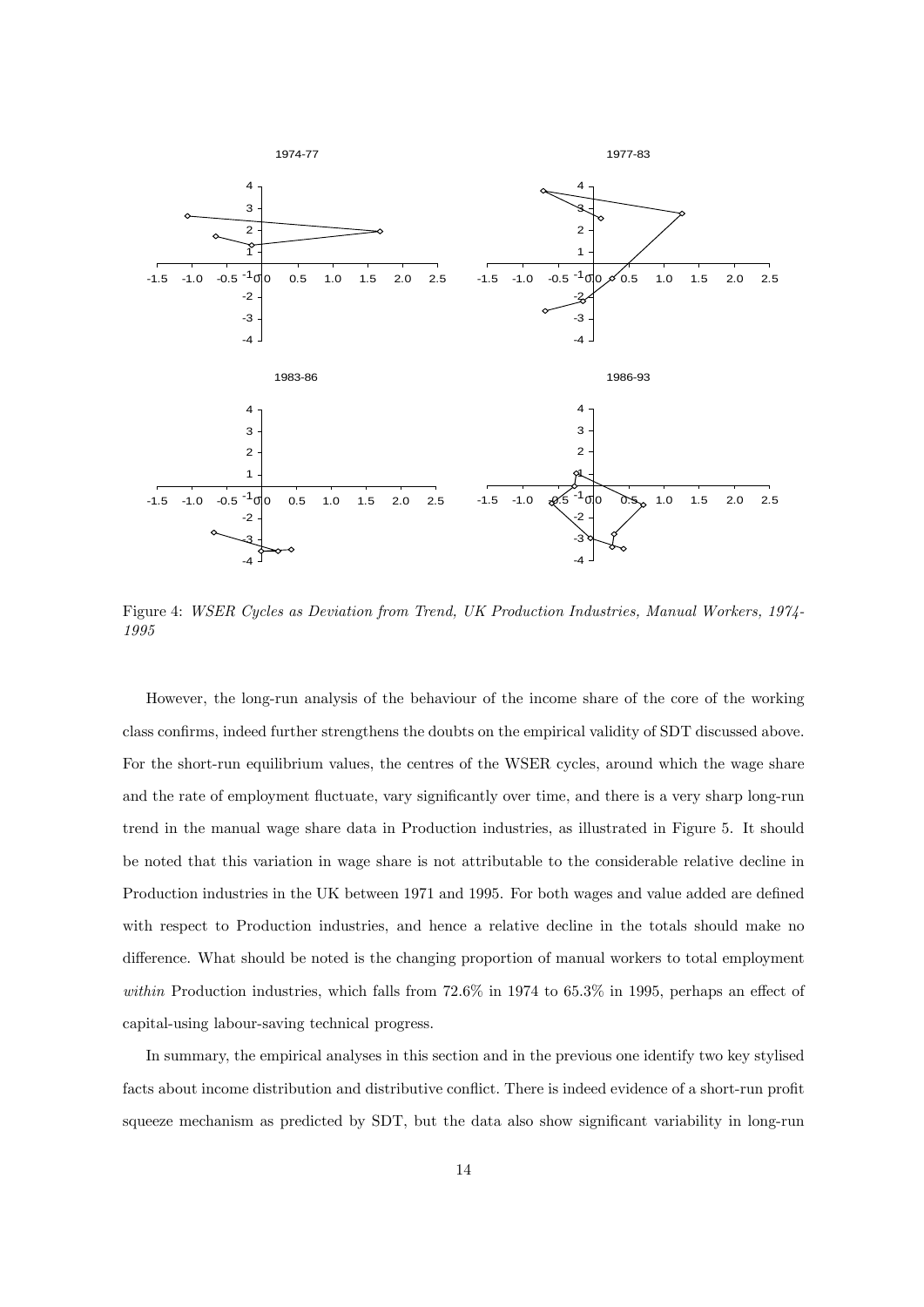

Figure 4: WSER Cycles as Deviation from Trend, UK Production Industries, Manual Workers, 1974- 1995

However, the long-run analysis of the behaviour of the income share of the core of the working class confirms, indeed further strengthens the doubts on the empirical validity of SDT discussed above. For the short-run equilibrium values, the centres of the WSER cycles, around which the wage share and the rate of employment fluctuate, vary significantly over time, and there is a very sharp long-run trend in the manual wage share data in Production industries, as illustrated in Figure 5. It should be noted that this variation in wage share is not attributable to the considerable relative decline in Production industries in the UK between 1971 and 1995. For both wages and value added are defined with respect to Production industries, and hence a relative decline in the totals should make no difference. What should be noted is the changing proportion of manual workers to total employment within Production industries, which falls from  $72.6\%$  in 1974 to 65.3% in 1995, perhaps an effect of capital-using labour-saving technical progress.

In summary, the empirical analyses in this section and in the previous one identify two key stylised facts about income distribution and distributive conflict. There is indeed evidence of a short-run profit squeeze mechanism as predicted by SDT, but the data also show significant variability in long-run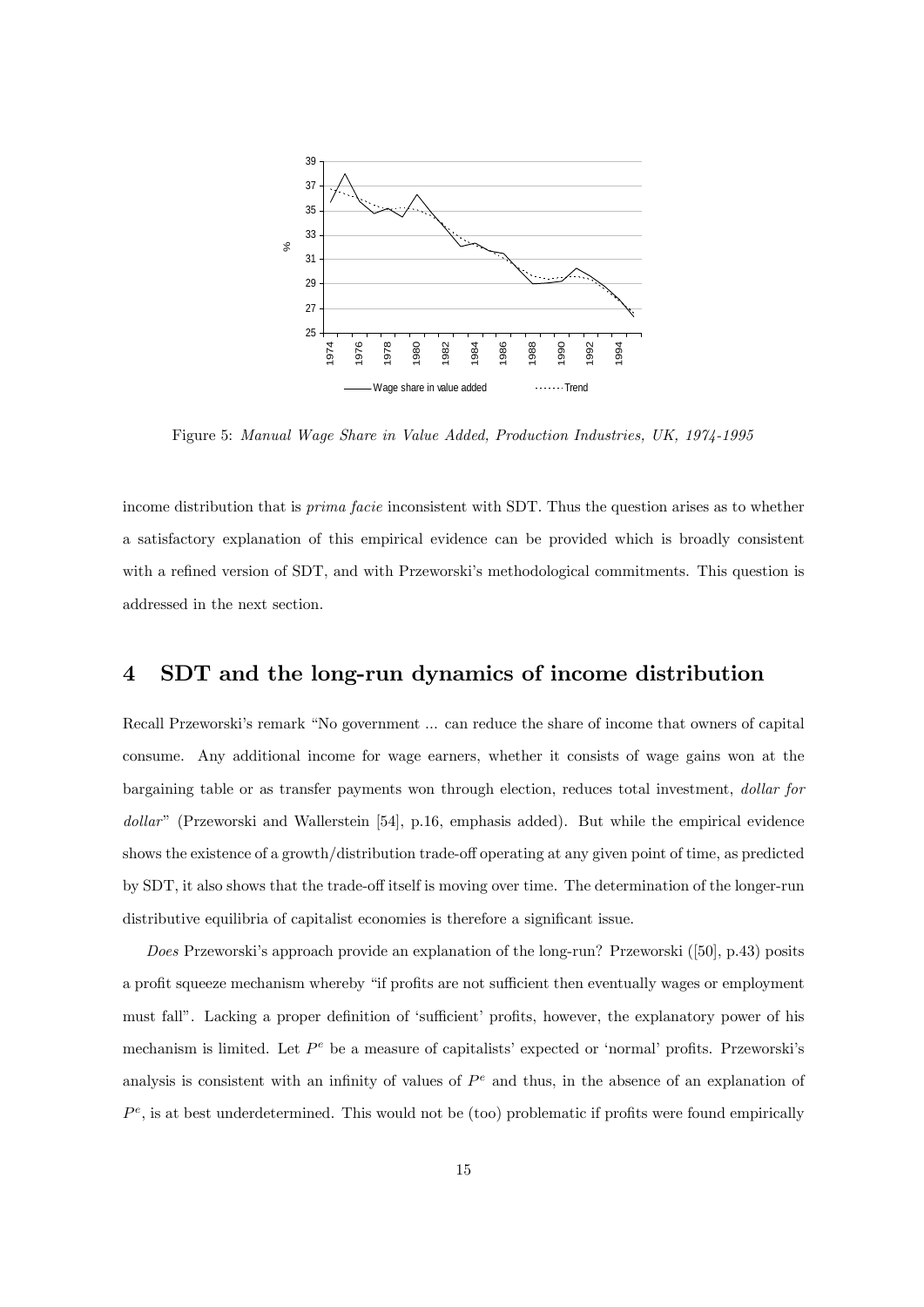

Figure 5: Manual Wage Share in Value Added, Production Industries, UK, 1974-1995

income distribution that is *prima facie* inconsistent with SDT. Thus the question arises as to whether a satisfactory explanation of this empirical evidence can be provided which is broadly consistent with a refined version of SDT, and with Przeworski's methodological commitments. This question is addressed in the next section.

### 4 SDT and the long-run dynamics of income distribution

Recall Przeworski's remark "No government ... can reduce the share of income that owners of capital consume. Any additional income for wage earners, whether it consists of wage gains won at the bargaining table or as transfer payments won through election, reduces total investment, dollar for dollar" (Przeworski and Wallerstein [54], p.16, emphasis added). But while the empirical evidence shows the existence of a growth/distribution trade-off operating at any given point of time, as predicted by SDT, it also shows that the trade-off itself is moving over time. The determination of the longer-run distributive equilibria of capitalist economies is therefore a significant issue.

Does Przeworski's approach provide an explanation of the long-run? Przeworski ([50], p.43) posits a profit squeeze mechanism whereby "if profits are not sufficient then eventually wages or employment must fall". Lacking a proper definition of 'sufficient' profits, however, the explanatory power of his mechanism is limited. Let  $P^e$  be a measure of capitalists' expected or 'normal' profits. Przeworski's analysis is consistent with an infinity of values of  $P<sup>e</sup>$  and thus, in the absence of an explanation of  $P^e$ , is at best underdetermined. This would not be (too) problematic if profits were found empirically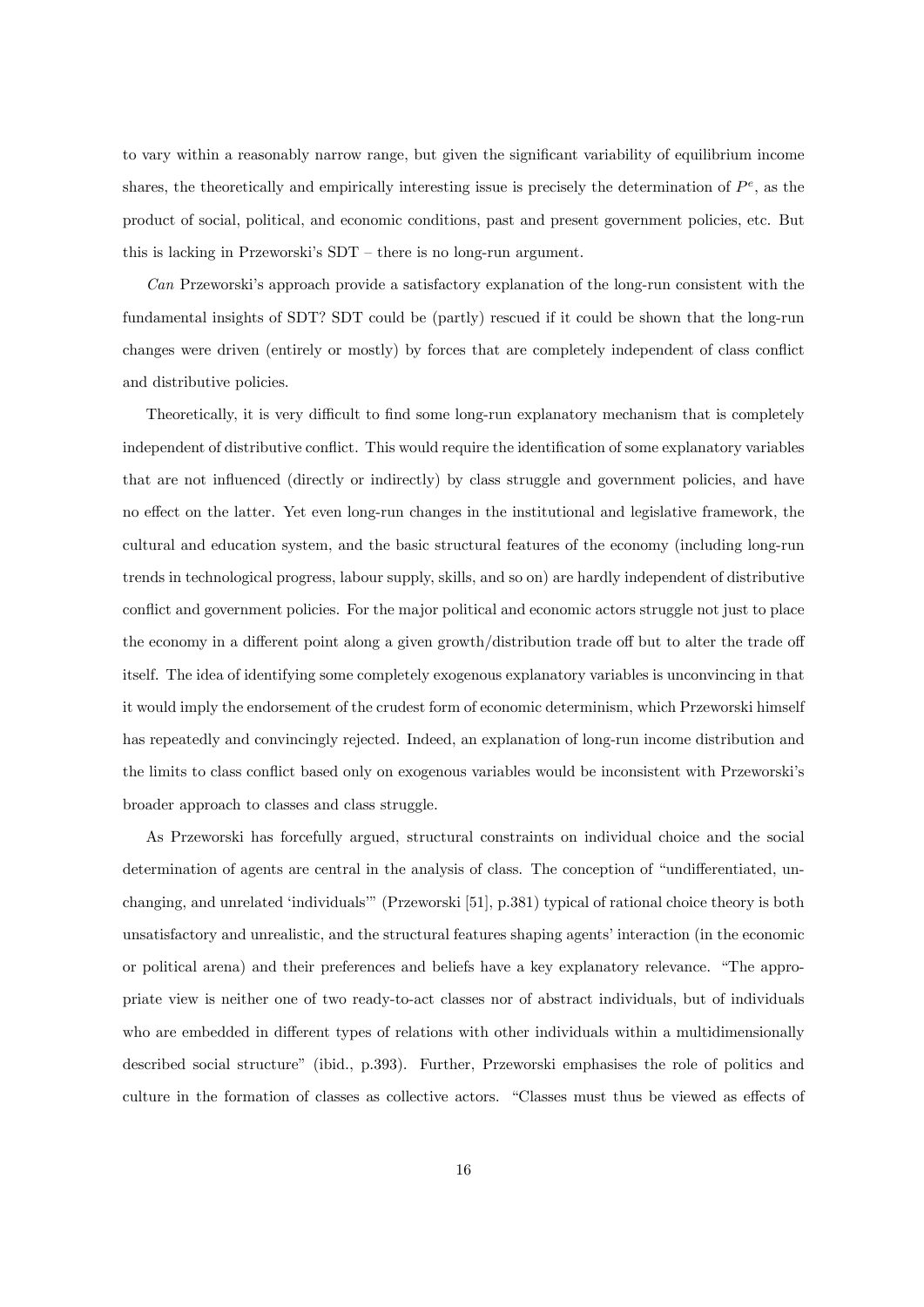to vary within a reasonably narrow range, but given the significant variability of equilibrium income shares, the theoretically and empirically interesting issue is precisely the determination of  $P^e$ , as the product of social, political, and economic conditions, past and present government policies, etc. But this is lacking in Przeworski's  $SDT -$  there is no long-run argument.

 $Can$  Przeworski's approach provide a satisfactory explanation of the long-run consistent with the fundamental insights of SDT? SDT could be (partly) rescued if it could be shown that the long-run changes were driven (entirely or mostly) by forces that are completely independent of class conflict and distributive policies.

Theoretically, it is very difficult to find some long-run explanatory mechanism that is completely independent of distributive conflict. This would require the identification of some explanatory variables that are not ináuenced (directly or indirectly) by class struggle and government policies, and have no effect on the latter. Yet even long-run changes in the institutional and legislative framework, the cultural and education system, and the basic structural features of the economy (including long-run trends in technological progress, labour supply, skills, and so on) are hardly independent of distributive conflict and government policies. For the major political and economic actors struggle not just to place the economy in a different point along a given growth/distribution trade of but to alter the trade of itself. The idea of identifying some completely exogenous explanatory variables is unconvincing in that it would imply the endorsement of the crudest form of economic determinism, which Przeworski himself has repeatedly and convincingly rejected. Indeed, an explanation of long-run income distribution and the limits to class conflict based only on exogenous variables would be inconsistent with Przeworski's broader approach to classes and class struggle.

As Przeworski has forcefully argued, structural constraints on individual choice and the social determination of agents are central in the analysis of class. The conception of "undifferentiated, unchanging, and unrelated 'individuals'" (Przeworski [51], p.381) typical of rational choice theory is both unsatisfactory and unrealistic, and the structural features shaping agents' interaction (in the economic or political arena) and their preferences and beliefs have a key explanatory relevance. "The appropriate view is neither one of two ready-to-act classes nor of abstract individuals, but of individuals who are embedded in different types of relations with other individuals within a multidimensionally described social structure" (ibid., p.393). Further, Przeworski emphasises the role of politics and culture in the formation of classes as collective actors. "Classes must thus be viewed as effects of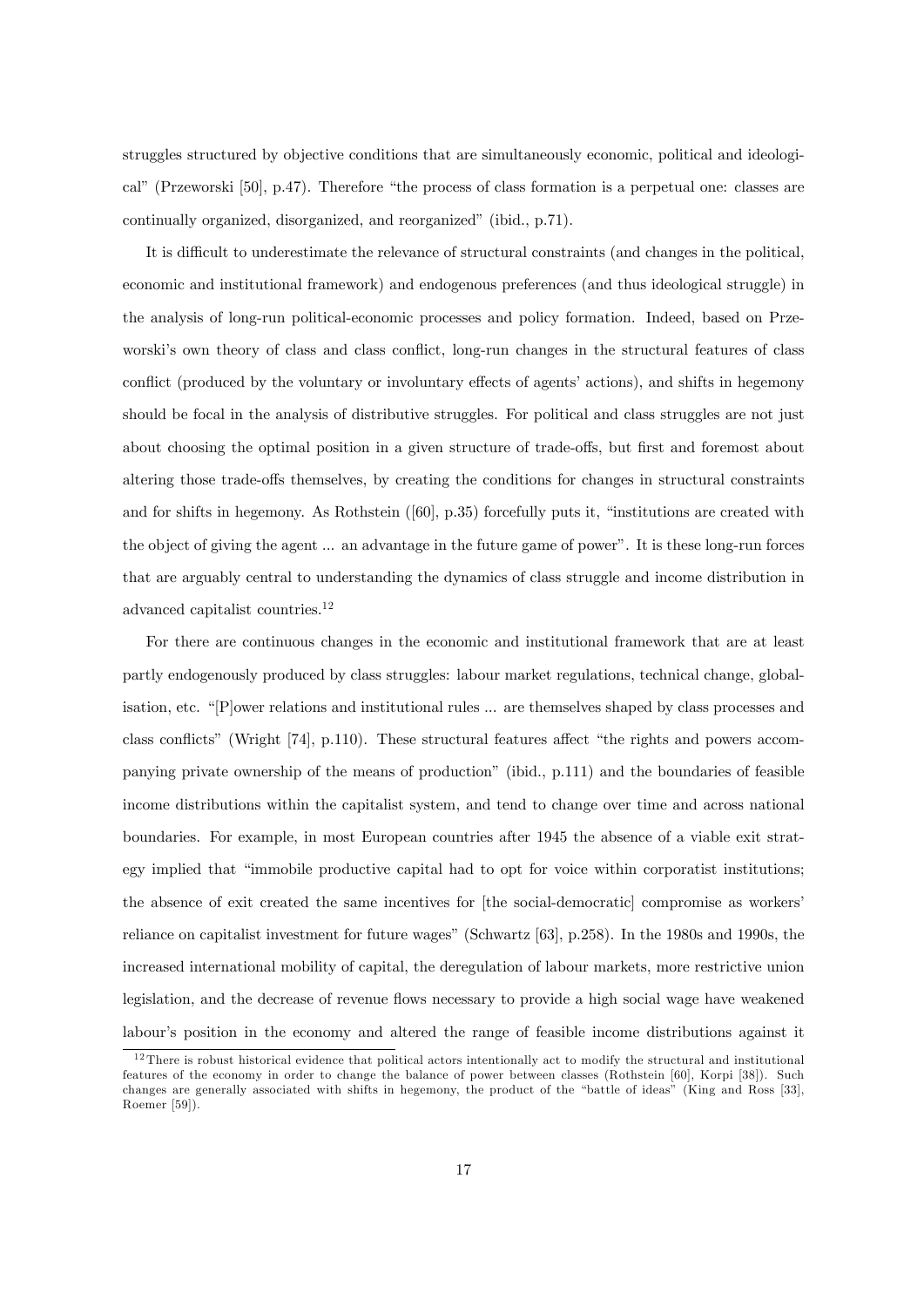struggles structured by objective conditions that are simultaneously economic, political and ideological" (Przeworski [50], p.47). Therefore "the process of class formation is a perpetual one: classes are continually organized, disorganized, and reorganized" (ibid., p.71).

It is difficult to underestimate the relevance of structural constraints (and changes in the political, economic and institutional framework) and endogenous preferences (and thus ideological struggle) in the analysis of long-run political-economic processes and policy formation. Indeed, based on Przeworski's own theory of class and class conflict, long-run changes in the structural features of class conflict (produced by the voluntary or involuntary effects of agents' actions), and shifts in hegemony should be focal in the analysis of distributive struggles. For political and class struggles are not just about choosing the optimal position in a given structure of trade-offs, but first and foremost about altering those trade-offs themselves, by creating the conditions for changes in structural constraints and for shifts in hegemony. As Rothstein  $([60], p.35)$  forcefully puts it, "institutions are created with the object of giving the agent ... an advantage in the future game of power". It is these long-run forces that are arguably central to understanding the dynamics of class struggle and income distribution in advanced capitalist countries.<sup>12</sup>

For there are continuous changes in the economic and institutional framework that are at least partly endogenously produced by class struggles: labour market regulations, technical change, globalisation, etc.  $\lq$ [P]ower relations and institutional rules  $\ldots$  are themselves shaped by class processes and class conflicts" (Wright  $[74]$ , p.110). These structural features affect "the rights and powers accompanying private ownership of the means of productionî (ibid., p.111) and the boundaries of feasible income distributions within the capitalist system, and tend to change over time and across national boundaries. For example, in most European countries after 1945 the absence of a viable exit strategy implied that "immobile productive capital had to opt for voice within corporatist institutions; the absence of exit created the same incentives for [the social-democratic] compromise as workers<sup>?</sup> reliance on capitalist investment for future wages" (Schwartz [63], p.258). In the 1980s and 1990s, the increased international mobility of capital, the deregulation of labour markets, more restrictive union legislation, and the decrease of revenue flows necessary to provide a high social wage have weakened labour's position in the economy and altered the range of feasible income distributions against it

 $12$  There is robust historical evidence that political actors intentionally act to modify the structural and institutional features of the economy in order to change the balance of power between classes (Rothstein [60], Korpi [38]). Such changes are generally associated with shifts in hegemony, the product of the "battle of ideas" (King and Ross [33], Roemer [59]).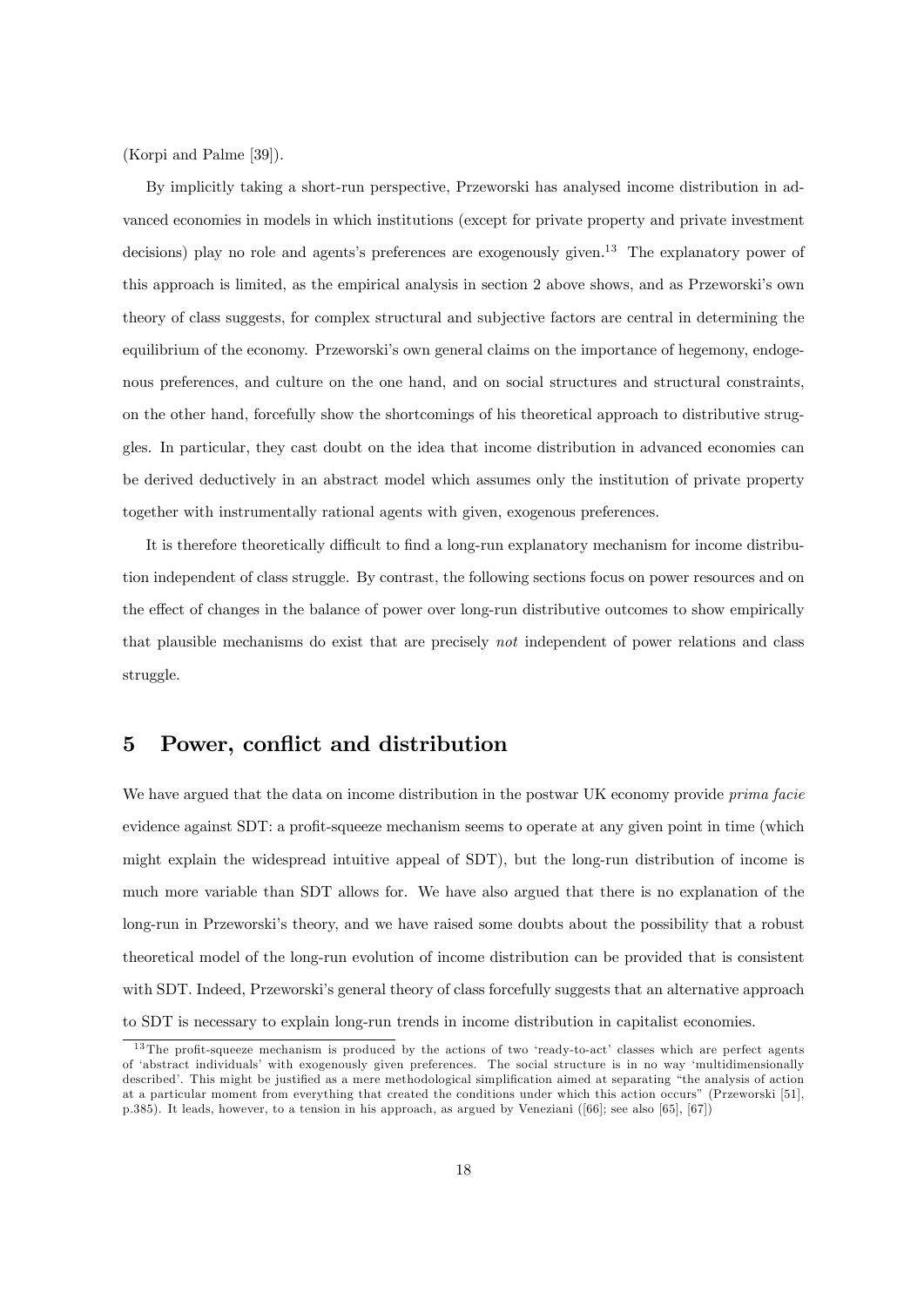(Korpi and Palme [39]).

By implicitly taking a short-run perspective, Przeworski has analysed income distribution in advanced economies in models in which institutions (except for private property and private investment decisions) play no role and agents's preferences are exogenously given.<sup>13</sup> The explanatory power of this approach is limited, as the empirical analysis in section 2 above shows, and as Przeworskiís own theory of class suggests, for complex structural and subjective factors are central in determining the equilibrium of the economy. Przeworski's own general claims on the importance of hegemony, endogenous preferences, and culture on the one hand, and on social structures and structural constraints, on the other hand, forcefully show the shortcomings of his theoretical approach to distributive struggles. In particular, they cast doubt on the idea that income distribution in advanced economies can be derived deductively in an abstract model which assumes only the institution of private property together with instrumentally rational agents with given, exogenous preferences.

It is therefore theoretically difficult to find a long-run explanatory mechanism for income distribution independent of class struggle. By contrast, the following sections focus on power resources and on the effect of changes in the balance of power over long-run distributive outcomes to show empirically that plausible mechanisms do exist that are precisely not independent of power relations and class struggle.

### 5 Power, conflict and distribution

We have argued that the data on income distribution in the postwar UK economy provide *prima facie* evidence against  $SDT:$  a profit-squeeze mechanism seems to operate at any given point in time (which might explain the widespread intuitive appeal of SDT), but the long-run distribution of income is much more variable than SDT allows for. We have also argued that there is no explanation of the long-run in Przeworski's theory, and we have raised some doubts about the possibility that a robust theoretical model of the long-run evolution of income distribution can be provided that is consistent with SDT. Indeed, Przeworski's general theory of class forcefully suggests that an alternative approach to SDT is necessary to explain long-run trends in income distribution in capitalist economies.

 $13$  The profit-squeeze mechanism is produced by the actions of two 'ready-to-act' classes which are perfect agents of ëabstract individualsí with exogenously given preferences. The social structure is in no way ëmultidimensionally described'. This might be justified as a mere methodological simplification aimed at separating "the analysis of action at a particular moment from everything that created the conditions under which this action occursî (Przeworski [51], p.385). It leads, however, to a tension in his approach, as argued by Veneziani ([66]; see also [65], [67])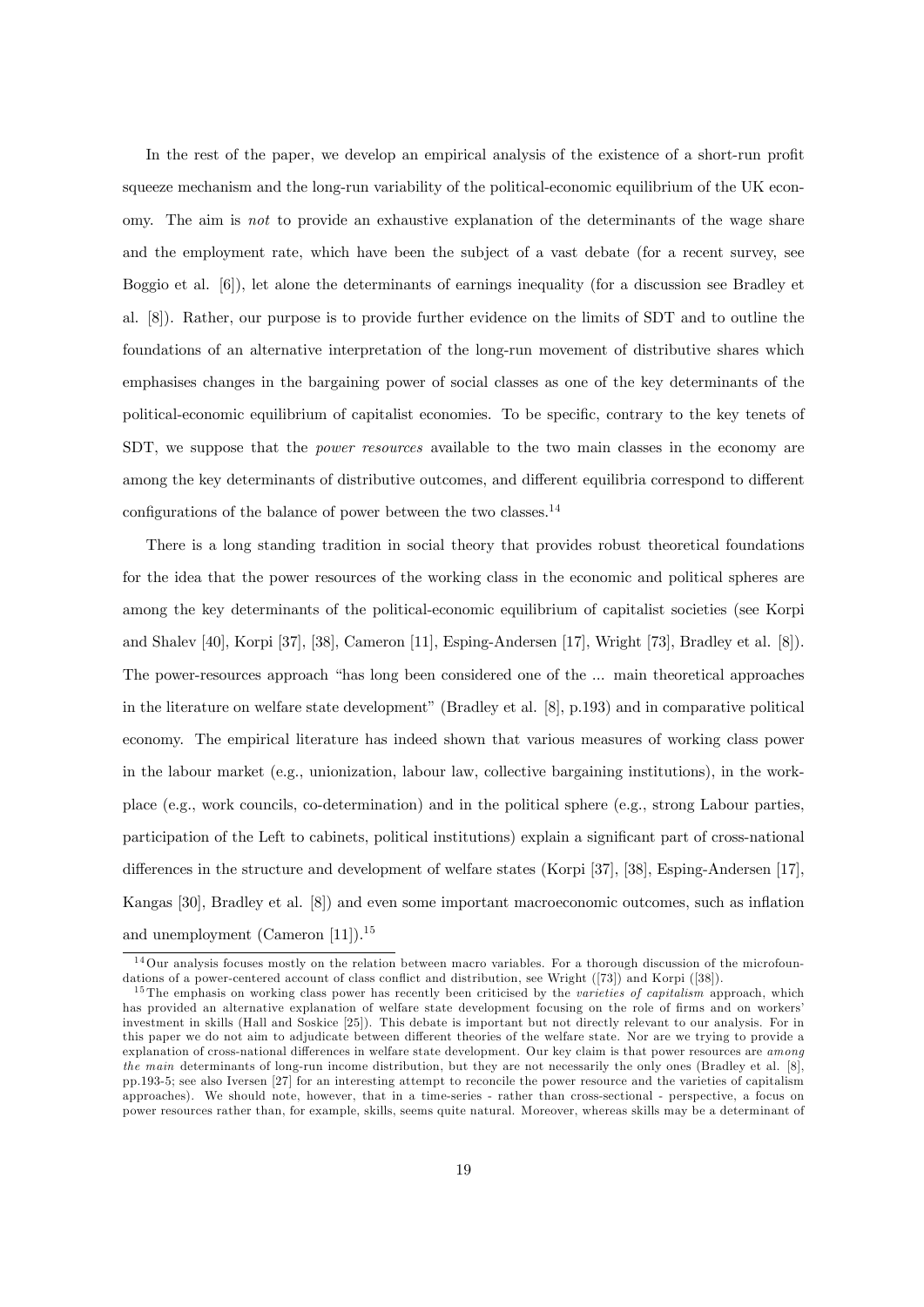In the rest of the paper, we develop an empirical analysis of the existence of a short-run profit squeeze mechanism and the long-run variability of the political-economic equilibrium of the UK economy. The aim is not to provide an exhaustive explanation of the determinants of the wage share and the employment rate, which have been the subject of a vast debate (for a recent survey, see Boggio et al. [6]), let alone the determinants of earnings inequality (for a discussion see Bradley et al. [8]). Rather, our purpose is to provide further evidence on the limits of SDT and to outline the foundations of an alternative interpretation of the long-run movement of distributive shares which emphasises changes in the bargaining power of social classes as one of the key determinants of the political-economic equilibrium of capitalist economies. To be specific, contrary to the key tenets of SDT, we suppose that the *power resources* available to the two main classes in the economy are among the key determinants of distributive outcomes, and different equilibria correspond to different configurations of the balance of power between the two classes.<sup>14</sup>

There is a long standing tradition in social theory that provides robust theoretical foundations for the idea that the power resources of the working class in the economic and political spheres are among the key determinants of the political-economic equilibrium of capitalist societies (see Korpi and Shalev [40], Korpi [37], [38], Cameron [11], Esping-Andersen [17], Wright [73], Bradley et al. [8]). The power-resources approach "has long been considered one of the ... main theoretical approaches in the literature on welfare state development" (Bradley et al.  $[8]$ , p.193) and in comparative political economy. The empirical literature has indeed shown that various measures of working class power in the labour market (e.g., unionization, labour law, collective bargaining institutions), in the workplace (e.g., work councils, co-determination) and in the political sphere (e.g., strong Labour parties, participation of the Left to cabinets, political institutions) explain a significant part of cross-national differences in the structure and development of welfare states (Korpi [37], [38], Esping-Andersen [17], Kangas [30], Bradley et al. [8]) and even some important macroeconomic outcomes, such as inflation and unemployment (Cameron [11]).<sup>15</sup>

 $14$ Our analysis focuses mostly on the relation between macro variables. For a thorough discussion of the microfoundations of a power-centered account of class conflict and distribution, see Wright ([73]) and Korpi ([38]).

 $15$  The emphasis on working class power has recently been criticised by the varieties of capitalism approach, which has provided an alternative explanation of welfare state development focusing on the role of firms and on workers' investment in skills (Hall and Soskice [25]). This debate is important but not directly relevant to our analysis. For in this paper we do not aim to adjudicate between different theories of the welfare state. Nor are we trying to provide a explanation of cross-national differences in welfare state development. Our key claim is that power resources are *among* the main determinants of long-run income distribution, but they are not necessarily the only ones (Bradley et al. [8], pp.193-5; see also Iversen [27] for an interesting attempt to reconcile the power resource and the varieties of capitalism approaches). We should note, however, that in a time-series - rather than cross-sectional - perspective, a focus on power resources rather than, for example, skills, seems quite natural. Moreover, whereas skills may be a determinant of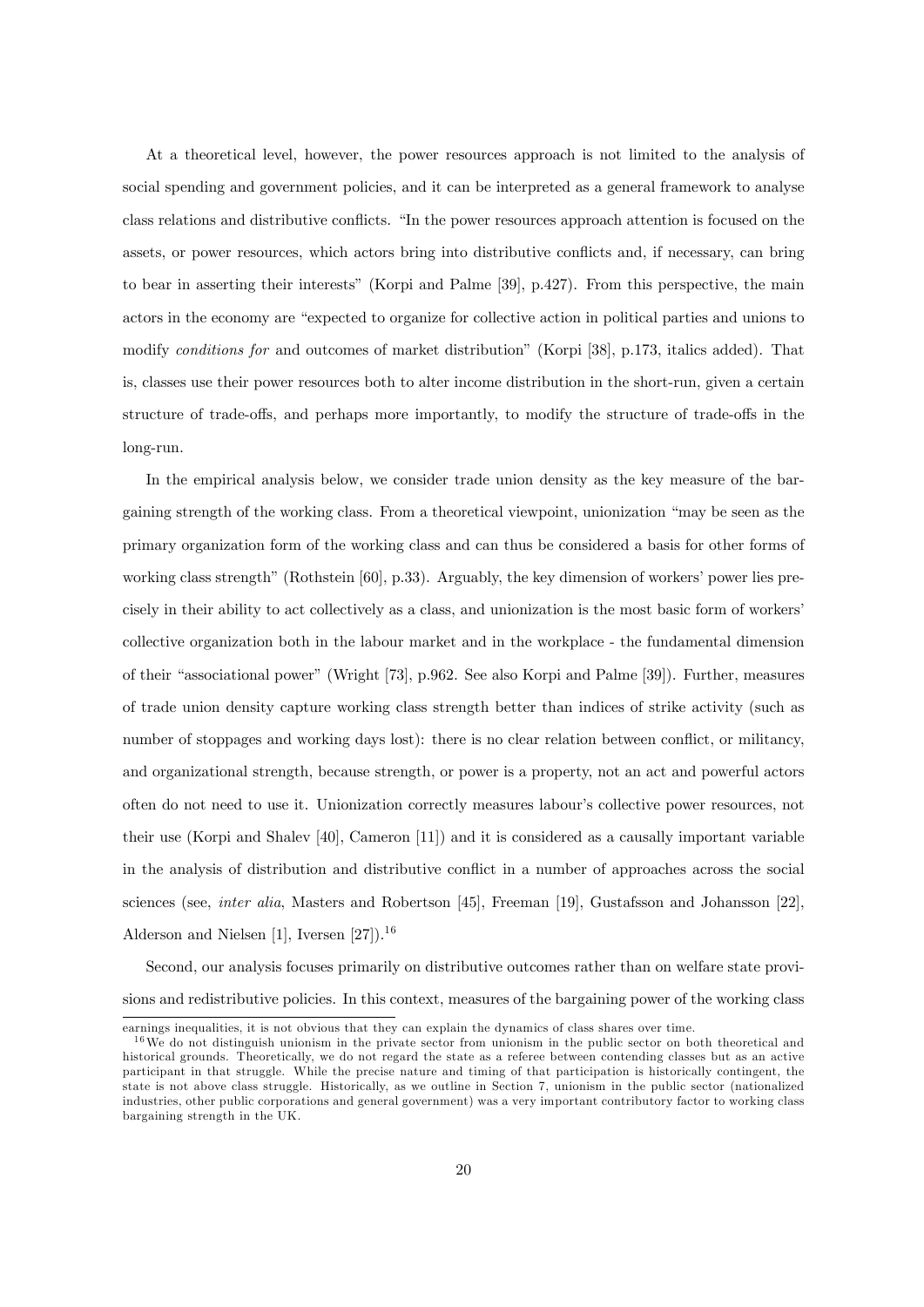At a theoretical level, however, the power resources approach is not limited to the analysis of social spending and government policies, and it can be interpreted as a general framework to analyse class relations and distributive conflicts. "In the power resources approach attention is focused on the assets, or power resources, which actors bring into distributive conflicts and, if necessary, can bring to bear in asserting their interestsî (Korpi and Palme [39], p.427). From this perspective, the main actors in the economy are "expected to organize for collective action in political parties and unions to modify conditions for and outcomes of market distribution" (Korpi [38], p.173, italics added). That is, classes use their power resources both to alter income distribution in the short-run, given a certain structure of trade-offs, and perhaps more importantly, to modify the structure of trade-offs in the long-run.

In the empirical analysis below, we consider trade union density as the key measure of the bargaining strength of the working class. From a theoretical viewpoint, unionization "may be seen as the primary organization form of the working class and can thus be considered a basis for other forms of working class strength" (Rothstein  $[60]$ , p.33). Arguably, the key dimension of workers' power lies precisely in their ability to act collectively as a class, and unionization is the most basic form of workers' collective organization both in the labour market and in the workplace - the fundamental dimension of their "associational power" (Wright [73], p.962. See also Korpi and Palme [39]). Further, measures of trade union density capture working class strength better than indices of strike activity (such as number of stoppages and working days lost): there is no clear relation between conflict, or militancy, and organizational strength, because strength, or power is a property, not an act and powerful actors often do not need to use it. Unionization correctly measures labourís collective power resources, not their use (Korpi and Shalev [40], Cameron [11]) and it is considered as a causally important variable in the analysis of distribution and distributive conflict in a number of approaches across the social sciences (see, inter alia, Masters and Robertson [45], Freeman [19], Gustafsson and Johansson [22], Alderson and Nielsen  $[1]$ , Iversen  $[27]$ ).<sup>16</sup>

Second, our analysis focuses primarily on distributive outcomes rather than on welfare state provisions and redistributive policies. In this context, measures of the bargaining power of the working class

earnings inequalities, it is not obvious that they can explain the dynamics of class shares over time.

 $16\,\text{We}$  do not distinguish unionism in the private sector from unionism in the public sector on both theoretical and historical grounds. Theoretically, we do not regard the state as a referee between contending classes but as an active participant in that struggle. While the precise nature and timing of that participation is historically contingent, the state is not above class struggle. Historically, as we outline in Section 7, unionism in the public sector (nationalized industries, other public corporations and general government) was a very important contributory factor to working class bargaining strength in the UK.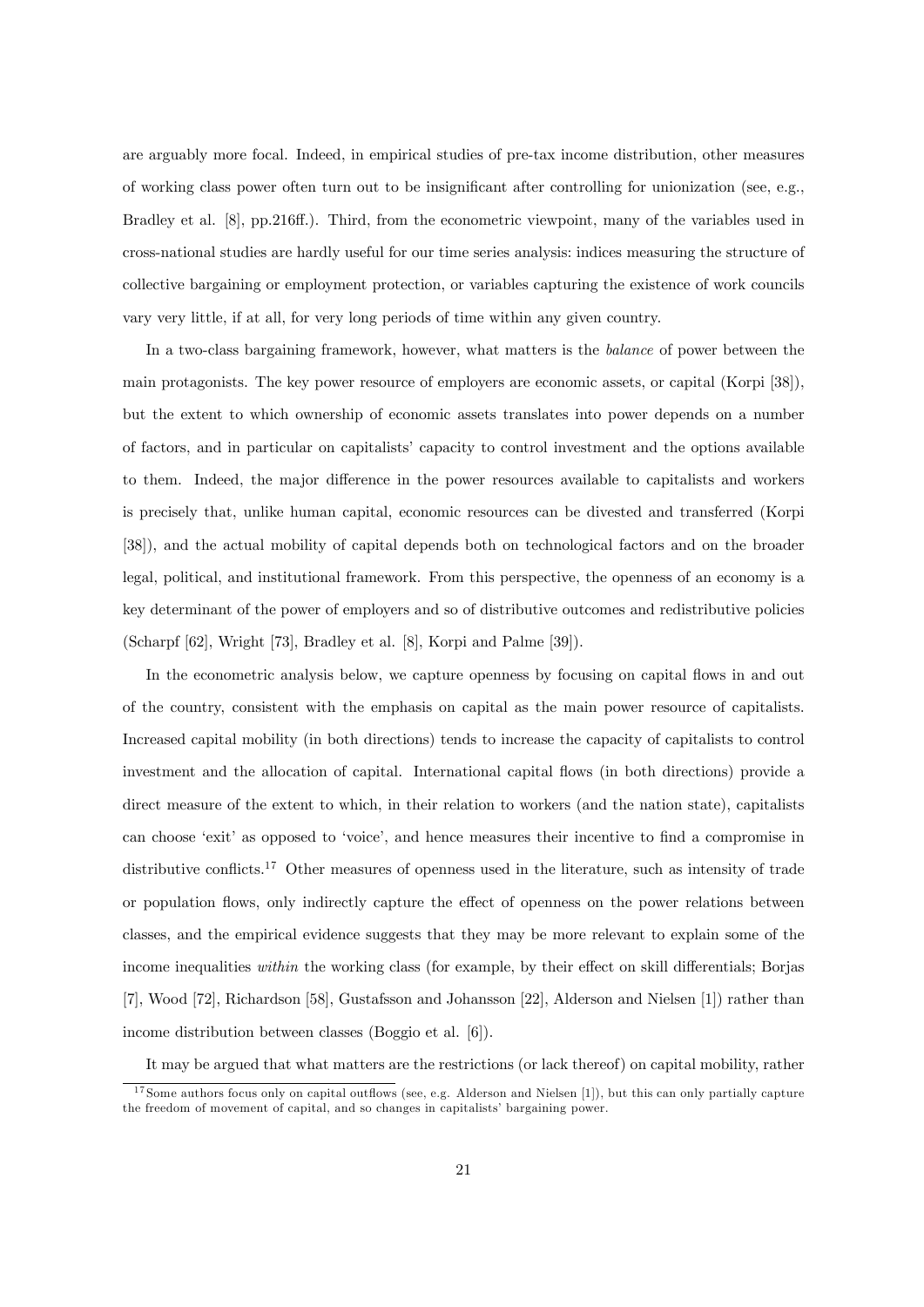are arguably more focal. Indeed, in empirical studies of pre-tax income distribution, other measures of working class power often turn out to be insignificant after controlling for unionization (see, e.g., Bradley et al. [8], pp.216ff.). Third, from the econometric viewpoint, many of the variables used in cross-national studies are hardly useful for our time series analysis: indices measuring the structure of collective bargaining or employment protection, or variables capturing the existence of work councils vary very little, if at all, for very long periods of time within any given country.

In a two-class bargaining framework, however, what matters is the *balance* of power between the main protagonists. The key power resource of employers are economic assets, or capital (Korpi [38]), but the extent to which ownership of economic assets translates into power depends on a number of factors, and in particular on capitalists' capacity to control investment and the options available to them. Indeed, the major difference in the power resources available to capitalists and workers is precisely that, unlike human capital, economic resources can be divested and transferred (Korpi [38]), and the actual mobility of capital depends both on technological factors and on the broader legal, political, and institutional framework. From this perspective, the openness of an economy is a key determinant of the power of employers and so of distributive outcomes and redistributive policies (Scharpf [62], Wright [73], Bradley et al. [8], Korpi and Palme [39]).

In the econometric analysis below, we capture openness by focusing on capital flows in and out of the country, consistent with the emphasis on capital as the main power resource of capitalists. Increased capital mobility (in both directions) tends to increase the capacity of capitalists to control investment and the allocation of capital. International capital flows (in both directions) provide a direct measure of the extent to which, in their relation to workers (and the nation state), capitalists can choose 'exit' as opposed to 'voice', and hence measures their incentive to find a compromise in distributive conflicts.<sup>17</sup> Other measures of openness used in the literature, such as intensity of trade or population flows, only indirectly capture the effect of openness on the power relations between classes, and the empirical evidence suggests that they may be more relevant to explain some of the income inequalities within the working class (for example, by their effect on skill differentials; Borjas [7], Wood [72], Richardson [58], Gustafsson and Johansson [22], Alderson and Nielsen [1]) rather than income distribution between classes (Boggio et al. [6]).

It may be argued that what matters are the restrictions (or lack thereof) on capital mobility, rather

 $17$  Some authors focus only on capital outflows (see, e.g. Alderson and Nielsen [1]), but this can only partially capture the freedom of movement of capital, and so changes in capitalists' bargaining power.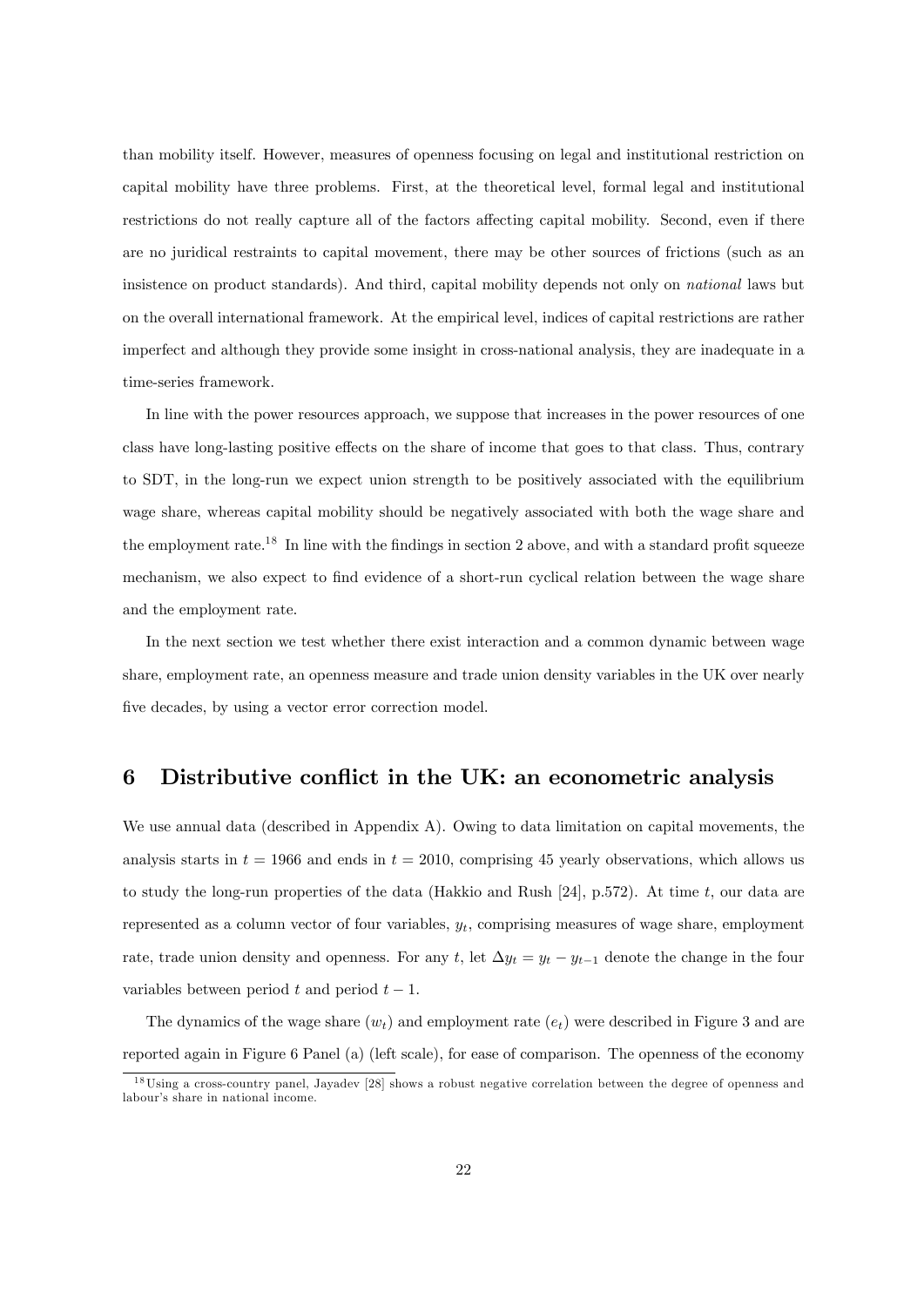than mobility itself. However, measures of openness focusing on legal and institutional restriction on capital mobility have three problems. First, at the theoretical level, formal legal and institutional restrictions do not really capture all of the factors affecting capital mobility. Second, even if there are no juridical restraints to capital movement, there may be other sources of frictions (such as an insistence on product standards). And third, capital mobility depends not only on national laws but on the overall international framework. At the empirical level, indices of capital restrictions are rather imperfect and although they provide some insight in cross-national analysis, they are inadequate in a time-series framework.

In line with the power resources approach, we suppose that increases in the power resources of one class have long-lasting positive effects on the share of income that goes to that class. Thus, contrary to SDT, in the long-run we expect union strength to be positively associated with the equilibrium wage share, whereas capital mobility should be negatively associated with both the wage share and the employment rate.<sup>18</sup> In line with the findings in section 2 above, and with a standard profit squeeze mechanism, we also expect to find evidence of a short-run cyclical relation between the wage share and the employment rate.

In the next section we test whether there exist interaction and a common dynamic between wage share, employment rate, an openness measure and trade union density variables in the UK over nearly five decades, by using a vector error correction model.

### 6 Distributive conflict in the UK: an econometric analysis

We use annual data (described in Appendix A). Owing to data limitation on capital movements, the analysis starts in  $t = 1966$  and ends in  $t = 2010$ , comprising 45 yearly observations, which allows us to study the long-run properties of the data (Hakkio and Rush [24], p.572). At time t, our data are represented as a column vector of four variables,  $y_t$ , comprising measures of wage share, employment rate, trade union density and openness. For any t, let  $\Delta y_t = y_t - y_{t-1}$  denote the change in the four variables between period t and period  $t - 1$ .

The dynamics of the wage share  $(w_t)$  and employment rate  $(e_t)$  were described in Figure 3 and are reported again in Figure 6 Panel (a) (left scale), for ease of comparison. The openness of the economy

<sup>&</sup>lt;sup>18</sup>Using a cross-country panel, Jayadev [28] shows a robust negative correlation between the degree of openness and labour's share in national income.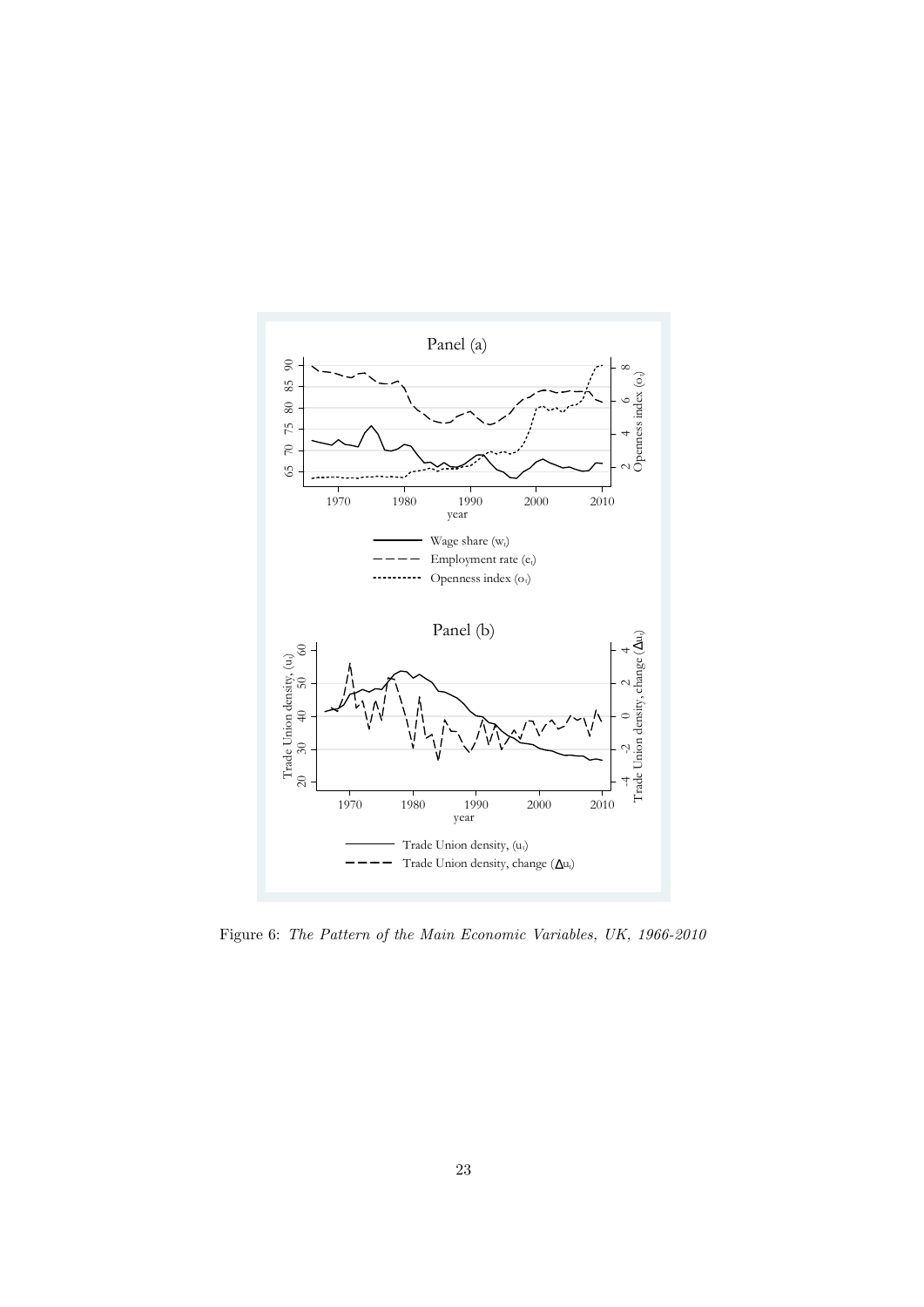

Figure 6: The Pattern of the Main Economic Variables, UK, 1966-2010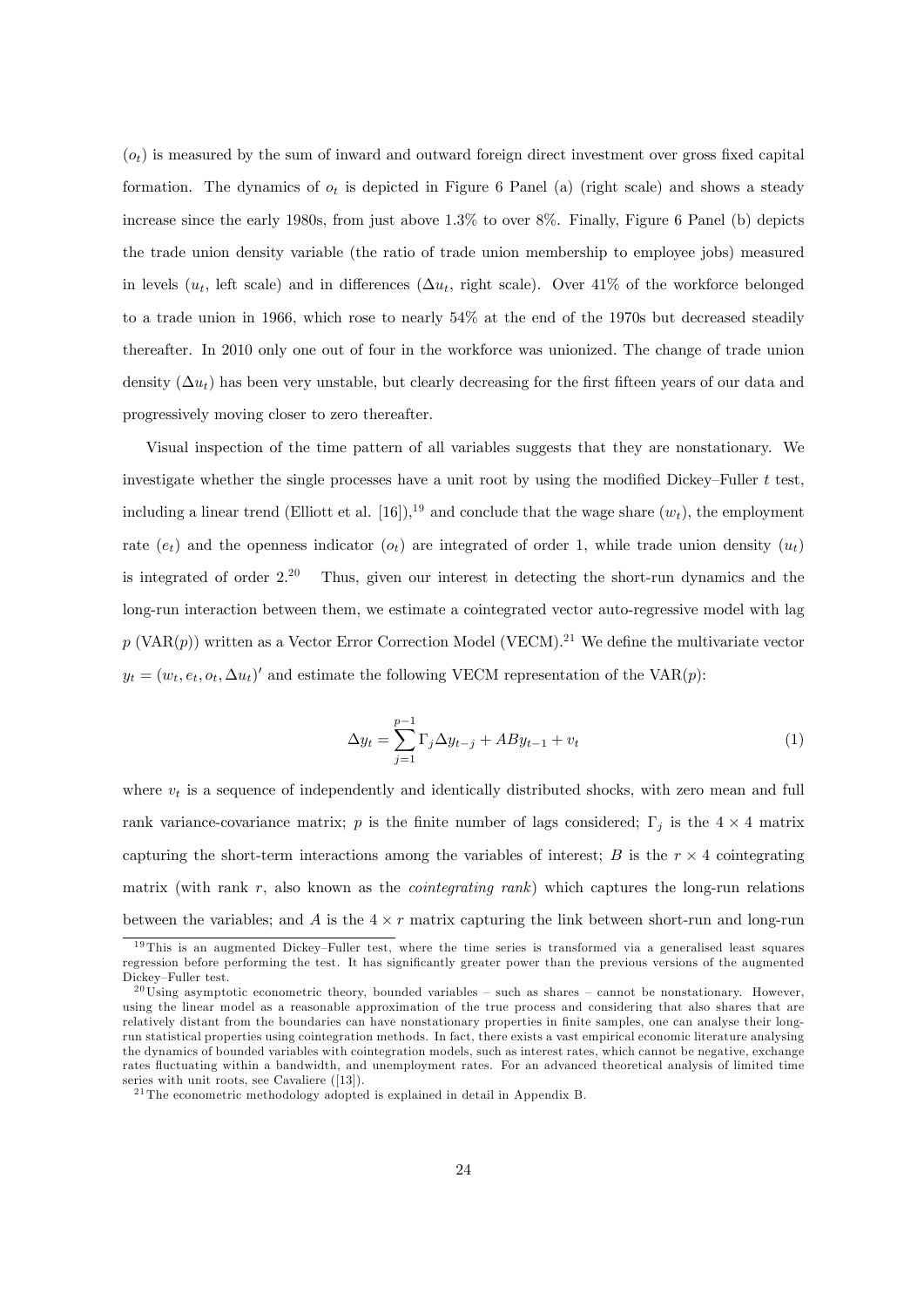$(o_t)$  is measured by the sum of inward and outward foreign direct investment over gross fixed capital formation. The dynamics of  $o_t$  is depicted in Figure 6 Panel (a) (right scale) and shows a steady increase since the early 1980s, from just above 1.3% to over 8%. Finally, Figure 6 Panel (b) depicts the trade union density variable (the ratio of trade union membership to employee jobs) measured in levels ( $u_t$ , left scale) and in differences ( $\Delta u_t$ , right scale). Over 41% of the workforce belonged to a trade union in 1966, which rose to nearly 54% at the end of the 1970s but decreased steadily thereafter. In 2010 only one out of four in the workforce was unionized. The change of trade union density  $(\Delta u_t)$  has been very unstable, but clearly decreasing for the first fifteen years of our data and progressively moving closer to zero thereafter.

Visual inspection of the time pattern of all variables suggests that they are nonstationary. We investigate whether the single processes have a unit root by using the modified Dickey–Fuller  $t$  test, including a linear trend (Elliott et al. [16]),<sup>19</sup> and conclude that the wage share  $(w_t)$ , the employment rate (e<sub>t</sub>) and the openness indicator (o<sub>t</sub>) are integrated of order 1, while trade union density ( $u_t$ ) is integrated of order  $2^{20}$  Thus, given our interest in detecting the short-run dynamics and the long-run interaction between them, we estimate a cointegrated vector auto-regressive model with lag  $p$  (VAR(p)) written as a Vector Error Correction Model (VECM).<sup>21</sup> We define the multivariate vector  $y_t = (w_t, e_t, o_t, \Delta u_t)'$  and estimate the following VECM representation of the VAR(p):

$$
\Delta y_t = \sum_{j=1}^{p-1} \Gamma_j \Delta y_{t-j} + AB y_{t-1} + v_t \tag{1}
$$

where  $v_t$  is a sequence of independently and identically distributed shocks, with zero mean and full rank variance-covariance matrix; p is the finite number of lags considered;  $\Gamma_j$  is the  $4 \times 4$  matrix capturing the short-term interactions among the variables of interest;  $B$  is the  $r \times 4$  cointegrating matrix (with rank r, also known as the *cointegrating rank*) which captures the long-run relations between the variables; and A is the  $4 \times r$  matrix capturing the link between short-run and long-run

 $19$ This is an augmented Dickey-Fuller test, where the time series is transformed via a generalised least squares regression before performing the test. It has significantly greater power than the previous versions of the augmented Dickey-Fuller test.

 $20 \text{ Using asymptotic econometric theory, bounded variables - such as shares - cannot be nonstationary. However,}$ using the linear model as a reasonable approximation of the true process and considering that also shares that are relatively distant from the boundaries can have nonstationary properties in finite samples, one can analyse their longrun statistical properties using cointegration methods. In fact, there exists a vast empirical economic literature analysing the dynamics of bounded variables with cointegration models, such as interest rates, which cannot be negative, exchange rates fluctuating within a bandwidth, and unemployment rates. For an advanced theoretical analysis of limited time series with unit roots, see Cavaliere ([13]).

 $^{21}\mathrm{The}$ econometric methodology adopted is explained in detail in Appendix B.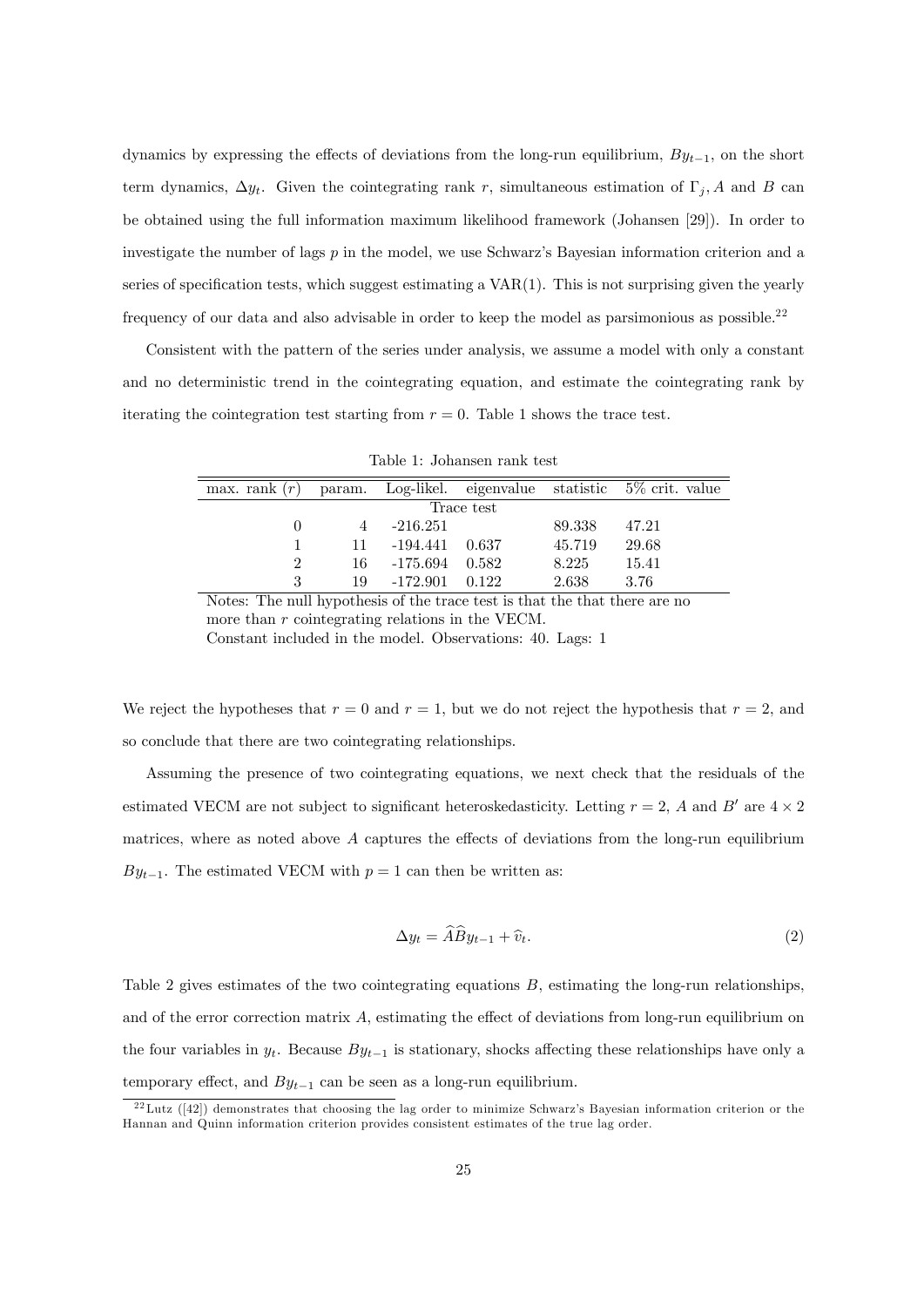dynamics by expressing the effects of deviations from the long-run equilibrium,  $By_{t-1}$ , on the short term dynamics,  $\Delta y_t$ . Given the cointegrating rank r, simultaneous estimation of  $\Gamma_i$ , A and B can be obtained using the full information maximum likelihood framework (Johansen [29]). In order to investigate the number of lags  $p$  in the model, we use Schwarz's Bayesian information criterion and a series of specification tests, which suggest estimating a  $VAR(1)$ . This is not surprising given the yearly frequency of our data and also advisable in order to keep the model as parsimonious as possible.<sup>22</sup>

Consistent with the pattern of the series under analysis, we assume a model with only a constant and no deterministic trend in the cointegrating equation, and estimate the cointegrating rank by iterating the cointegration test starting from  $r = 0$ . Table 1 shows the trace test.

| max. rank $(r)$ |    |                  |       |        | param. Log-likel. eigenvalue statistic 5\% crit. value |
|-----------------|----|------------------|-------|--------|--------------------------------------------------------|
| Trace test      |    |                  |       |        |                                                        |
|                 |    | $-216.251$       |       | 89.338 | 47.21                                                  |
|                 | 11 | $-194.441$ 0.637 |       | 45.719 | 29.68                                                  |
| 2               | 16 | $-175.694$ 0.582 |       | 8.225  | 15.41                                                  |
| 3               | 19 | $-172.901$       | 0.122 | 2.638  | 3.76                                                   |

Table 1: Johansen rank test

Notes: The null hypothesis of the trace test is that the that there are no more than r cointegrating relations in the VECM. Constant included in the model. Observations: 40. Lags: 1

We reject the hypotheses that  $r = 0$  and  $r = 1$ , but we do not reject the hypothesis that  $r = 2$ , and so conclude that there are two cointegrating relationships.

Assuming the presence of two cointegrating equations, we next check that the residuals of the estimated VECM are not subject to significant heteroskedasticity. Letting  $r = 2$ , A and B' are  $4 \times 2$ matrices, where as noted above  $A$  captures the effects of deviations from the long-run equilibrium  $By_{t-1}$ . The estimated VECM with  $p = 1$  can then be written as:

$$
\Delta y_t = \widehat{A}\widehat{B}y_{t-1} + \widehat{v}_t.
$$
\n(2)

Table 2 gives estimates of the two cointegrating equations  $B$ , estimating the long-run relationships, and of the error correction matrix  $A$ , estimating the effect of deviations from long-run equilibrium on the four variables in  $y_t$ . Because  $By_{t-1}$  is stationary, shocks affecting these relationships have only a temporary effect, and  $By_{t-1}$  can be seen as a long-run equilibrium.

 $^{22}$ Lutz ([42]) demonstrates that choosing the lag order to minimize Schwarz's Bayesian information criterion or the Hannan and Quinn information criterion provides consistent estimates of the true lag order.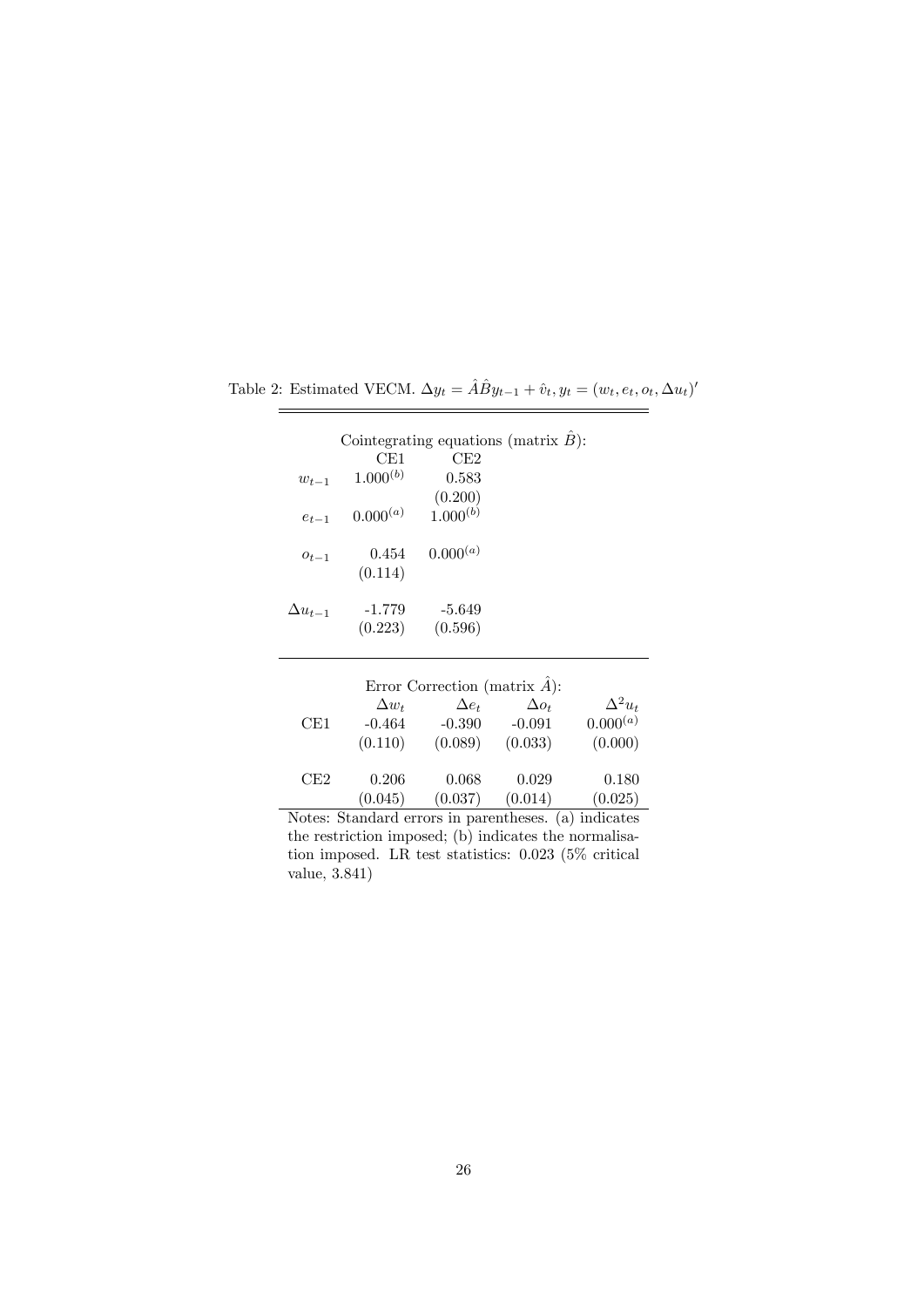Table 2: Estimated VECM.  $\Delta y_t = \hat{A}\hat{B}y_{t-1} + \hat{v}_t, y_t = (w_t, e_t, o_t, \Delta u_t)$ 

|                  |               | Cointegrating equations (matrix $\hat{B}$ ): |  |
|------------------|---------------|----------------------------------------------|--|
|                  | CE1           | CE2                                          |  |
| $w_{t-1}$        | $1.000^{(b)}$ | 0.583                                        |  |
|                  |               | $(0.200)$<br>$1.000^{(b)}$                   |  |
| $e_{t-1}$        | $0.000^{(a)}$ |                                              |  |
|                  | 0.454         | $0.000^{(a)}$                                |  |
| $o_{t-1}$        | (0.114)       |                                              |  |
|                  |               |                                              |  |
| $\Delta u_{t-1}$ | $-1.779$      | $-5.649$                                     |  |
|                  | (0.223)       | (0.596)                                      |  |
|                  |               |                                              |  |

| Error Correction (matrix $\hat{A}$ ): |              |              |              |                |  |  |  |
|---------------------------------------|--------------|--------------|--------------|----------------|--|--|--|
|                                       | $\Delta w_t$ | $\Delta e_t$ | $\Delta o_t$ | $\Delta^2 u_t$ |  |  |  |
| CE1                                   | $-0.464$     | $-0.390$     | $-0.091$     | $0.000^{(a)}$  |  |  |  |
|                                       | (0.110)      | (0.089)      | (0.033)      | (0.000)        |  |  |  |
|                                       |              |              |              |                |  |  |  |
| CE2                                   | 0.206        | 0.068        | 0.029        | 0.180          |  |  |  |
|                                       | (0.045)      | (0.037)      | (0.014)      | (0.025)        |  |  |  |

Notes: Standard errors in parentheses. (a) indicates the restriction imposed; (b) indicates the normalisation imposed. LR test statistics: 0.023 (5% critical value, 3.841)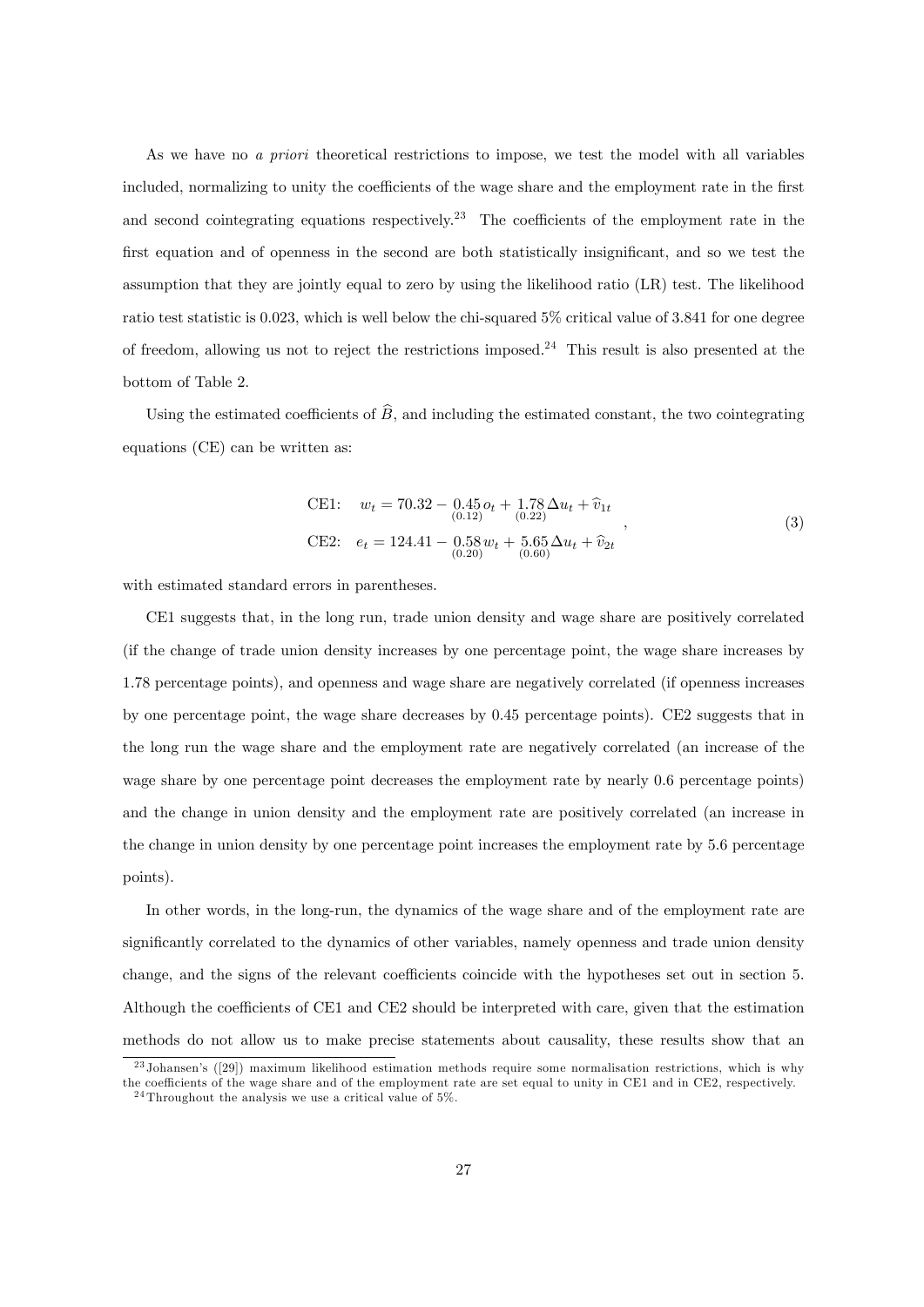As we have no a priori theoretical restrictions to impose, we test the model with all variables included, normalizing to unity the coefficients of the wage share and the employment rate in the first and second cointegrating equations respectively.<sup>23</sup> The coefficients of the employment rate in the first equation and of openness in the second are both statistically insignificant, and so we test the assumption that they are jointly equal to zero by using the likelihood ratio (LR) test. The likelihood ratio test statistic is 0:023, which is well below the chi-squared 5% critical value of 3:841 for one degree of freedom, allowing us not to reject the restrictions imposed.<sup>24</sup> This result is also presented at the bottom of Table 2.

Using the estimated coefficients of  $\widehat{B}$ , and including the estimated constant, the two cointegrating equations (CE) can be written as:

CE1: 
$$
w_t = 70.32 - 0.45 o_t + 1.78 \Delta u_t + \hat{v}_{1t}
$$
  
\nCE2:  $e_t = 124.41 - 0.58 w_t + 5.65 \Delta u_t + \hat{v}_{2t}$  (3)  
\n $\overline{0.20}$  (3)

with estimated standard errors in parentheses.

CE1 suggests that, in the long run, trade union density and wage share are positively correlated (if the change of trade union density increases by one percentage point, the wage share increases by 1.78 percentage points), and openness and wage share are negatively correlated (if openness increases by one percentage point, the wage share decreases by 0.45 percentage points). CE2 suggests that in the long run the wage share and the employment rate are negatively correlated (an increase of the wage share by one percentage point decreases the employment rate by nearly 0.6 percentage points) and the change in union density and the employment rate are positively correlated (an increase in the change in union density by one percentage point increases the employment rate by 5.6 percentage points).

In other words, in the long-run, the dynamics of the wage share and of the employment rate are significantly correlated to the dynamics of other variables, namely openness and trade union density change, and the signs of the relevant coefficients coincide with the hypotheses set out in section 5. Although the coefficients of CE1 and CE2 should be interpreted with care, given that the estimation methods do not allow us to make precise statements about causality, these results show that an

 $^{23}$  Johansen's ([29]) maximum likelihood estimation methods require some normalisation restrictions, which is why the coefficients of the wage share and of the employment rate are set equal to unity in CE1 and in CE2, respectively.

 $24$ Throughout the analysis we use a critical value of 5%.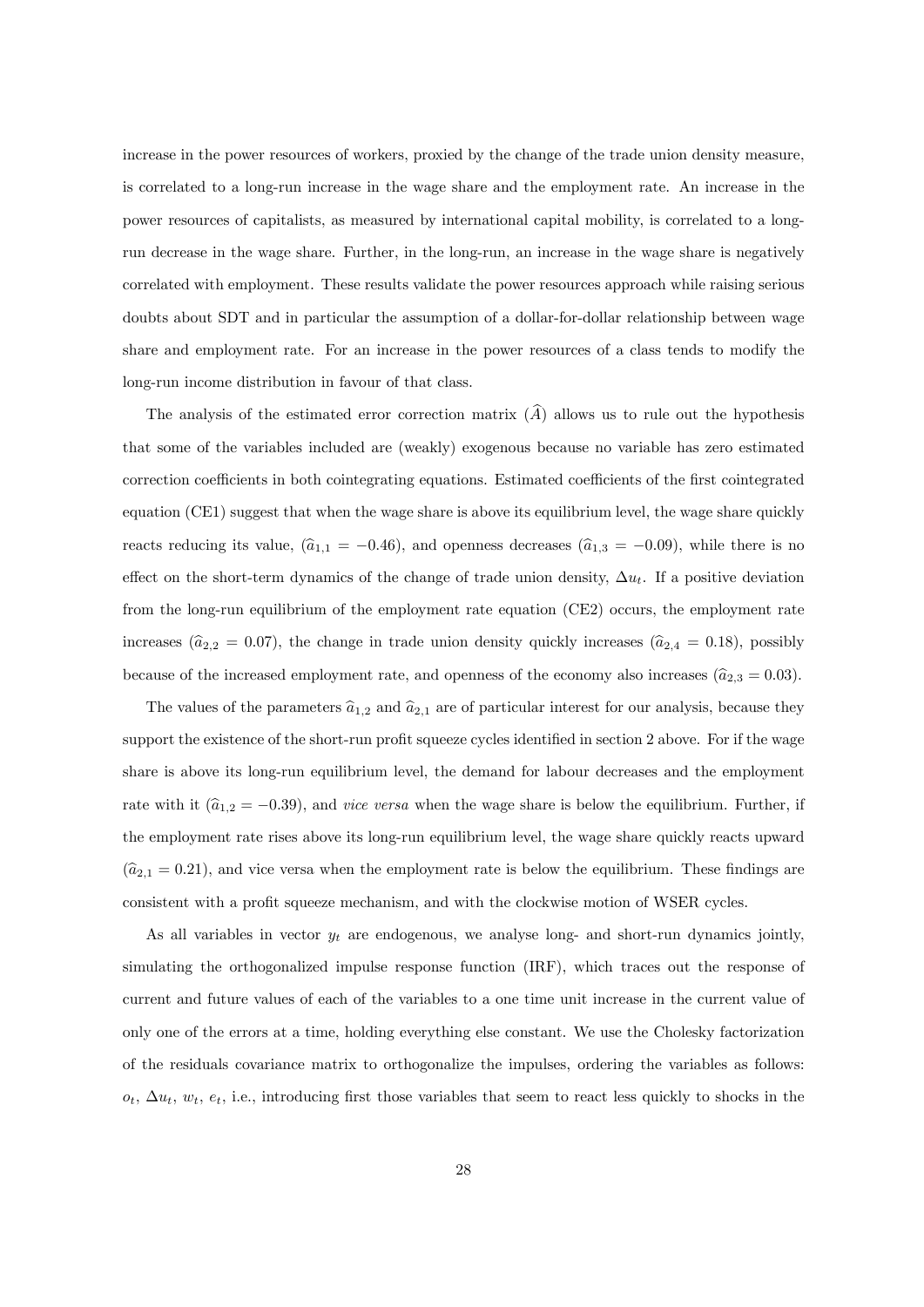increase in the power resources of workers, proxied by the change of the trade union density measure, is correlated to a long-run increase in the wage share and the employment rate. An increase in the power resources of capitalists, as measured by international capital mobility, is correlated to a longrun decrease in the wage share. Further, in the long-run, an increase in the wage share is negatively correlated with employment. These results validate the power resources approach while raising serious doubts about SDT and in particular the assumption of a dollar-for-dollar relationship between wage share and employment rate. For an increase in the power resources of a class tends to modify the long-run income distribution in favour of that class.

The analysis of the estimated error correction matrix  $(\widehat{A})$  allows us to rule out the hypothesis that some of the variables included are (weakly) exogenous because no variable has zero estimated correction coefficients in both cointegrating equations. Estimated coefficients of the first cointegrated equation (CE1) suggest that when the wage share is above its equilibrium level, the wage share quickly reacts reducing its value,  $(\hat{a}_{1,1} = -0.46)$ , and openness decreases  $(\hat{a}_{1,3} = -0.09)$ , while there is no effect on the short-term dynamics of the change of trade union density,  $\Delta u_t$ . If a positive deviation from the long-run equilibrium of the employment rate equation (CE2) occurs, the employment rate increases ( $\hat{a}_{2,2} = 0.07$ ), the change in trade union density quickly increases ( $\hat{a}_{2,4} = 0.18$ ), possibly because of the increased employment rate, and openness of the economy also increases  $(\hat{a}_{2,3} = 0.03)$ .

The values of the parameters  $\hat{a}_{1,2}$  and  $\hat{a}_{2,1}$  are of particular interest for our analysis, because they support the existence of the short-run profit squeeze cycles identified in section 2 above. For if the wage share is above its long-run equilibrium level, the demand for labour decreases and the employment rate with it  $(\hat{a}_{1,2} = -0.39)$ , and *vice versa* when the wage share is below the equilibrium. Further, if the employment rate rises above its long-run equilibrium level, the wage share quickly reacts upward  $(\hat{a}_{2,1} = 0.21)$ , and vice versa when the employment rate is below the equilibrium. These findings are consistent with a profit squeeze mechanism, and with the clockwise motion of WSER cycles.

As all variables in vector  $y_t$  are endogenous, we analyse long- and short-run dynamics jointly, simulating the orthogonalized impulse response function (IRF), which traces out the response of current and future values of each of the variables to a one time unit increase in the current value of only one of the errors at a time, holding everything else constant. We use the Cholesky factorization of the residuals covariance matrix to orthogonalize the impulses, ordering the variables as follows:  $o_t$ ,  $\Delta u_t$ ,  $w_t$ ,  $e_t$ , i.e., introducing first those variables that seem to react less quickly to shocks in the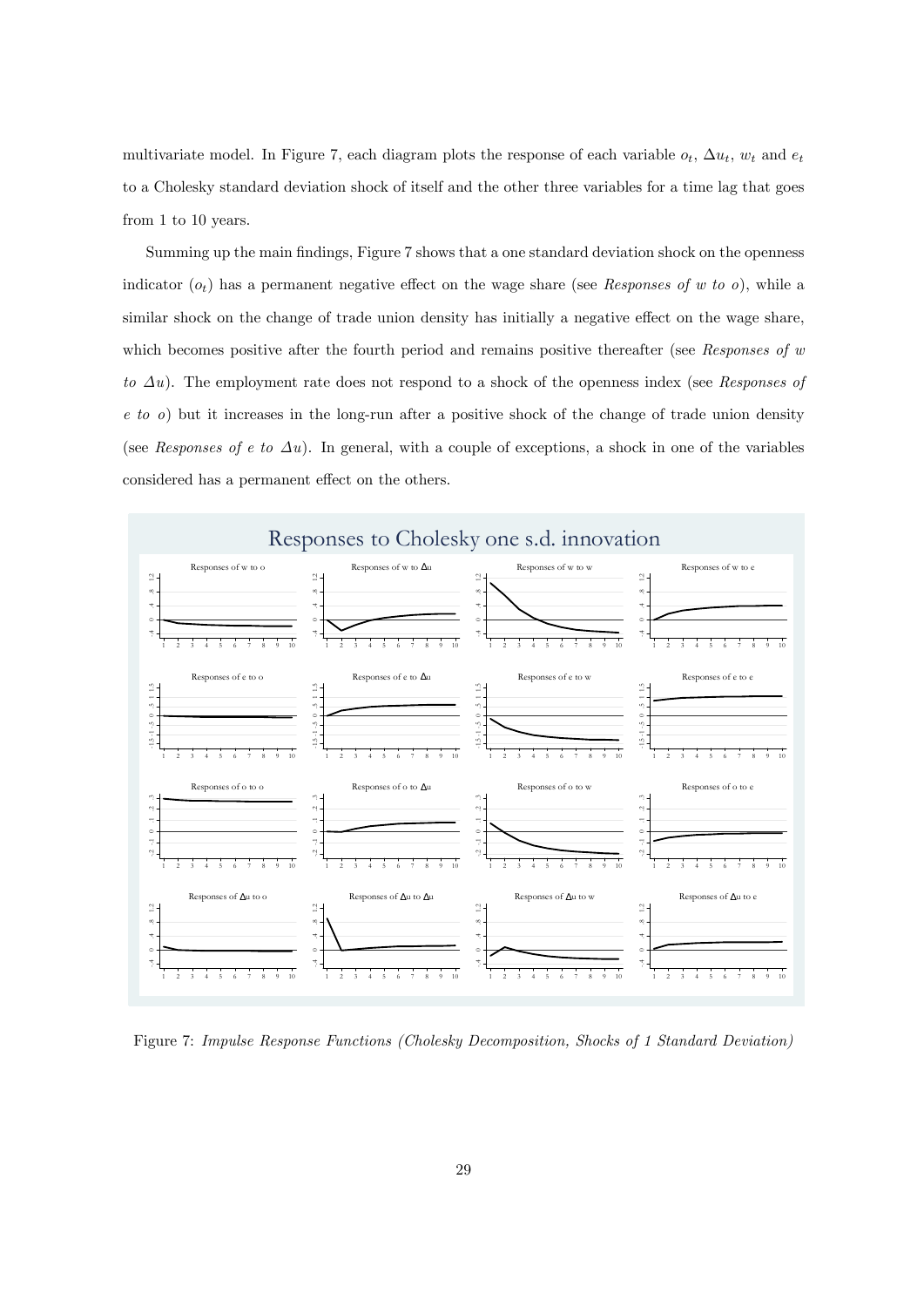multivariate model. In Figure 7, each diagram plots the response of each variable  $o_t$ ,  $\Delta u_t$ ,  $w_t$  and  $e_t$ to a Cholesky standard deviation shock of itself and the other three variables for a time lag that goes from 1 to 10 years.

Summing up the main findings, Figure 7 shows that a one standard deviation shock on the openness indicator  $(o_t)$  has a permanent negative effect on the wage share (see Responses of w to o), while a similar shock on the change of trade union density has initially a negative effect on the wage share, which becomes positive after the fourth period and remains positive thereafter (see Responses of  $w$ to  $\Delta u$ ). The employment rate does not respond to a shock of the openness index (see Responses of  $e$  to  $o$ ) but it increases in the long-run after a positive shock of the change of trade union density (see Responses of e to  $\Delta u$ ). In general, with a couple of exceptions, a shock in one of the variables considered has a permanent effect on the others.



Figure 7: Impulse Response Functions (Cholesky Decomposition, Shocks of 1 Standard Deviation)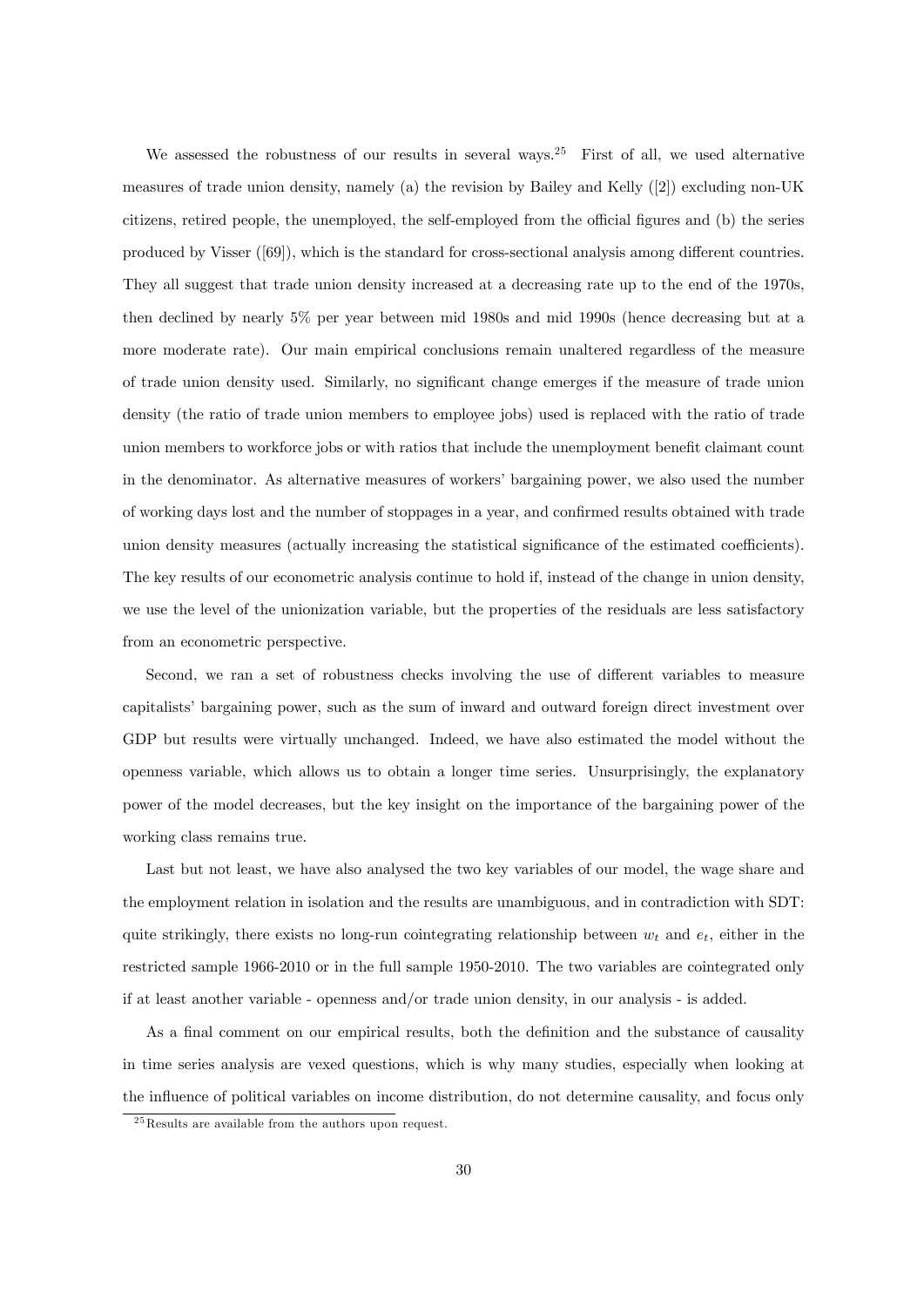We assessed the robustness of our results in several ways.<sup>25</sup> First of all, we used alternative measures of trade union density, namely (a) the revision by Bailey and Kelly ([2]) excluding non-UK citizens, retired people, the unemployed, the self-employed from the official figures and (b) the series produced by Visser  $(69)$ , which is the standard for cross-sectional analysis among different countries. They all suggest that trade union density increased at a decreasing rate up to the end of the 1970s, then declined by nearly 5% per year between mid 1980s and mid 1990s (hence decreasing but at a more moderate rate). Our main empirical conclusions remain unaltered regardless of the measure of trade union density used. Similarly, no significant change emerges if the measure of trade union density (the ratio of trade union members to employee jobs) used is replaced with the ratio of trade union members to workforce jobs or with ratios that include the unemployment benefit claimant count in the denominator. As alternative measures of workers' bargaining power, we also used the number of working days lost and the number of stoppages in a year, and confirmed results obtained with trade union density measures (actually increasing the statistical significance of the estimated coefficients). The key results of our econometric analysis continue to hold if, instead of the change in union density, we use the level of the unionization variable, but the properties of the residuals are less satisfactory from an econometric perspective.

Second, we ran a set of robustness checks involving the use of different variables to measure capitalists' bargaining power, such as the sum of inward and outward foreign direct investment over GDP but results were virtually unchanged. Indeed, we have also estimated the model without the openness variable, which allows us to obtain a longer time series. Unsurprisingly, the explanatory power of the model decreases, but the key insight on the importance of the bargaining power of the working class remains true.

Last but not least, we have also analysed the two key variables of our model, the wage share and the employment relation in isolation and the results are unambiguous, and in contradiction with SDT: quite strikingly, there exists no long-run cointegrating relationship between  $w_t$  and  $e_t$ , either in the restricted sample 1966-2010 or in the full sample 1950-2010. The two variables are cointegrated only if at least another variable - openness and/or trade union density, in our analysis - is added.

As a final comment on our empirical results, both the definition and the substance of causality in time series analysis are vexed questions, which is why many studies, especially when looking at the ináuence of political variables on income distribution, do not determine causality, and focus only

 $^{25}$ Results are available from the authors upon request.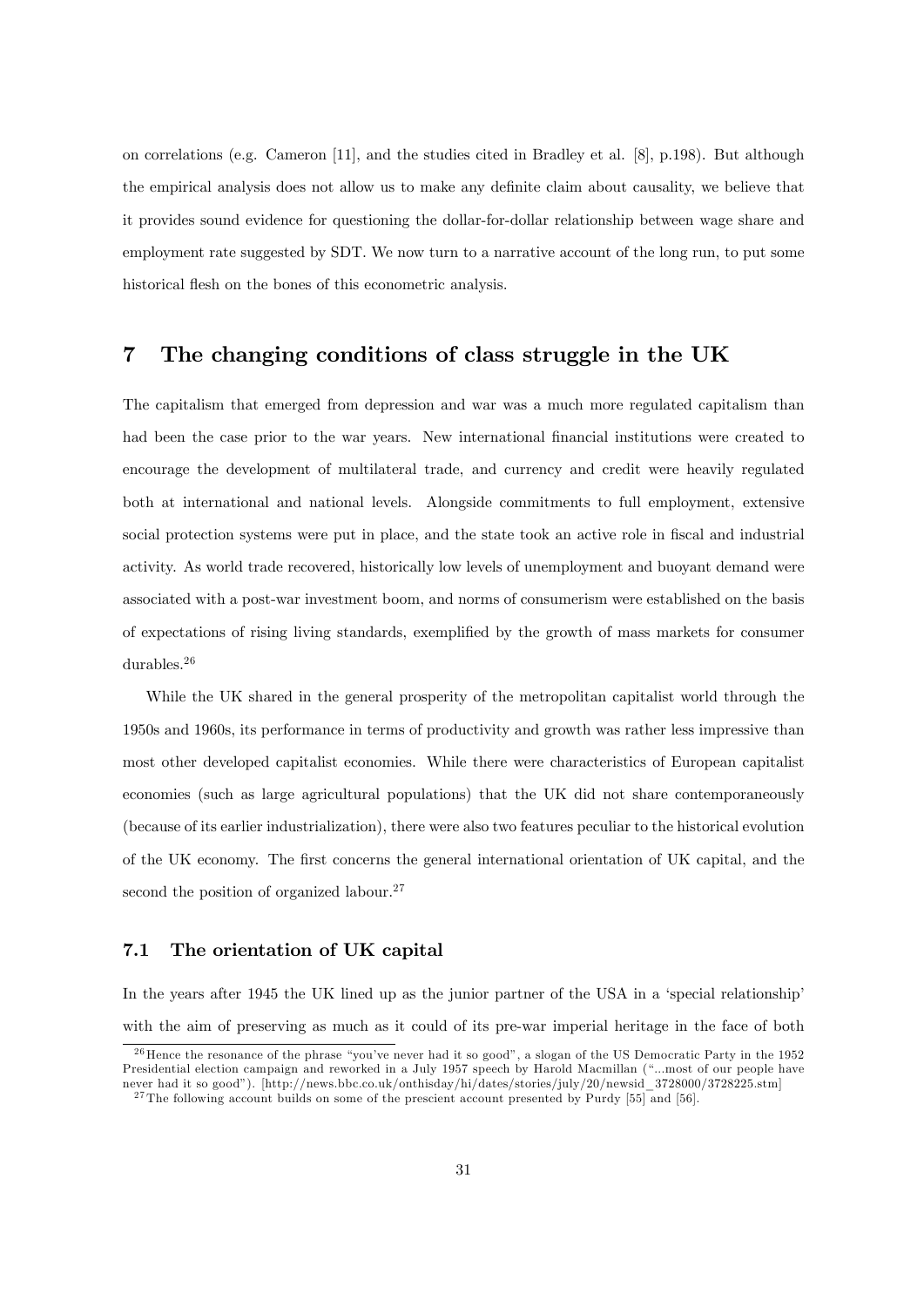on correlations (e.g. Cameron [11], and the studies cited in Bradley et al. [8], p.198). But although the empirical analysis does not allow us to make any definite claim about causality, we believe that it provides sound evidence for questioning the dollar-for-dollar relationship between wage share and employment rate suggested by SDT. We now turn to a narrative account of the long run, to put some historical flesh on the bones of this econometric analysis.

# 7 The changing conditions of class struggle in the UK

The capitalism that emerged from depression and war was a much more regulated capitalism than had been the case prior to the war years. New international financial institutions were created to encourage the development of multilateral trade, and currency and credit were heavily regulated both at international and national levels. Alongside commitments to full employment, extensive social protection systems were put in place, and the state took an active role in fiscal and industrial activity. As world trade recovered, historically low levels of unemployment and buoyant demand were associated with a post-war investment boom, and norms of consumerism were established on the basis of expectations of rising living standards, exemplified by the growth of mass markets for consumer durables.<sup>26</sup>

While the UK shared in the general prosperity of the metropolitan capitalist world through the 1950s and 1960s, its performance in terms of productivity and growth was rather less impressive than most other developed capitalist economies. While there were characteristics of European capitalist economies (such as large agricultural populations) that the UK did not share contemporaneously (because of its earlier industrialization), there were also two features peculiar to the historical evolution of the UK economy. The first concerns the general international orientation of UK capital, and the second the position of organized labour.<sup>27</sup>

#### 7.1 The orientation of UK capital

In the years after 1945 the UK lined up as the junior partner of the USA in a 'special relationship' with the aim of preserving as much as it could of its pre-war imperial heritage in the face of both

 $26$  Hence the resonance of the phrase "you've never had it so good", a slogan of the US Democratic Party in the 1952 Presidential election campaign and reworked in a July 1957 speech by Harold Macmillan ("...most of our people have never had it so good"). [http://news.bbc.co.uk/onthisday/hi/dates/stories/july/20/newsid\_3728000/3728225.stm]

<sup>&</sup>lt;sup>27</sup> The following account builds on some of the prescient account presented by Purdy [55] and [56].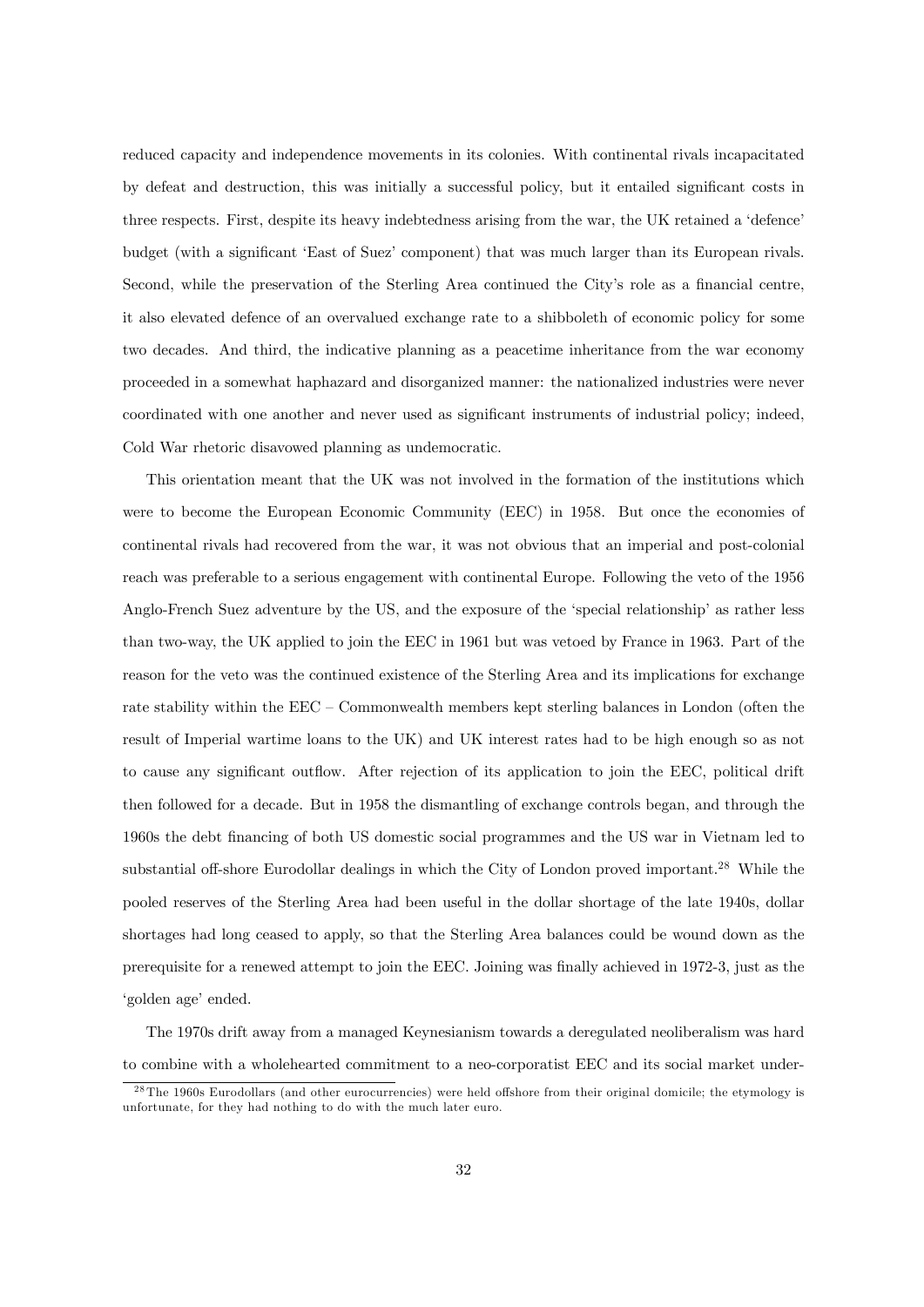reduced capacity and independence movements in its colonies. With continental rivals incapacitated by defeat and destruction, this was initially a successful policy, but it entailed significant costs in three respects. First, despite its heavy indebtedness arising from the war, the UK retained a 'defence' budget (with a significant 'East of Suez' component) that was much larger than its European rivals. Second, while the preservation of the Sterling Area continued the City's role as a financial centre, it also elevated defence of an overvalued exchange rate to a shibboleth of economic policy for some two decades. And third, the indicative planning as a peacetime inheritance from the war economy proceeded in a somewhat haphazard and disorganized manner: the nationalized industries were never coordinated with one another and never used as significant instruments of industrial policy; indeed, Cold War rhetoric disavowed planning as undemocratic.

This orientation meant that the UK was not involved in the formation of the institutions which were to become the European Economic Community (EEC) in 1958. But once the economies of continental rivals had recovered from the war, it was not obvious that an imperial and post-colonial reach was preferable to a serious engagement with continental Europe. Following the veto of the 1956 Anglo-French Suez adventure by the US, and the exposure of the 'special relationship' as rather less than two-way, the UK applied to join the EEC in 1961 but was vetoed by France in 1963. Part of the reason for the veto was the continued existence of the Sterling Area and its implications for exchange rate stability within the  $EEC -$  Commonwealth members kept sterling balances in London (often the result of Imperial wartime loans to the UK) and UK interest rates had to be high enough so as not to cause any significant outflow. After rejection of its application to join the EEC, political drift then followed for a decade. But in 1958 the dismantling of exchange controls began, and through the 1960s the debt Önancing of both US domestic social programmes and the US war in Vietnam led to substantial off-shore Eurodollar dealings in which the City of London proved important.<sup>28</sup> While the pooled reserves of the Sterling Area had been useful in the dollar shortage of the late 1940s, dollar shortages had long ceased to apply, so that the Sterling Area balances could be wound down as the prerequisite for a renewed attempt to join the EEC. Joining was finally achieved in 1972-3, just as the 'golden age' ended.

The 1970s drift away from a managed Keynesianism towards a deregulated neoliberalism was hard to combine with a wholehearted commitment to a neo-corporatist EEC and its social market under-

 $2<sup>8</sup>$ The 1960s Eurodollars (and other eurocurrencies) were held offshore from their original domicile; the etymology is unfortunate, for they had nothing to do with the much later euro.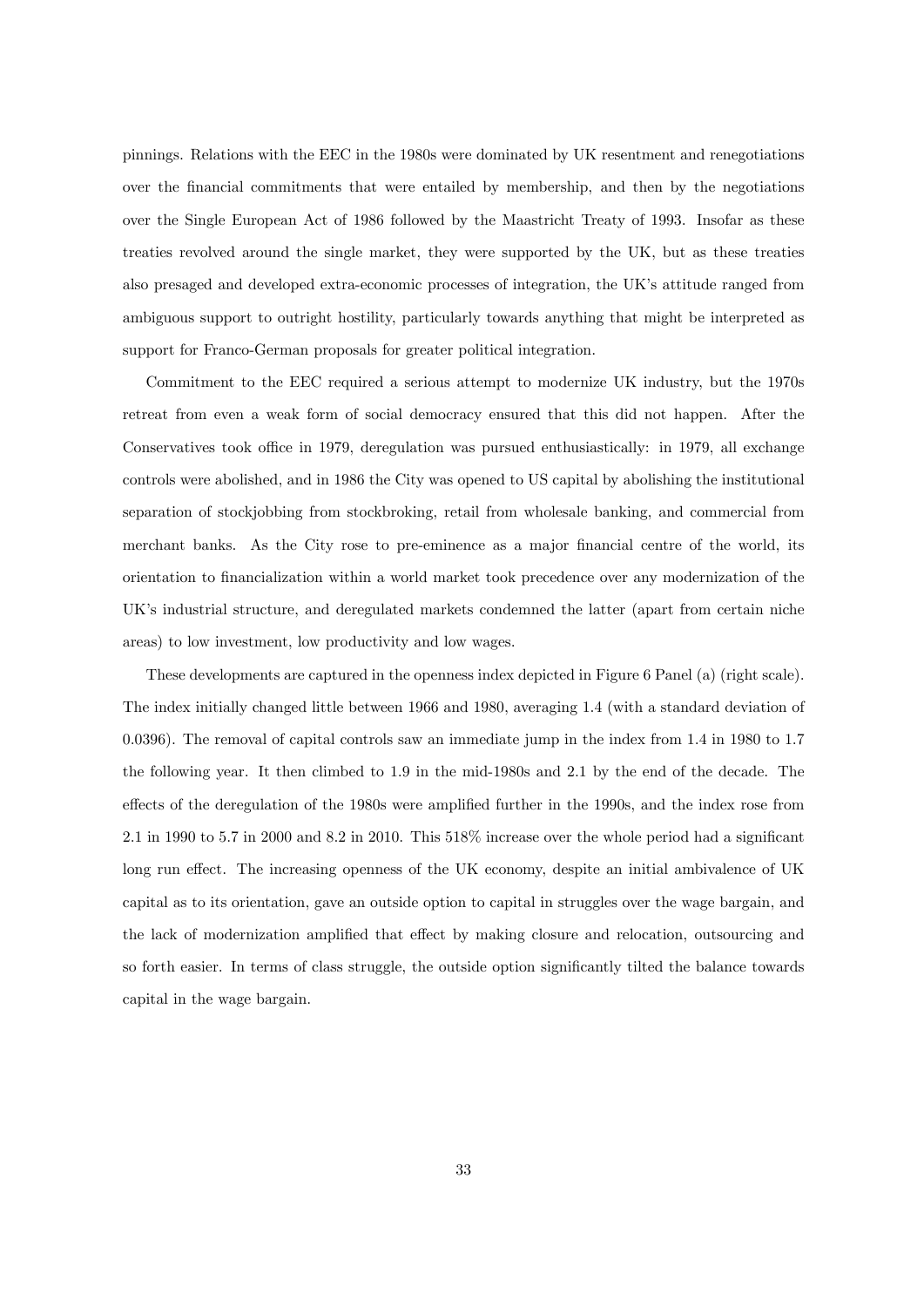pinnings. Relations with the EEC in the 1980s were dominated by UK resentment and renegotiations over the Önancial commitments that were entailed by membership, and then by the negotiations over the Single European Act of 1986 followed by the Maastricht Treaty of 1993. Insofar as these treaties revolved around the single market, they were supported by the UK, but as these treaties also presaged and developed extra-economic processes of integration, the UKís attitude ranged from ambiguous support to outright hostility, particularly towards anything that might be interpreted as support for Franco-German proposals for greater political integration.

Commitment to the EEC required a serious attempt to modernize UK industry, but the 1970s retreat from even a weak form of social democracy ensured that this did not happen. After the Conservatives took office in 1979, deregulation was pursued enthusiastically: in 1979, all exchange controls were abolished, and in 1986 the City was opened to US capital by abolishing the institutional separation of stockjobbing from stockbroking, retail from wholesale banking, and commercial from merchant banks. As the City rose to pre-eminence as a major financial centre of the world, its orientation to Önancialization within a world market took precedence over any modernization of the UK's industrial structure, and deregulated markets condemned the latter (apart from certain niche areas) to low investment, low productivity and low wages.

These developments are captured in the openness index depicted in Figure 6 Panel (a) (right scale). The index initially changed little between 1966 and 1980, averaging 1.4 (with a standard deviation of 0.0396). The removal of capital controls saw an immediate jump in the index from 1.4 in 1980 to 1.7 the following year. It then climbed to 1.9 in the mid-1980s and 2.1 by the end of the decade. The effects of the deregulation of the 1980s were amplified further in the 1990s, and the index rose from 2.1 in 1990 to 5.7 in 2000 and 8.2 in 2010. This  $518\%$  increase over the whole period had a significant long run effect. The increasing openness of the UK economy, despite an initial ambivalence of UK capital as to its orientation, gave an outside option to capital in struggles over the wage bargain, and the lack of modernization amplified that effect by making closure and relocation, outsourcing and so forth easier. In terms of class struggle, the outside option significantly tilted the balance towards capital in the wage bargain.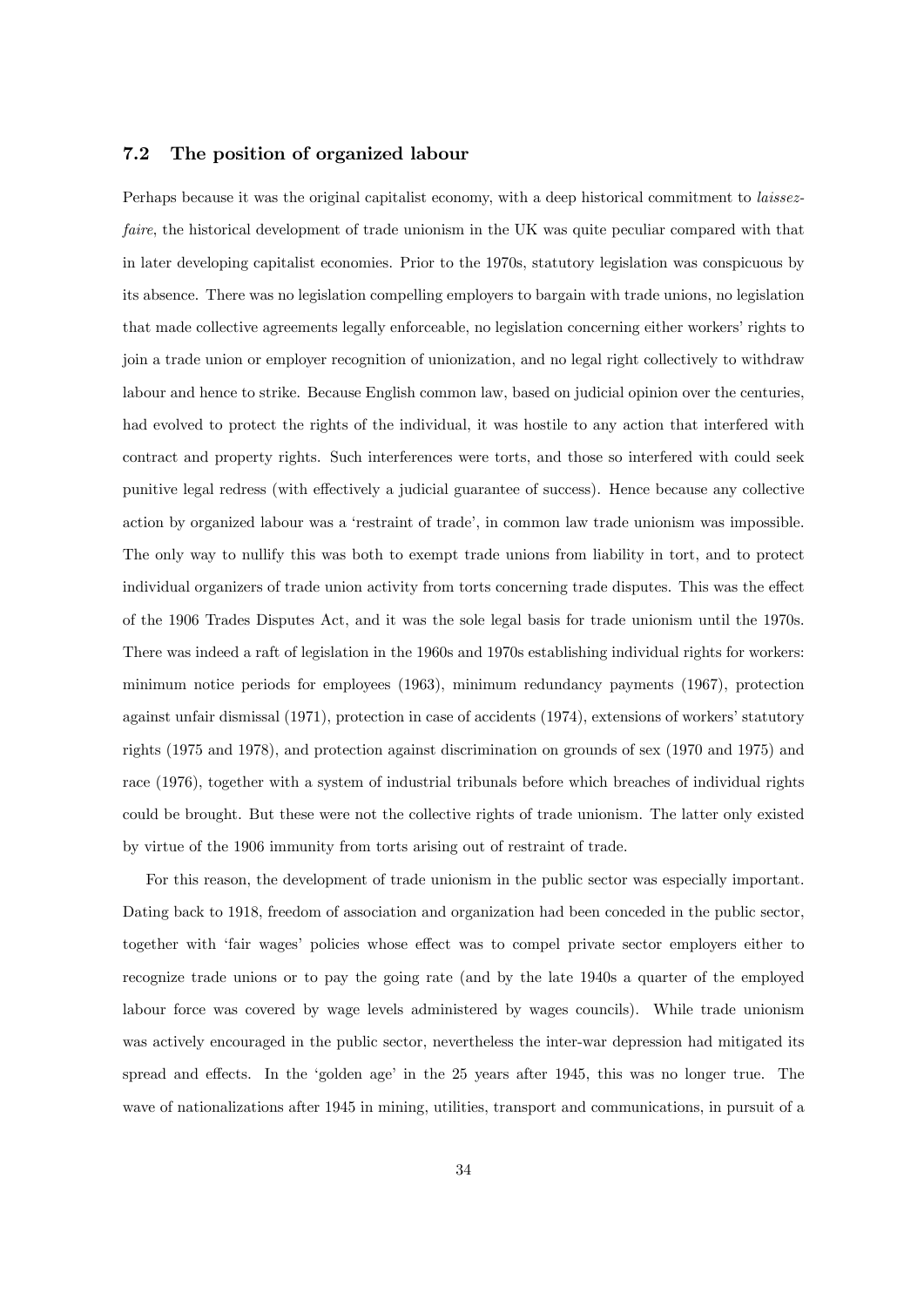#### 7.2 The position of organized labour

Perhaps because it was the original capitalist economy, with a deep historical commitment to *laissez*faire, the historical development of trade unionism in the UK was quite peculiar compared with that in later developing capitalist economies. Prior to the 1970s, statutory legislation was conspicuous by its absence. There was no legislation compelling employers to bargain with trade unions, no legislation that made collective agreements legally enforceable, no legislation concerning either workers' rights to join a trade union or employer recognition of unionization, and no legal right collectively to withdraw labour and hence to strike. Because English common law, based on judicial opinion over the centuries, had evolved to protect the rights of the individual, it was hostile to any action that interfered with contract and property rights. Such interferences were torts, and those so interfered with could seek punitive legal redress (with effectively a judicial guarantee of success). Hence because any collective action by organized labour was a 'restraint of trade', in common law trade unionism was impossible. The only way to nullify this was both to exempt trade unions from liability in tort, and to protect individual organizers of trade union activity from torts concerning trade disputes. This was the effect of the 1906 Trades Disputes Act, and it was the sole legal basis for trade unionism until the 1970s. There was indeed a raft of legislation in the 1960s and 1970s establishing individual rights for workers: minimum notice periods for employees (1963), minimum redundancy payments (1967), protection against unfair dismissal (1971), protection in case of accidents (1974), extensions of workers' statutory rights (1975 and 1978), and protection against discrimination on grounds of sex (1970 and 1975) and race (1976), together with a system of industrial tribunals before which breaches of individual rights could be brought. But these were not the collective rights of trade unionism. The latter only existed by virtue of the 1906 immunity from torts arising out of restraint of trade.

For this reason, the development of trade unionism in the public sector was especially important. Dating back to 1918, freedom of association and organization had been conceded in the public sector, together with 'fair wages' policies whose effect was to compel private sector employers either to recognize trade unions or to pay the going rate (and by the late 1940s a quarter of the employed labour force was covered by wage levels administered by wages councils). While trade unionism was actively encouraged in the public sector, nevertheless the inter-war depression had mitigated its spread and effects. In the 'golden age' in the 25 years after 1945, this was no longer true. The wave of nationalizations after 1945 in mining, utilities, transport and communications, in pursuit of a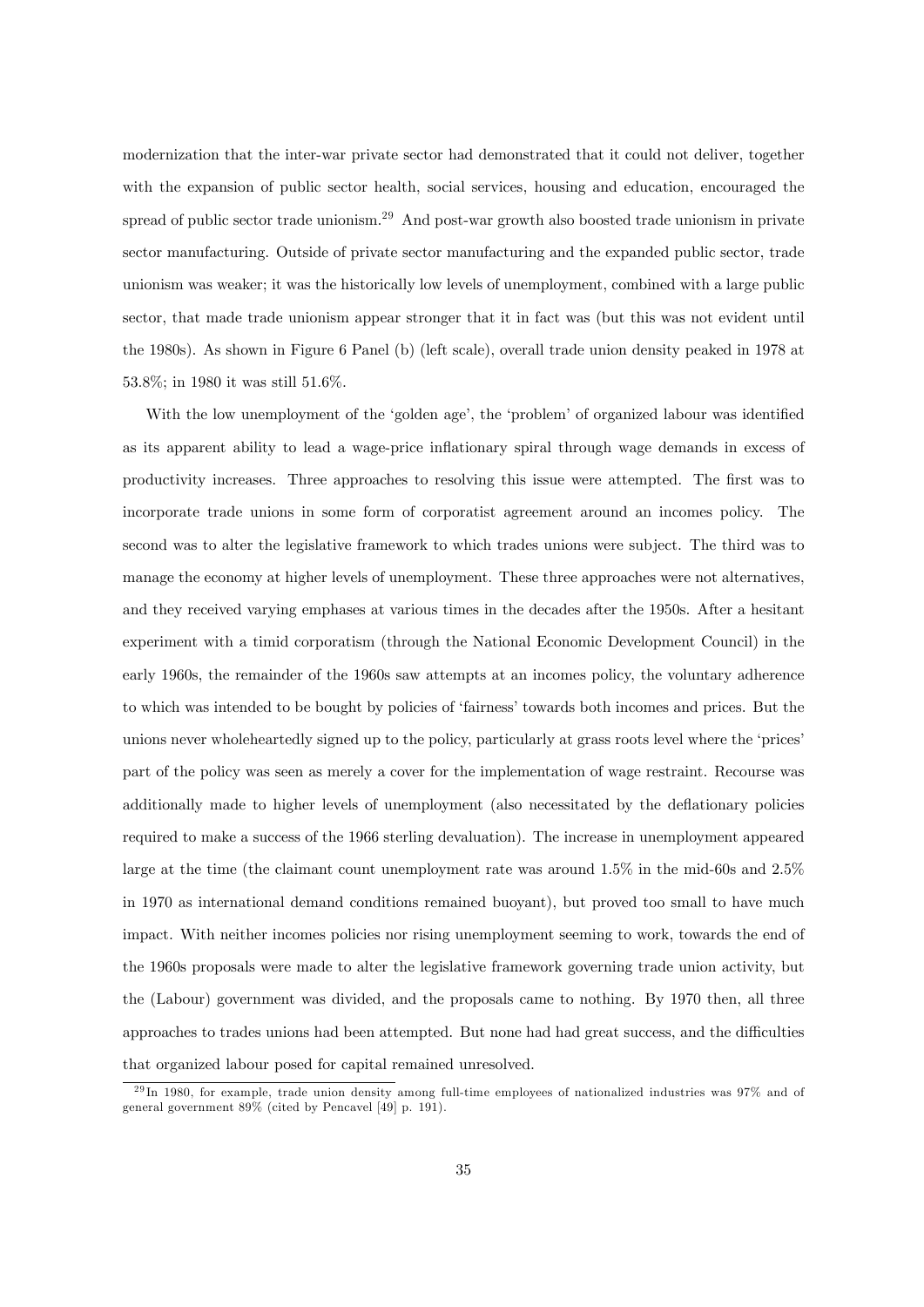modernization that the inter-war private sector had demonstrated that it could not deliver, together with the expansion of public sector health, social services, housing and education, encouraged the spread of public sector trade unionism.<sup>29</sup> And post-war growth also boosted trade unionism in private sector manufacturing. Outside of private sector manufacturing and the expanded public sector, trade unionism was weaker; it was the historically low levels of unemployment, combined with a large public sector, that made trade unionism appear stronger that it in fact was (but this was not evident until the 1980s). As shown in Figure 6 Panel (b) (left scale), overall trade union density peaked in 1978 at 53.8%; in 1980 it was still 51.6%.

With the low unemployment of the 'golden age', the 'problem' of organized labour was identified as its apparent ability to lead a wage-price inflationary spiral through wage demands in excess of productivity increases. Three approaches to resolving this issue were attempted. The first was to incorporate trade unions in some form of corporatist agreement around an incomes policy. The second was to alter the legislative framework to which trades unions were subject. The third was to manage the economy at higher levels of unemployment. These three approaches were not alternatives, and they received varying emphases at various times in the decades after the 1950s. After a hesitant experiment with a timid corporatism (through the National Economic Development Council) in the early 1960s, the remainder of the 1960s saw attempts at an incomes policy, the voluntary adherence to which was intended to be bought by policies of 'fairness' towards both incomes and prices. But the unions never wholeheartedly signed up to the policy, particularly at grass roots level where the 'prices' part of the policy was seen as merely a cover for the implementation of wage restraint. Recourse was additionally made to higher levels of unemployment (also necessitated by the deflationary policies required to make a success of the 1966 sterling devaluation). The increase in unemployment appeared large at the time (the claimant count unemployment rate was around 1.5% in the mid-60s and 2.5% in 1970 as international demand conditions remained buoyant), but proved too small to have much impact. With neither incomes policies nor rising unemployment seeming to work, towards the end of the 1960s proposals were made to alter the legislative framework governing trade union activity, but the (Labour) government was divided, and the proposals came to nothing. By 1970 then, all three approaches to trades unions had been attempted. But none had had great success, and the difficulties that organized labour posed for capital remained unresolved.

 $^{29}$ In 1980, for example, trade union density among full-time employees of nationalized industries was 97% and of general government 89% (cited by Pencavel [49] p. 191).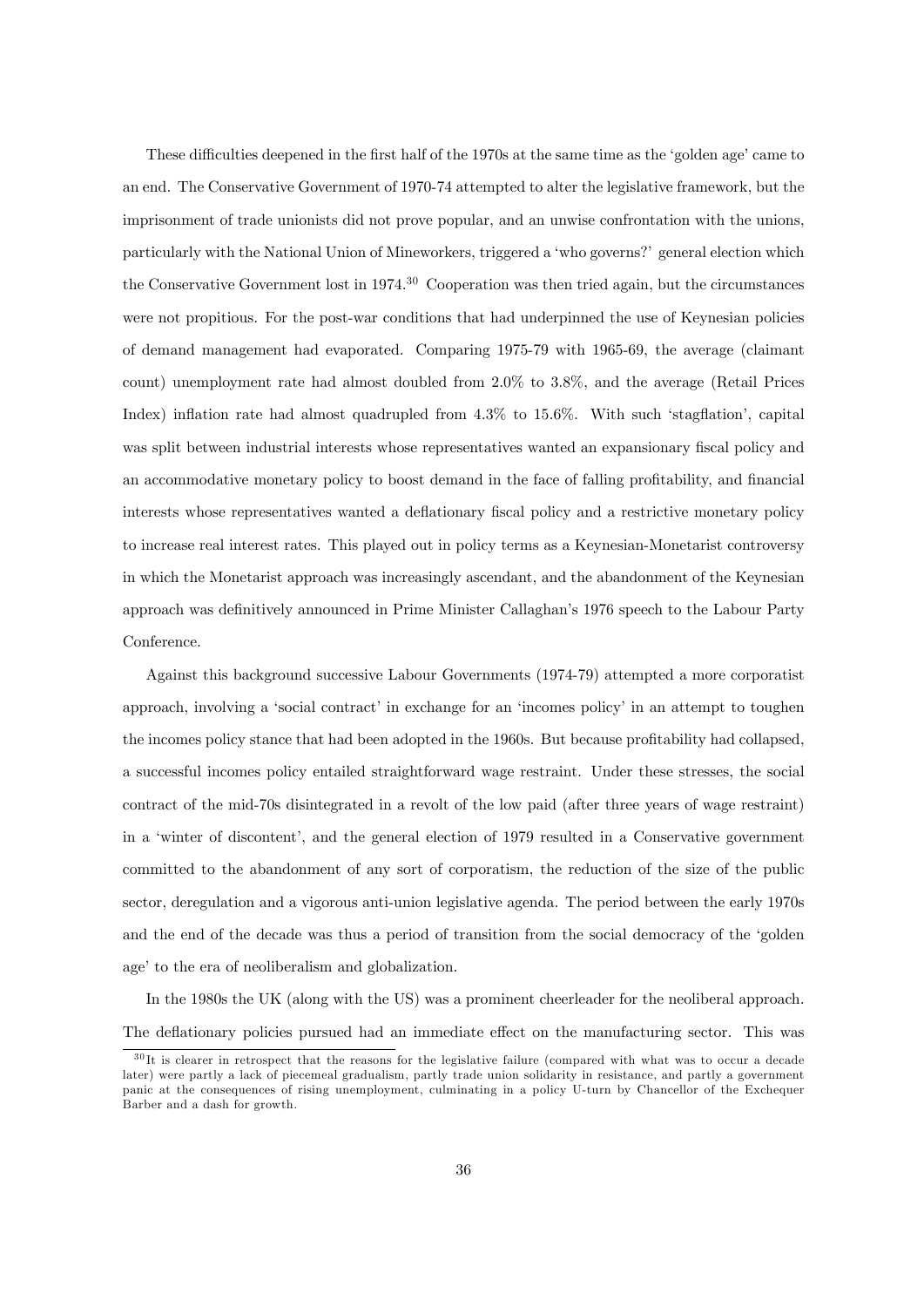These difficulties deepened in the first half of the 1970s at the same time as the 'golden age' came to an end. The Conservative Government of 1970-74 attempted to alter the legislative framework, but the imprisonment of trade unionists did not prove popular, and an unwise confrontation with the unions, particularly with the National Union of Mineworkers, triggered a 'who governs?' general election which the Conservative Government lost in 1974.<sup>30</sup> Cooperation was then tried again, but the circumstances were not propitious. For the post-war conditions that had underpinned the use of Keynesian policies of demand management had evaporated. Comparing 1975-79 with 1965-69, the average (claimant count) unemployment rate had almost doubled from 2.0% to 3.8%, and the average (Retail Prices Index) inflation rate had almost quadrupled from  $4.3\%$  to  $15.6\%$ . With such 'stagflation', capital was split between industrial interests whose representatives wanted an expansionary fiscal policy and an accommodative monetary policy to boost demand in the face of falling profitability, and financial interests whose representatives wanted a deflationary fiscal policy and a restrictive monetary policy to increase real interest rates. This played out in policy terms as a Keynesian-Monetarist controversy in which the Monetarist approach was increasingly ascendant, and the abandonment of the Keynesian approach was definitively announced in Prime Minister Callaghan's 1976 speech to the Labour Party Conference.

Against this background successive Labour Governments (1974-79) attempted a more corporatist approach, involving a 'social contract' in exchange for an 'incomes policy' in an attempt to toughen the incomes policy stance that had been adopted in the 1960s. But because profitability had collapsed, a successful incomes policy entailed straightforward wage restraint. Under these stresses, the social contract of the mid-70s disintegrated in a revolt of the low paid (after three years of wage restraint) in a 'winter of discontent', and the general election of 1979 resulted in a Conservative government committed to the abandonment of any sort of corporatism, the reduction of the size of the public sector, deregulation and a vigorous anti-union legislative agenda. The period between the early 1970s and the end of the decade was thus a period of transition from the social democracy of the ëgolden age' to the era of neoliberalism and globalization.

In the 1980s the UK (along with the US) was a prominent cheerleader for the neoliberal approach. The deflationary policies pursued had an immediate effect on the manufacturing sector. This was

 $30$ It is clearer in retrospect that the reasons for the legislative failure (compared with what was to occur a decade later) were partly a lack of piecemeal gradualism, partly trade union solidarity in resistance, and partly a government panic at the consequences of rising unemployment, culminating in a policy U-turn by Chancellor of the Exchequer Barber and a dash for growth.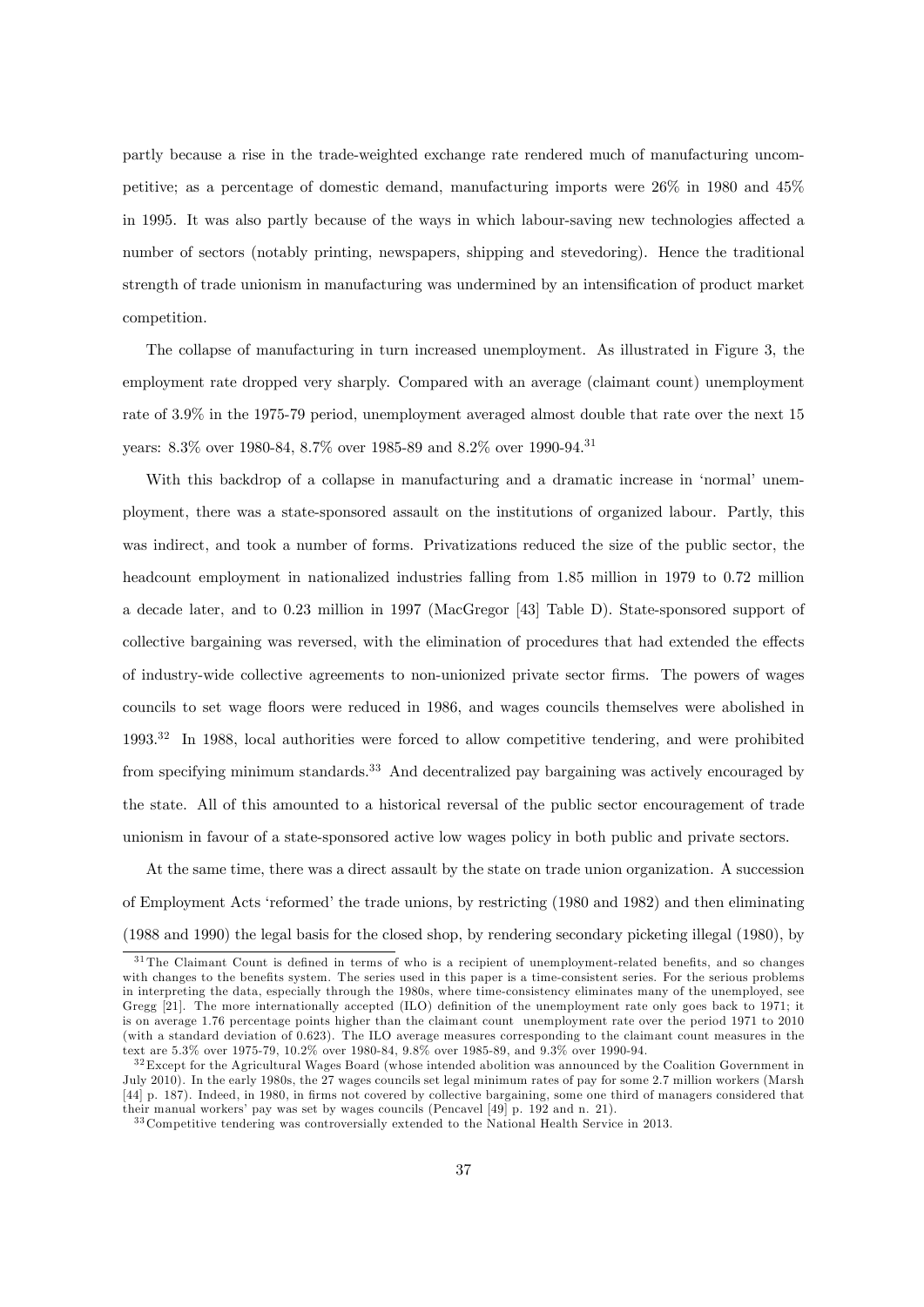partly because a rise in the trade-weighted exchange rate rendered much of manufacturing uncompetitive; as a percentage of domestic demand, manufacturing imports were 26% in 1980 and 45% in 1995. It was also partly because of the ways in which labour-saving new technologies affected a number of sectors (notably printing, newspapers, shipping and stevedoring). Hence the traditional strength of trade unionism in manufacturing was undermined by an intensification of product market competition.

The collapse of manufacturing in turn increased unemployment. As illustrated in Figure 3, the employment rate dropped very sharply. Compared with an average (claimant count) unemployment rate of 3.9% in the 1975-79 period, unemployment averaged almost double that rate over the next 15 years: 8.3% over 1980-84, 8.7% over 1985-89 and 8.2% over 1990-94.<sup>31</sup>

With this backdrop of a collapse in manufacturing and a dramatic increase in 'normal' unemployment, there was a state-sponsored assault on the institutions of organized labour. Partly, this was indirect, and took a number of forms. Privatizations reduced the size of the public sector, the headcount employment in nationalized industries falling from 1.85 million in 1979 to 0.72 million a decade later, and to 0.23 million in 1997 (MacGregor [43] Table D). State-sponsored support of collective bargaining was reversed, with the elimination of procedures that had extended the effects of industry-wide collective agreements to non-unionized private sector Örms. The powers of wages councils to set wage floors were reduced in 1986, and wages councils themselves were abolished in  $1993<sup>32</sup>$  In 1988, local authorities were forced to allow competitive tendering, and were prohibited from specifying minimum standards.<sup>33</sup> And decentralized pay bargaining was actively encouraged by the state. All of this amounted to a historical reversal of the public sector encouragement of trade unionism in favour of a state-sponsored active low wages policy in both public and private sectors.

At the same time, there was a direct assault by the state on trade union organization. A succession of Employment Acts 'reformed' the trade unions, by restricting (1980 and 1982) and then eliminating (1988 and 1990) the legal basis for the closed shop, by rendering secondary picketing illegal (1980), by

 $31$  The Claimant Count is defined in terms of who is a recipient of unemployment-related benefits, and so changes with changes to the benefits system. The series used in this paper is a time-consistent series. For the serious problems in interpreting the data, especially through the 1980s, where time-consistency eliminates many of the unemployed, see Gregg  $[21]$ . The more internationally accepted  $(ILO)$  definition of the unemployment rate only goes back to 1971; it is on average 1.76 percentage points higher than the claimant count unemployment rate over the period 1971 to 2010 (with a standard deviation of 0.623). The ILO average measures corresponding to the claimant count measures in the text are 5.3% over 1975-79, 10.2% over 1980-84, 9.8% over 1985-89, and 9.3% over 1990-94.

<sup>&</sup>lt;sup>32</sup> Except for the Agricultural Wages Board (whose intended abolition was announced by the Coalition Government in July 2010). In the early 1980s, the 27 wages councils set legal minimum rates of pay for some 2.7 million workers (Marsh [44] p. 187). Indeed, in 1980, in firms not covered by collective bargaining, some one third of managers considered that their manual workers' pay was set by wages councils (Pencavel [49] p. 192 and n. 21).

<sup>3 3</sup> Competitive tendering was controversially extended to the National Health Service in 2013.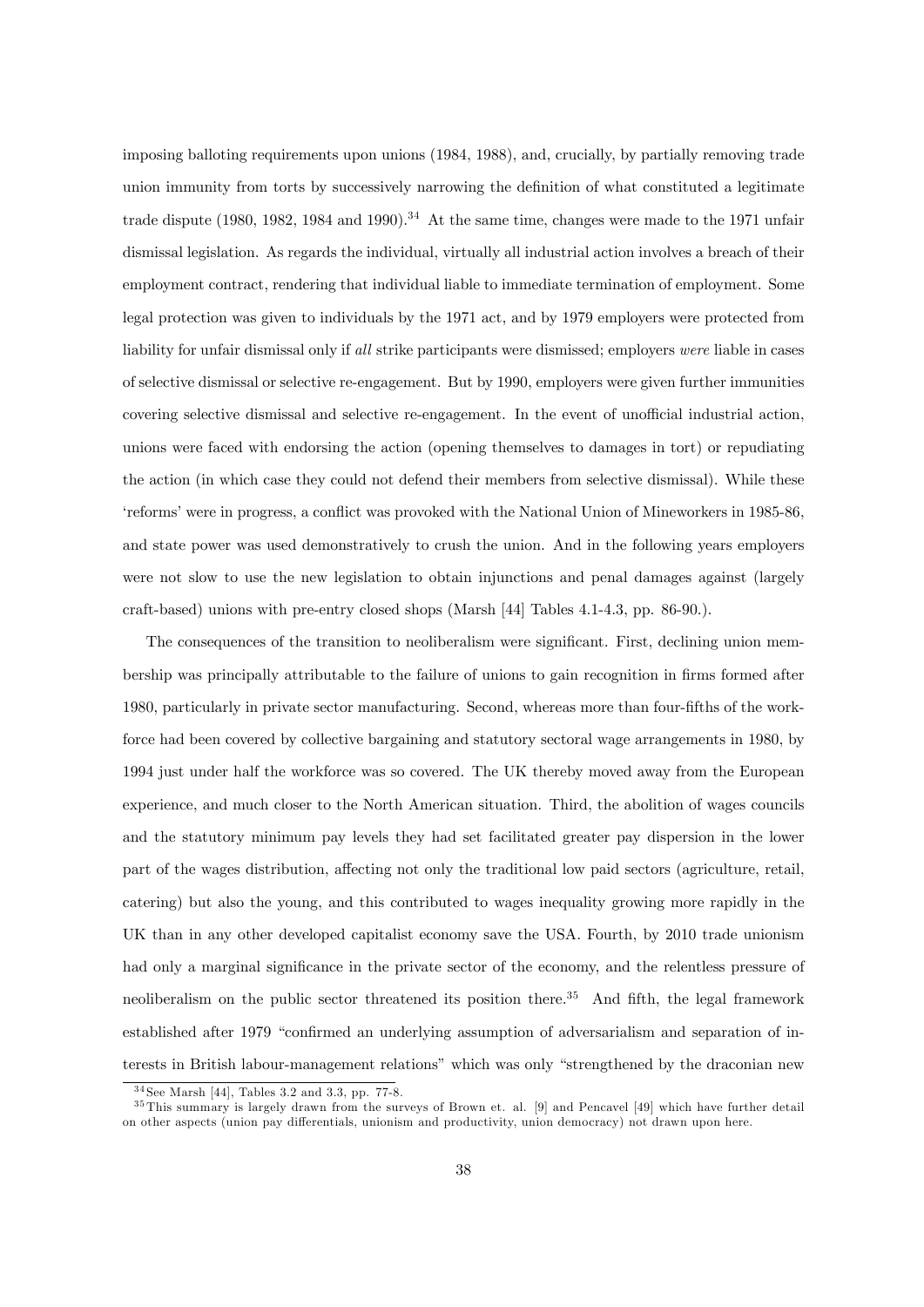imposing balloting requirements upon unions (1984, 1988), and, crucially, by partially removing trade union immunity from torts by successively narrowing the definition of what constituted a legitimate trade dispute (1980, 1982, 1984 and 1990).<sup>34</sup> At the same time, changes were made to the 1971 unfair dismissal legislation. As regards the individual, virtually all industrial action involves a breach of their employment contract, rendering that individual liable to immediate termination of employment. Some legal protection was given to individuals by the 1971 act, and by 1979 employers were protected from liability for unfair dismissal only if all strike participants were dismissed; employers were liable in cases of selective dismissal or selective re-engagement. But by 1990, employers were given further immunities covering selective dismissal and selective re-engagement. In the event of unofficial industrial action, unions were faced with endorsing the action (opening themselves to damages in tort) or repudiating the action (in which case they could not defend their members from selective dismissal). While these ëreformsíwere in progress, a conáict was provoked with the National Union of Mineworkers in 1985-86, and state power was used demonstratively to crush the union. And in the following years employers were not slow to use the new legislation to obtain injunctions and penal damages against (largely craft-based) unions with pre-entry closed shops (Marsh [44] Tables 4.1-4.3, pp. 86-90.).

The consequences of the transition to neoliberalism were significant. First, declining union membership was principally attributable to the failure of unions to gain recognition in firms formed after 1980, particularly in private sector manufacturing. Second, whereas more than four-Öfths of the workforce had been covered by collective bargaining and statutory sectoral wage arrangements in 1980, by 1994 just under half the workforce was so covered. The UK thereby moved away from the European experience, and much closer to the North American situation. Third, the abolition of wages councils and the statutory minimum pay levels they had set facilitated greater pay dispersion in the lower part of the wages distribution, affecting not only the traditional low paid sectors (agriculture, retail, catering) but also the young, and this contributed to wages inequality growing more rapidly in the UK than in any other developed capitalist economy save the USA. Fourth, by 2010 trade unionism had only a marginal significance in the private sector of the economy, and the relentless pressure of neoliberalism on the public sector threatened its position there.<sup>35</sup> And fifth, the legal framework established after 1979 "confirmed an underlying assumption of adversarialism and separation of interests in British labour-management relations" which was only "strengthened by the draconian new

 $34$  See Marsh [44], Tables 3.2 and 3.3, pp. 77-8.

<sup>3 5</sup> This summary is largely drawn from the surveys of Brown et. al. [9] and Pencavel [49] which have further detail on other aspects (union pay differentials, unionism and productivity, union democracy) not drawn upon here.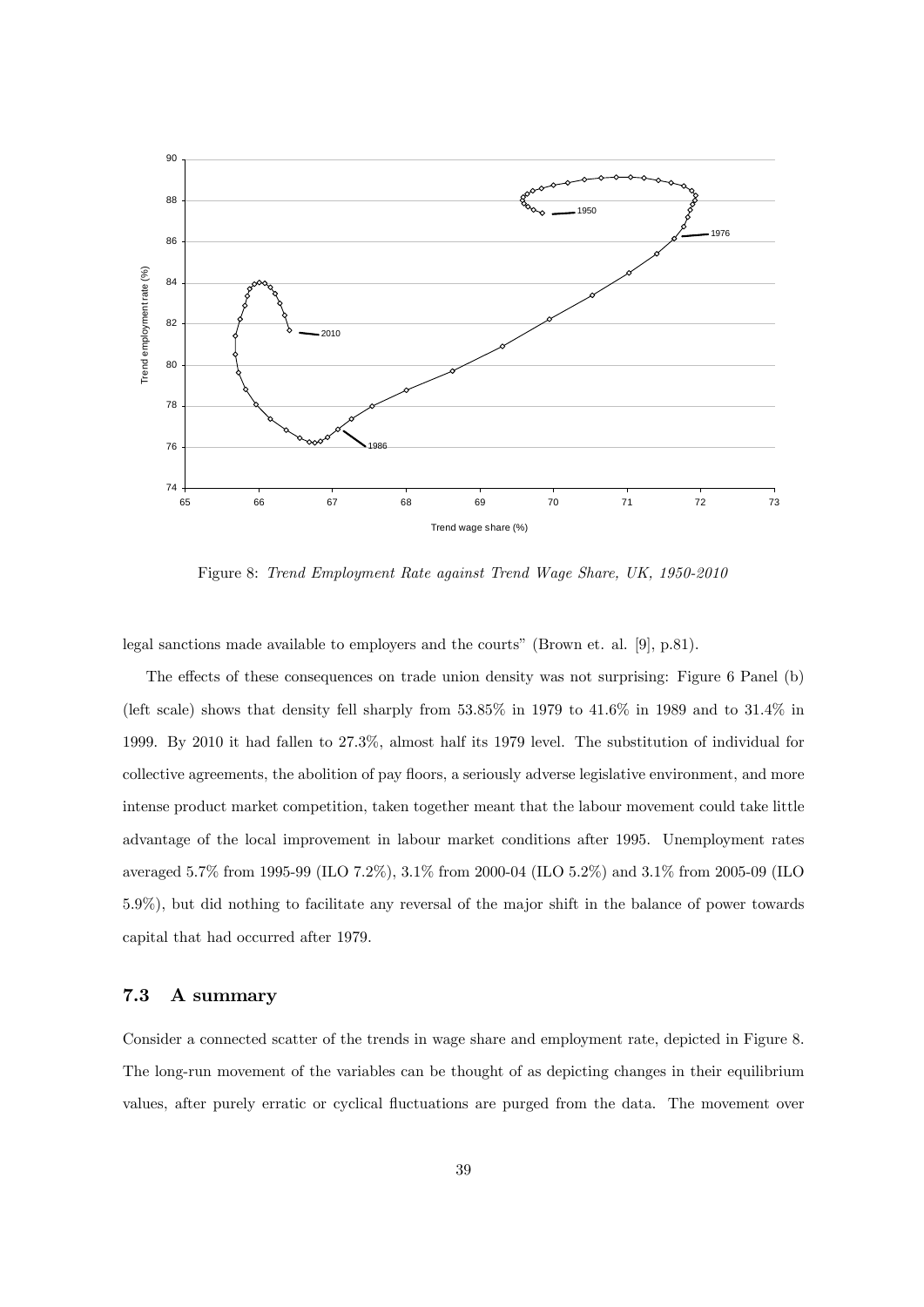

Figure 8: Trend Employment Rate against Trend Wage Share, UK, 1950-2010

legal sanctions made available to employers and the courts" (Brown et. al. [9], p.81).

The effects of these consequences on trade union density was not surprising: Figure 6 Panel (b) (left scale) shows that density fell sharply from 53.85% in 1979 to 41.6% in 1989 and to 31.4% in 1999. By 2010 it had fallen to 27.3%, almost half its 1979 level. The substitution of individual for collective agreements, the abolition of pay floors, a seriously adverse legislative environment, and more intense product market competition, taken together meant that the labour movement could take little advantage of the local improvement in labour market conditions after 1995. Unemployment rates averaged 5.7% from 1995-99 (ILO 7.2%), 3.1% from 2000-04 (ILO 5.2%) and 3.1% from 2005-09 (ILO 5.9%), but did nothing to facilitate any reversal of the major shift in the balance of power towards capital that had occurred after 1979.

#### 7.3 A summary

Consider a connected scatter of the trends in wage share and employment rate, depicted in Figure 8. The long-run movement of the variables can be thought of as depicting changes in their equilibrium values, after purely erratic or cyclical fluctuations are purged from the data. The movement over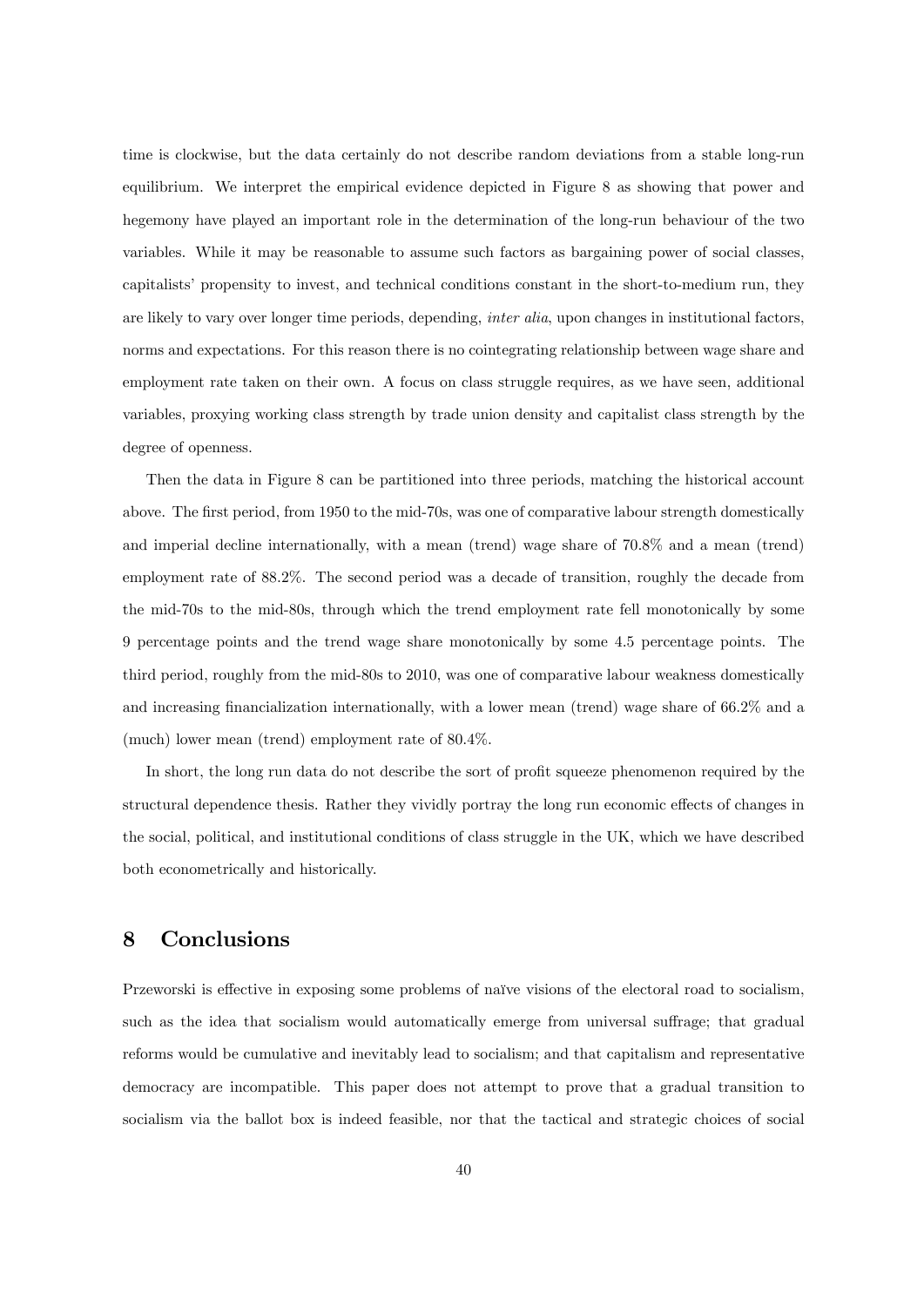time is clockwise, but the data certainly do not describe random deviations from a stable long-run equilibrium. We interpret the empirical evidence depicted in Figure 8 as showing that power and hegemony have played an important role in the determination of the long-run behaviour of the two variables. While it may be reasonable to assume such factors as bargaining power of social classes, capitalists' propensity to invest, and technical conditions constant in the short-to-medium run, they are likely to vary over longer time periods, depending, *inter alia*, upon changes in institutional factors, norms and expectations. For this reason there is no cointegrating relationship between wage share and employment rate taken on their own. A focus on class struggle requires, as we have seen, additional variables, proxying working class strength by trade union density and capitalist class strength by the degree of openness.

Then the data in Figure 8 can be partitioned into three periods, matching the historical account above. The first period, from 1950 to the mid-70s, was one of comparative labour strength domestically and imperial decline internationally, with a mean (trend) wage share of 70.8% and a mean (trend) employment rate of 88.2%. The second period was a decade of transition, roughly the decade from the mid-70s to the mid-80s, through which the trend employment rate fell monotonically by some 9 percentage points and the trend wage share monotonically by some 4.5 percentage points. The third period, roughly from the mid-80s to 2010, was one of comparative labour weakness domestically and increasing financialization internationally, with a lower mean (trend) wage share of  $66.2\%$  and a (much) lower mean (trend) employment rate of 80.4%.

In short, the long run data do not describe the sort of profit squeeze phenomenon required by the structural dependence thesis. Rather they vividly portray the long run economic effects of changes in the social, political, and institutional conditions of class struggle in the UK, which we have described both econometrically and historically.

#### 8 Conclusions

Przeworski is effective in exposing some problems of naïve visions of the electoral road to socialism, such as the idea that socialism would automatically emerge from universal suffrage; that gradual reforms would be cumulative and inevitably lead to socialism; and that capitalism and representative democracy are incompatible. This paper does not attempt to prove that a gradual transition to socialism via the ballot box is indeed feasible, nor that the tactical and strategic choices of social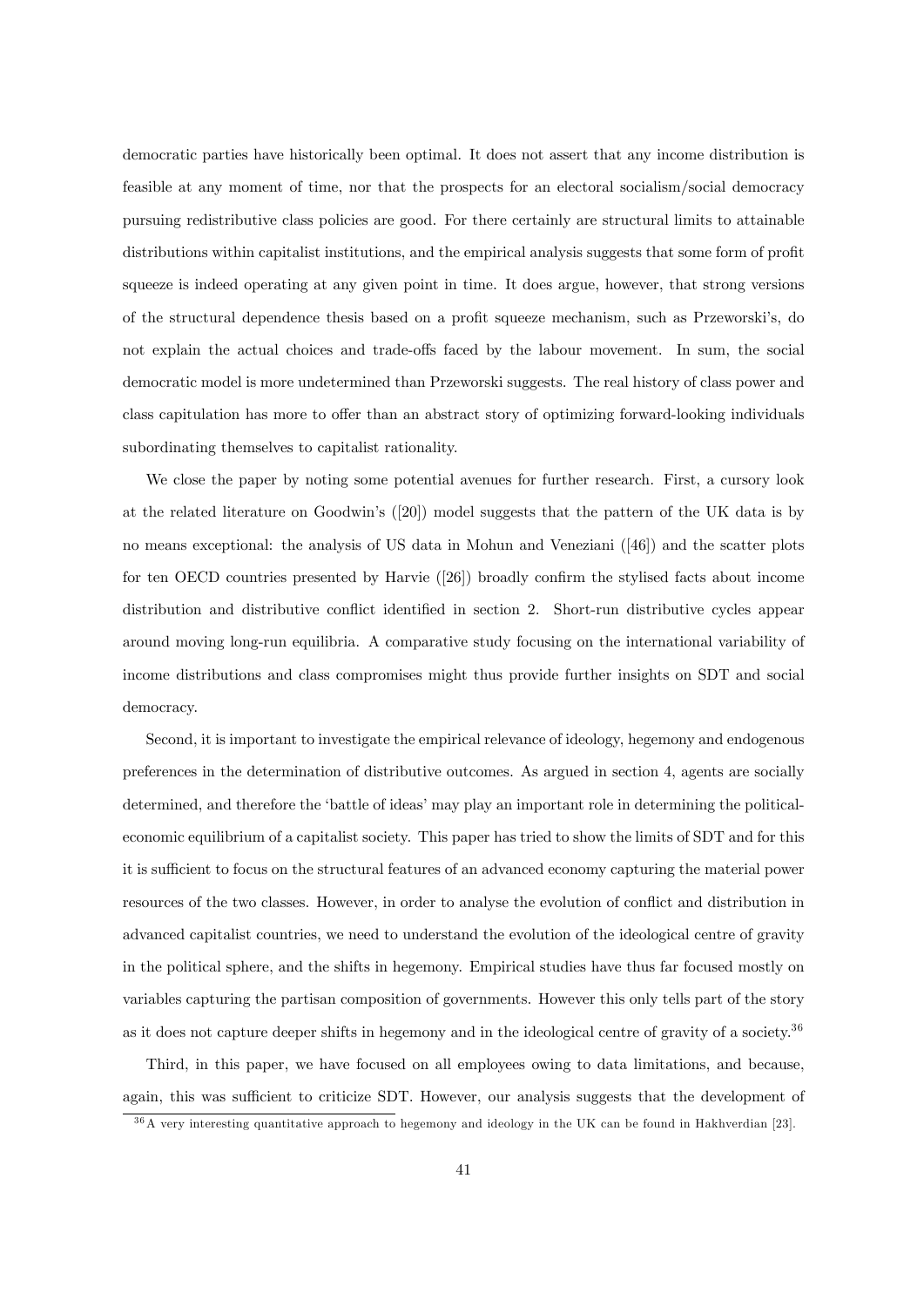democratic parties have historically been optimal. It does not assert that any income distribution is feasible at any moment of time, nor that the prospects for an electoral socialism/social democracy pursuing redistributive class policies are good. For there certainly are structural limits to attainable distributions within capitalist institutions, and the empirical analysis suggests that some form of profit squeeze is indeed operating at any given point in time. It does argue, however, that strong versions of the structural dependence thesis based on a profit squeeze mechanism, such as Przeworski's, do not explain the actual choices and trade-offs faced by the labour movement. In sum, the social democratic model is more undetermined than Przeworski suggests. The real history of class power and class capitulation has more to offer than an abstract story of optimizing forward-looking individuals subordinating themselves to capitalist rationality.

We close the paper by noting some potential avenues for further research. First, a cursory look at the related literature on Goodwinís ([20]) model suggests that the pattern of the UK data is by no means exceptional: the analysis of US data in Mohun and Veneziani ([46]) and the scatter plots for ten OECD countries presented by Harvie  $(26)$  broadly confirm the stylised facts about income distribution and distributive conflict identified in section 2. Short-run distributive cycles appear around moving long-run equilibria. A comparative study focusing on the international variability of income distributions and class compromises might thus provide further insights on SDT and social democracy.

Second, it is important to investigate the empirical relevance of ideology, hegemony and endogenous preferences in the determination of distributive outcomes. As argued in section 4, agents are socially determined, and therefore the 'battle of ideas' may play an important role in determining the politicaleconomic equilibrium of a capitalist society. This paper has tried to show the limits of SDT and for this it is sufficient to focus on the structural features of an advanced economy capturing the material power resources of the two classes. However, in order to analyse the evolution of conflict and distribution in advanced capitalist countries, we need to understand the evolution of the ideological centre of gravity in the political sphere, and the shifts in hegemony. Empirical studies have thus far focused mostly on variables capturing the partisan composition of governments. However this only tells part of the story as it does not capture deeper shifts in hegemony and in the ideological centre of gravity of a society.<sup>36</sup>

Third, in this paper, we have focused on all employees owing to data limitations, and because, again, this was sufficient to criticize SDT. However, our analysis suggests that the development of

<sup>&</sup>lt;sup>36</sup>A very interesting quantitative approach to hegemony and ideology in the UK can be found in Hakhverdian [23].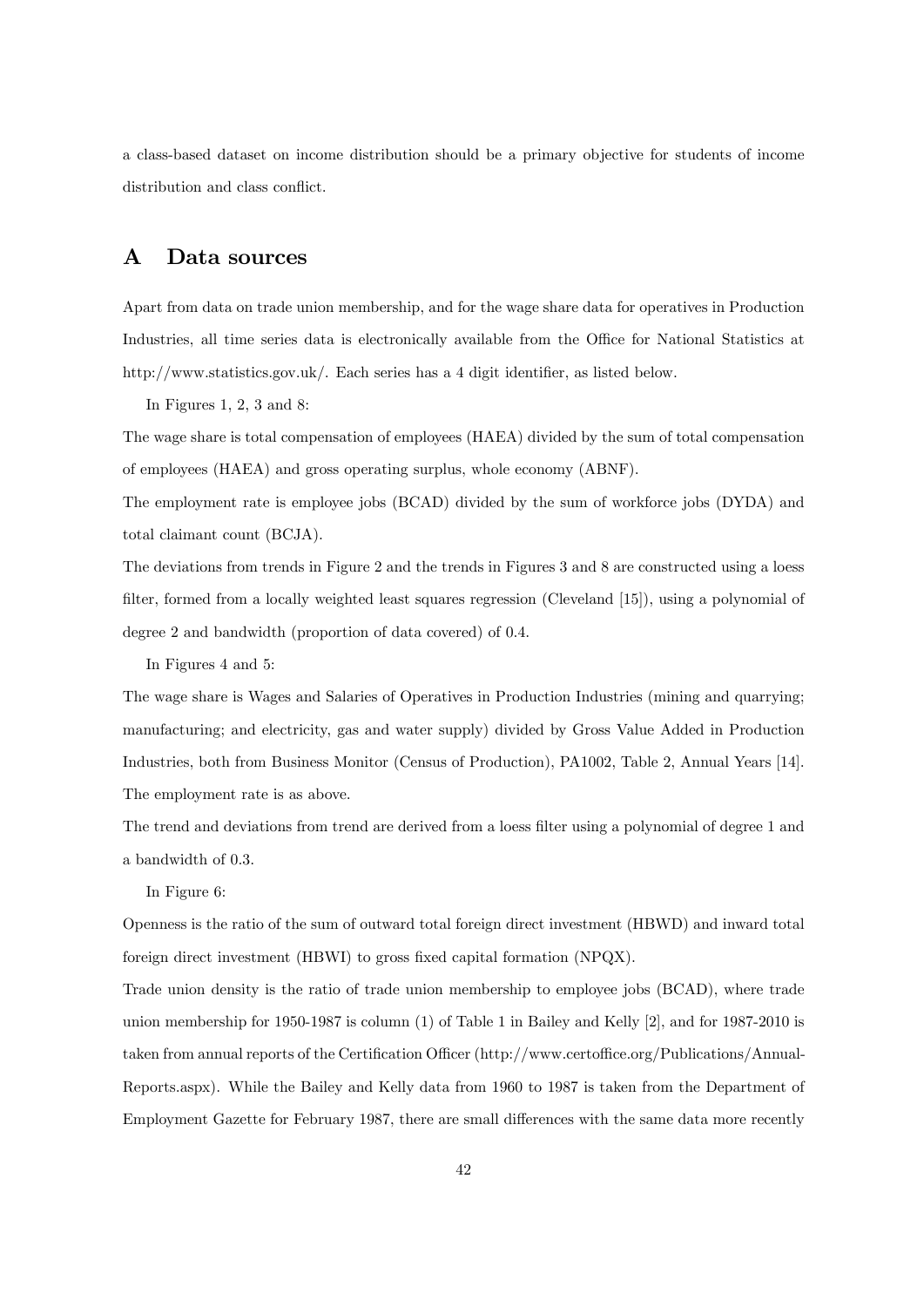a class-based dataset on income distribution should be a primary objective for students of income distribution and class conflict.

#### A Data sources

Apart from data on trade union membership, and for the wage share data for operatives in Production Industries, all time series data is electronically available from the Office for National Statistics at http://www.statistics.gov.uk/. Each series has a 4 digit identifier, as listed below.

In Figures 1, 2, 3 and 8:

The wage share is total compensation of employees (HAEA) divided by the sum of total compensation of employees (HAEA) and gross operating surplus, whole economy (ABNF).

The employment rate is employee jobs (BCAD) divided by the sum of workforce jobs (DYDA) and total claimant count (BCJA).

The deviations from trends in Figure 2 and the trends in Figures 3 and 8 are constructed using a loess filter, formed from a locally weighted least squares regression (Cleveland [15]), using a polynomial of degree 2 and bandwidth (proportion of data covered) of 0.4.

In Figures 4 and 5:

The wage share is Wages and Salaries of Operatives in Production Industries (mining and quarrying; manufacturing; and electricity, gas and water supply) divided by Gross Value Added in Production Industries, both from Business Monitor (Census of Production), PA1002, Table 2, Annual Years [14]. The employment rate is as above.

The trend and deviations from trend are derived from a loess filter using a polynomial of degree 1 and a bandwidth of 0.3.

In Figure 6:

Openness is the ratio of the sum of outward total foreign direct investment (HBWD) and inward total foreign direct investment (HBWI) to gross fixed capital formation (NPQX).

Trade union density is the ratio of trade union membership to employee jobs (BCAD), where trade union membership for 1950-1987 is column (1) of Table 1 in Bailey and Kelly [2], and for 1987-2010 is taken from annual reports of the Certification Officer (http://www.certoffice.org/Publications/Annual-Reports.aspx). While the Bailey and Kelly data from 1960 to 1987 is taken from the Department of Employment Gazette for February 1987, there are small differences with the same data more recently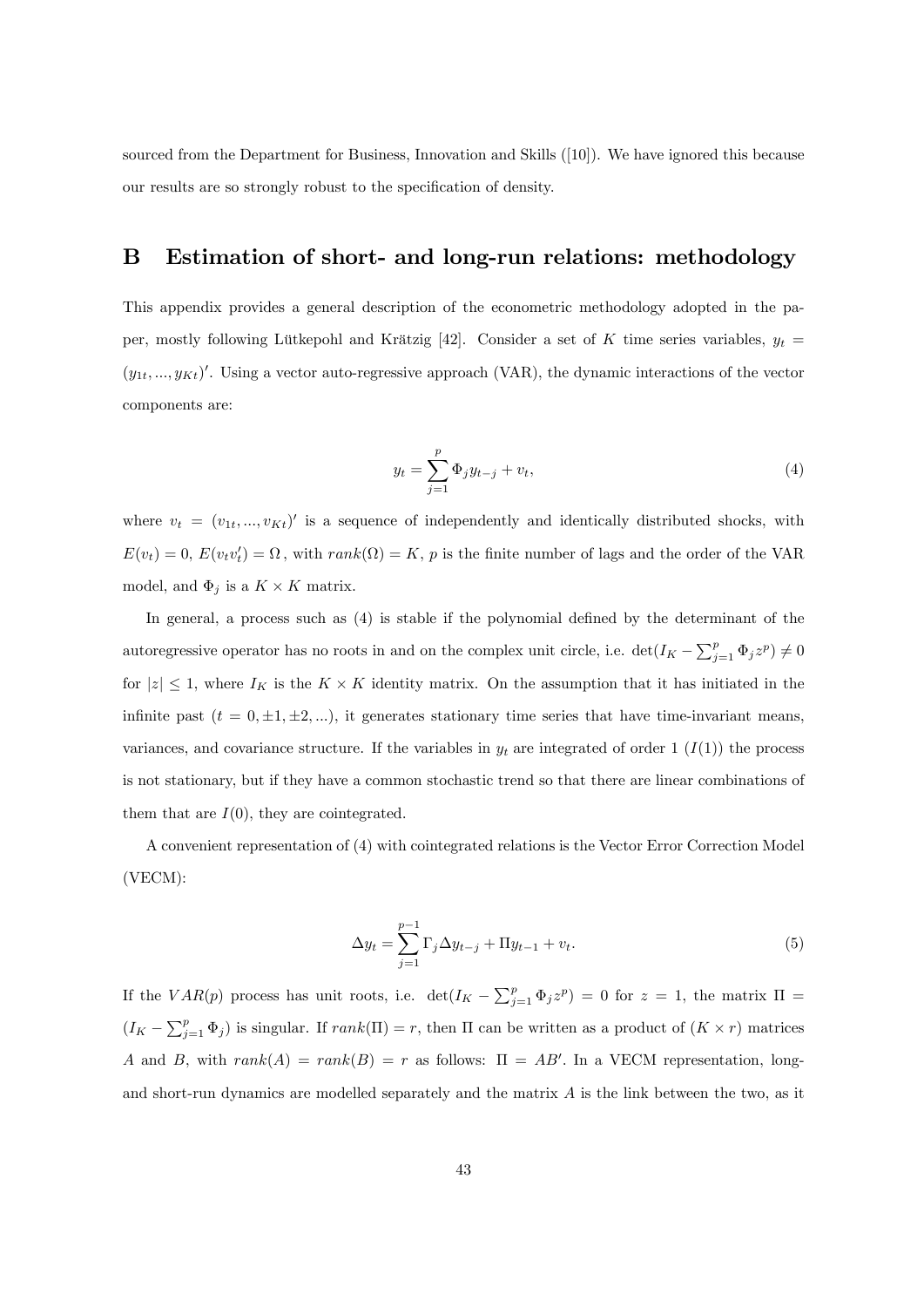sourced from the Department for Business, Innovation and Skills ([10]). We have ignored this because our results are so strongly robust to the specification of density.

#### B Estimation of short- and long-run relations: methodology

This appendix provides a general description of the econometric methodology adopted in the paper, mostly following Lütkepohl and Krätzig [42]. Consider a set of K time series variables,  $y_t =$  $(y_{1t},...,y_{Kt})'$ . Using a vector auto-regressive approach (VAR), the dynamic interactions of the vector components are:

$$
y_t = \sum_{j=1}^p \Phi_j y_{t-j} + v_t,
$$
\n(4)

where  $v_t = (v_{1t},...,v_{Kt})'$  is a sequence of independently and identically distributed shocks, with  $E(v_t) = 0$ ,  $E(v_t v_t') = \Omega$ , with  $rank(\Omega) = K$ , p is the finite number of lags and the order of the VAR model, and  $\Phi_j$  is a  $K \times K$  matrix.

In general, a process such as  $(4)$  is stable if the polynomial defined by the determinant of the autoregressive operator has no roots in and on the complex unit circle, i.e.  $\det(I_K - \sum_{j=1}^p \Phi_j z^p) \neq 0$ for  $|z| \leq 1$ , where  $I_K$  is the  $K \times K$  identity matrix. On the assumption that it has initiated in the infinite past  $(t = 0, \pm 1, \pm 2, ...)$ , it generates stationary time series that have time-invariant means, variances, and covariance structure. If the variables in  $y_t$  are integrated of order 1  $(I(1))$  the process is not stationary, but if they have a common stochastic trend so that there are linear combinations of them that are  $I(0)$ , they are cointegrated.

A convenient representation of (4) with cointegrated relations is the Vector Error Correction Model (VECM):

$$
\Delta y_t = \sum_{j=1}^{p-1} \Gamma_j \Delta y_{t-j} + \Pi y_{t-1} + v_t.
$$
 (5)

If the  $VAR(p)$  process has unit roots, i.e.  $det(I_K - \sum_{j=1}^p \Phi_j z^p) = 0$  for  $z = 1$ , the matrix  $\Pi =$  $(I_K - \sum_{j=1}^p \Phi_j)$  is singular. If  $rank(\Pi) = r$ , then  $\Pi$  can be written as a product of  $(K \times r)$  matrices A and B, with  $rank(A) = rank(B) = r$  as follows:  $\Pi = AB'$ . In a VECM representation, longand short-run dynamics are modelled separately and the matrix  $A$  is the link between the two, as it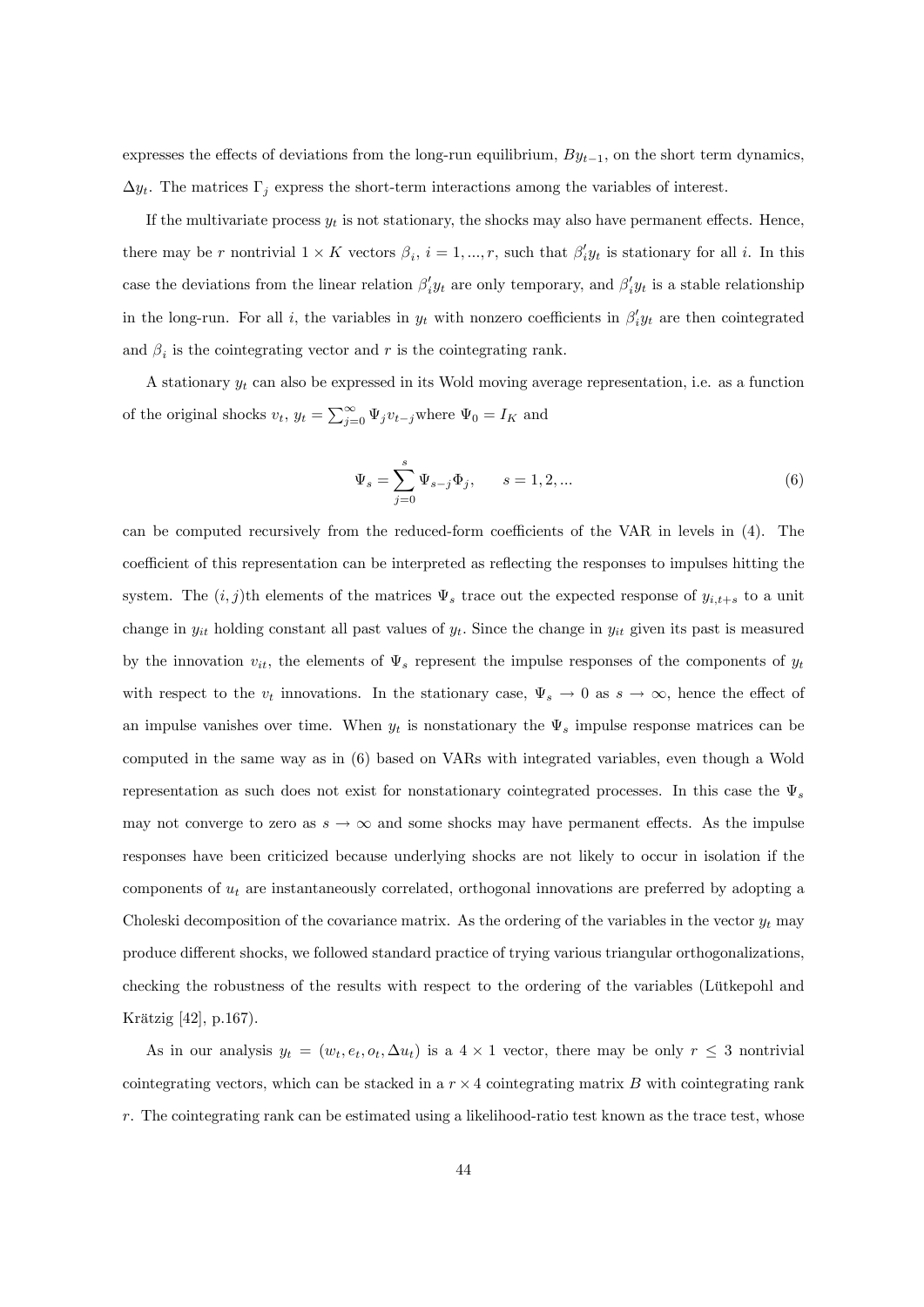expresses the effects of deviations from the long-run equilibrium,  $By_{t-1}$ , on the short term dynamics,  $\Delta y_t$ . The matrices  $\Gamma_j$  express the short-term interactions among the variables of interest.

If the multivariate process  $y_t$  is not stationary, the shocks may also have permanent effects. Hence, there may be r nontrivial  $1 \times K$  vectors  $\beta_i$ ,  $i = 1, ..., r$ , such that  $\beta'_i y_t$  is stationary for all i. In this case the deviations from the linear relation  $\beta'_i y_t$  are only temporary, and  $\beta'_i y_t$  is a stable relationship in the long-run. For all *i*, the variables in  $y_t$  with nonzero coefficients in  $\beta'_i y_t$  are then cointegrated and  $\beta_i$  is the cointegrating vector and r is the cointegrating rank.

A stationary  $y_t$  can also be expressed in its Wold moving average representation, i.e. as a function of the original shocks  $v_t$ ,  $y_t = \sum_{j=0}^{\infty} \Psi_j v_{t-j}$  where  $\Psi_0 = I_K$  and

$$
\Psi_s = \sum_{j=0}^s \Psi_{s-j} \Phi_j, \qquad s = 1, 2, \dots
$$
 (6)

can be computed recursively from the reduced-form coefficients of the VAR in levels in (4). The coefficient of this representation can be interpreted as reflecting the responses to impulses hitting the system. The  $(i, j)$ th elements of the matrices  $\Psi_s$  trace out the expected response of  $y_{i,t+s}$  to a unit change in  $y_{it}$  holding constant all past values of  $y_t$ . Since the change in  $y_{it}$  given its past is measured by the innovation  $v_{it}$ , the elements of  $\Psi_s$  represent the impulse responses of the components of  $y_t$ with respect to the  $v_t$  innovations. In the stationary case,  $\Psi_s \to 0$  as  $s \to \infty$ , hence the effect of an impulse vanishes over time. When  $y_t$  is nonstationary the  $\Psi_s$  impulse response matrices can be computed in the same way as in (6) based on VARs with integrated variables, even though a Wold representation as such does not exist for nonstationary cointegrated processes. In this case the  $\Psi_s$ may not converge to zero as  $s \to \infty$  and some shocks may have permanent effects. As the impulse responses have been criticized because underlying shocks are not likely to occur in isolation if the components of  $u_t$  are instantaneously correlated, orthogonal innovations are preferred by adopting a Choleski decomposition of the covariance matrix. As the ordering of the variables in the vector  $y_t$  may produce different shocks, we followed standard practice of trying various triangular orthogonalizations. checking the robustness of the results with respect to the ordering of the variables (Lütkepohl and Krätzig [42], p.167).

As in our analysis  $y_t = (w_t, e_t, o_t, \Delta u_t)$  is a  $4 \times 1$  vector, there may be only  $r \leq 3$  nontrivial cointegrating vectors, which can be stacked in a  $r \times 4$  cointegrating matrix B with cointegrating rank  $r$ . The cointegrating rank can be estimated using a likelihood-ratio test known as the trace test, whose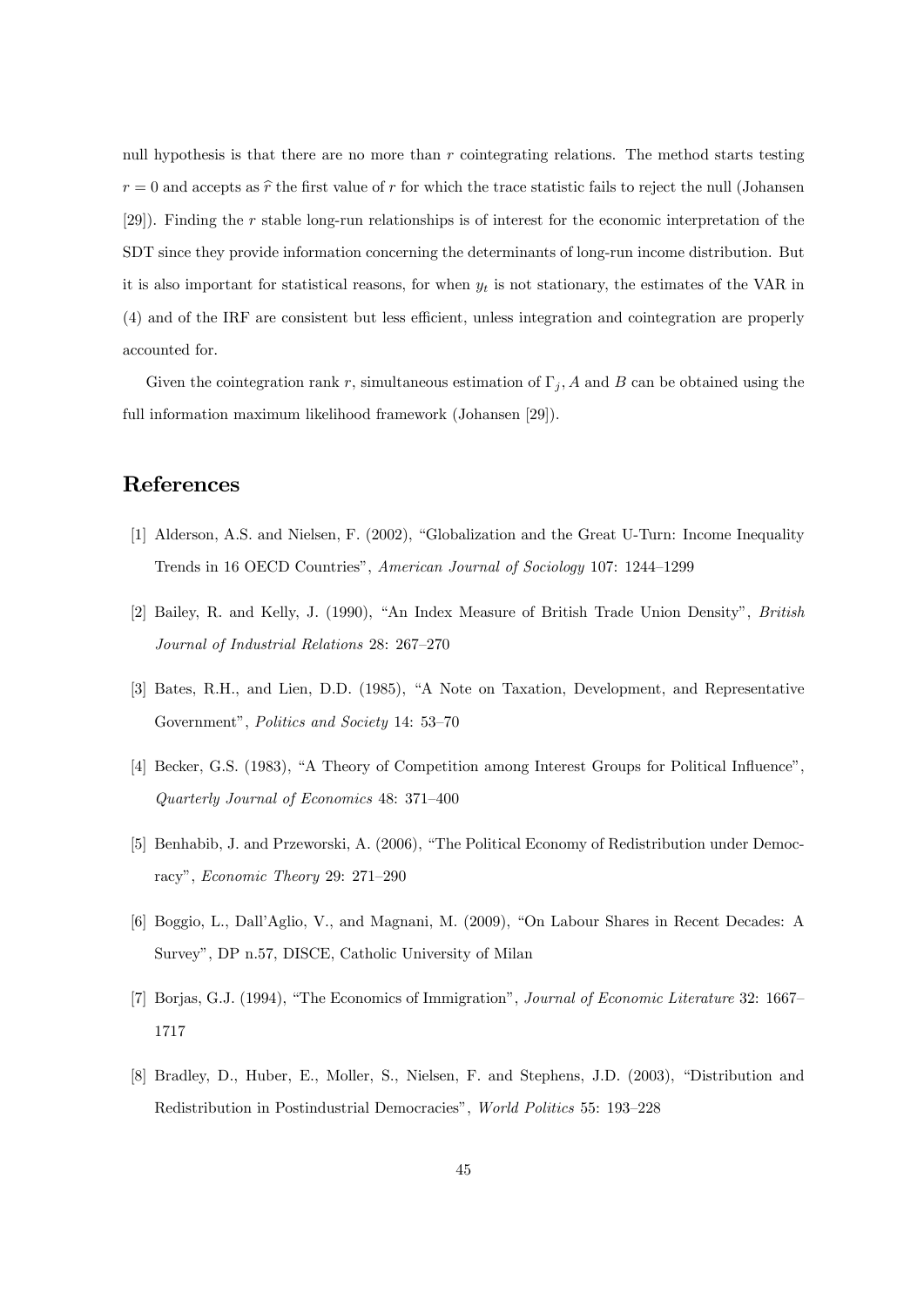null hypothesis is that there are no more than r cointegrating relations. The method starts testing  $r = 0$  and accepts as  $\hat{r}$  the first value of r for which the trace statistic fails to reject the null (Johansen [29]). Finding the r stable long-run relationships is of interest for the economic interpretation of the SDT since they provide information concerning the determinants of long-run income distribution. But it is also important for statistical reasons, for when  $y_t$  is not stationary, the estimates of the VAR in (4) and of the IRF are consistent but less e¢ cient, unless integration and cointegration are properly accounted for.

Given the cointegration rank r, simultaneous estimation of  $\Gamma_j$ , A and B can be obtained using the full information maximum likelihood framework (Johansen [29]).

# References

- [1] Alderson, A.S. and Nielsen, F. (2002), "Globalization and the Great U-Turn: Income Inequality Trends in 16 OECD Countries", American Journal of Sociology 107: 1244-1299
- [2] Bailey, R. and Kelly, J. (1990), "An Index Measure of British Trade Union Density", British Journal of Industrial Relations  $28: 267-270$
- [3] Bates, R.H., and Lien, D.D. (1985), "A Note on Taxation, Development, and Representative Government", Politics and Society 14: 53-70
- [4] Becker, G.S. (1983), "A Theory of Competition among Interest Groups for Political Influence". Quarterly Journal of Economics  $48: 371-400$
- [5] Benhabib, J. and Przeworski, A. (2006), "The Political Economy of Redistribution under Democracy", Economic Theory 29: 271–290
- [6] Boggio, L., Dall'Aglio, V., and Magnani, M. (2009), "On Labour Shares in Recent Decades: A Survey", DP n.57, DISCE, Catholic University of Milan
- [7] Borjas, G.J. (1994), "The Economics of Immigration", Journal of Economic Literature 32: 1667– 1717
- [8] Bradley, D., Huber, E., Moller, S., Nielsen, F. and Stephens, J.D. (2003), "Distribution and Redistribution in Postindustrial Democracies", World Politics 55: 193-228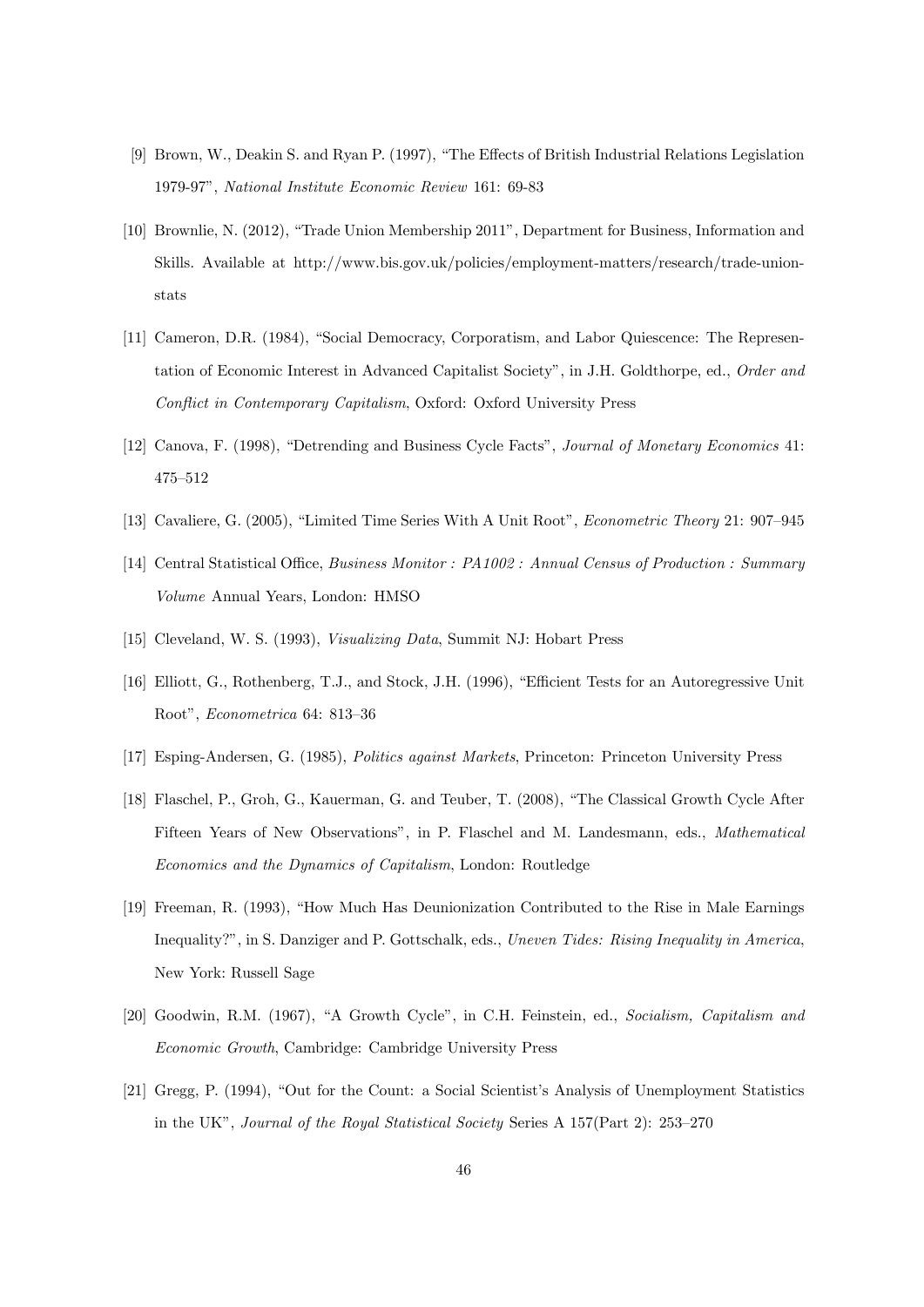- [9] Brown, W., Deakin S. and Ryan P. (1997), "The Effects of British Industrial Relations Legislation 1979-97î, National Institute Economic Review 161: 69-83
- [10] Brownlie, N. (2012), "Trade Union Membership 2011", Department for Business, Information and Skills. Available at http://www.bis.gov.uk/policies/employment-matters/research/trade-unionstats
- [11] Cameron, D.R. (1984), "Social Democracy, Corporatism, and Labor Quiescence: The Representation of Economic Interest in Advanced Capitalist Society", in J.H. Goldthorpe, ed., Order and Conflict in Contemporary Capitalism, Oxford: Oxford University Press
- [12] Canova, F. (1998), "Detrending and Business Cycle Facts", Journal of Monetary Economics 41: 475-512
- [13] Cavaliere, G. (2005), "Limited Time Series With A Unit Root", *Econometric Theory* 21: 907–945
- [14] Central Statistical Office, Business Monitor : PA1002 : Annual Census of Production : Summary Volume Annual Years, London: HMSO
- [15] Cleveland, W. S. (1993), Visualizing Data, Summit NJ: Hobart Press
- [16] Elliott, G., Rothenberg, T.J., and Stock, J.H. (1996), "Efficient Tests for an Autoregressive Unit Root", Econometrica 64: 813-36
- [17] Esping-Andersen, G. (1985), Politics against Markets, Princeton: Princeton University Press
- [18] Flaschel, P., Groh, G., Kauerman, G. and Teuber, T. (2008), "The Classical Growth Cycle After Fifteen Years of New Observations", in P. Flaschel and M. Landesmann, eds., *Mathematical* Economics and the Dynamics of Capitalism, London: Routledge
- [19] Freeman, R. (1993), "How Much Has Deunionization Contributed to the Rise in Male Earnings Inequality?", in S. Danziger and P. Gottschalk, eds., *Uneven Tides: Rising Inequality in America*, New York: Russell Sage
- [20] Goodwin, R.M. (1967), "A Growth Cycle", in C.H. Feinstein, ed., Socialism, Capitalism and Economic Growth, Cambridge: Cambridge University Press
- [21] Gregg, P. (1994), "Out for the Count: a Social Scientist's Analysis of Unemployment Statistics in the UK", *Journal of the Royal Statistical Society* Series A  $157$ (Part 2):  $253-270$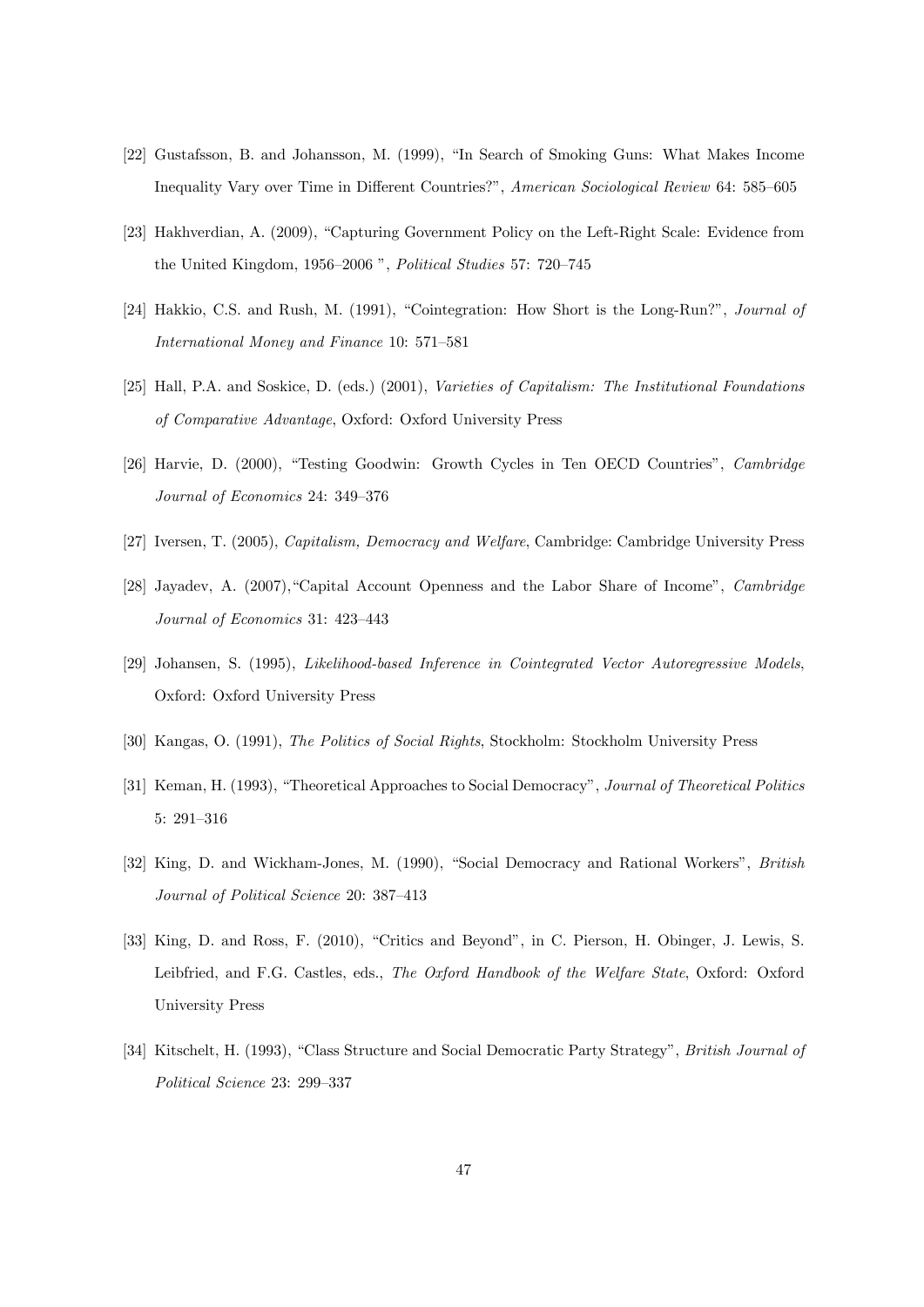- [22] Gustafsson, B. and Johansson, M. (1999), "In Search of Smoking Guns: What Makes Income Inequality Vary over Time in Different Countries?", American Sociological Review 64: 585-605
- [23] Hakhverdian, A. (2009), "Capturing Government Policy on the Left-Right Scale: Evidence from the United Kingdom, 1956–2006  $\degree$ , *Political Studies* 57: 720–745
- [24] Hakkio, C.S. and Rush, M. (1991), "Cointegration: How Short is the Long-Run?", Journal of International Money and Finance 10:  $571-581$
- [25] Hall, P.A. and Soskice, D. (eds.) (2001), Varieties of Capitalism: The Institutional Foundations of Comparative Advantage, Oxford: Oxford University Press
- [26] Harvie, D. (2000), "Testing Goodwin: Growth Cycles in Ten OECD Countries", Cambridge Journal of Economics 24: 349-376
- [27] Iversen, T. (2005), Capitalism, Democracy and Welfare, Cambridge: Cambridge University Press
- [28] Jayadev, A. (2007), "Capital Account Openness and the Labor Share of Income", Cambridge Journal of Economics 31: 423-443
- [29] Johansen, S. (1995), Likelihood-based Inference in Cointegrated Vector Autoregressive Models, Oxford: Oxford University Press
- [30] Kangas, O. (1991), The Politics of Social Rights, Stockholm: Stockholm University Press
- [31] Keman, H. (1993), "Theoretical Approaches to Social Democracy", Journal of Theoretical Politics 5: 291-316
- [32] King, D. and Wickham-Jones, M. (1990), "Social Democracy and Rational Workers", British Journal of Political Science 20: 387-413
- [33] King, D. and Ross, F. (2010), "Critics and Beyond", in C. Pierson, H. Obinger, J. Lewis, S. Leibfried, and F.G. Castles, eds., The Oxford Handbook of the Welfare State, Oxford: Oxford University Press
- [34] Kitschelt, H. (1993), "Class Structure and Social Democratic Party Strategy", British Journal of Political Science 23: 299-337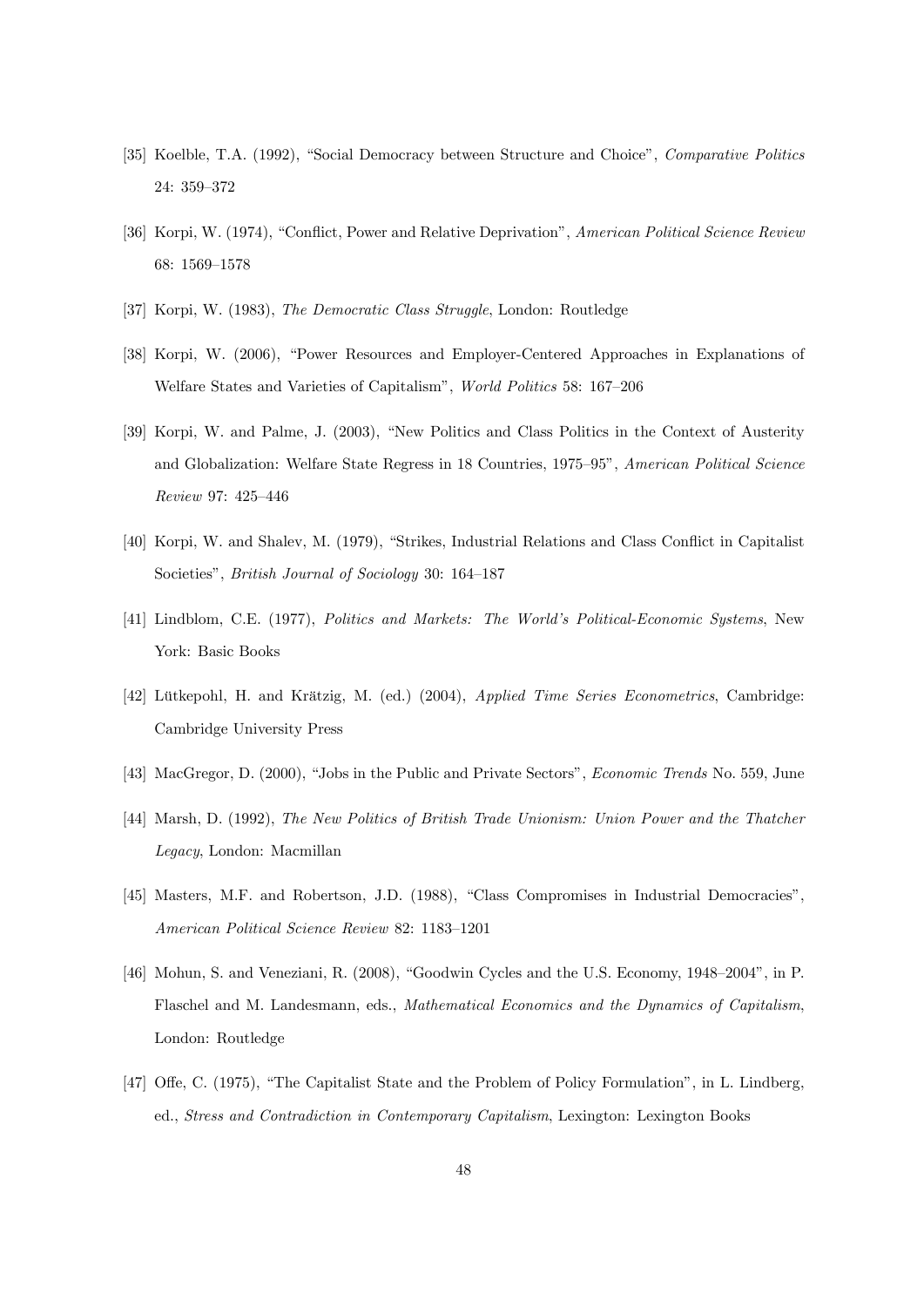- [35] Koelble, T.A. (1992), "Social Democracy between Structure and Choice", Comparative Politics 24: 359-372
- [36] Korpi, W. (1974), "Conflict, Power and Relative Deprivation", American Political Science Review 68: 1569-1578
- [37] Korpi, W. (1983), The Democratic Class Struggle, London: Routledge
- [38] Korpi, W. (2006), "Power Resources and Employer-Centered Approaches in Explanations of Welfare States and Varieties of Capitalism", *World Politics* 58: 167–206
- [39] Korpi, W. and Palme, J. (2003), "New Politics and Class Politics in the Context of Austerity and Globalization: Welfare State Regress in 18 Countries, 1975–95", American Political Science Review 97: 425-446
- [40] Korpi, W. and Shalev, M. (1979), "Strikes, Industrial Relations and Class Conflict in Capitalist Societies", *British Journal of Sociology* 30: 164–187
- [41] Lindblom, C.E. (1977), *Politics and Markets: The World's Political-Economic Systems*, New York: Basic Books
- [42] Lütkepohl, H. and Krätzig, M. (ed.) (2004), Applied Time Series Econometrics, Cambridge: Cambridge University Press
- [43] MacGregor, D. (2000), "Jobs in the Public and Private Sectors", *Economic Trends* No. 559, June
- [44] Marsh, D. (1992), The New Politics of British Trade Unionism: Union Power and the Thatcher Legacy, London: Macmillan
- [45] Masters, M.F. and Robertson, J.D. (1988), "Class Compromises in Industrial Democracies", American Political Science Review 82: 1183-1201
- [46] Mohun, S. and Veneziani, R. (2008), "Goodwin Cycles and the U.S. Economy,  $1948-2004$ ", in P. Flaschel and M. Landesmann, eds., Mathematical Economics and the Dynamics of Capitalism, London: Routledge
- [47] Offe, C. (1975), "The Capitalist State and the Problem of Policy Formulation", in L. Lindberg, ed., Stress and Contradiction in Contemporary Capitalism, Lexington: Lexington Books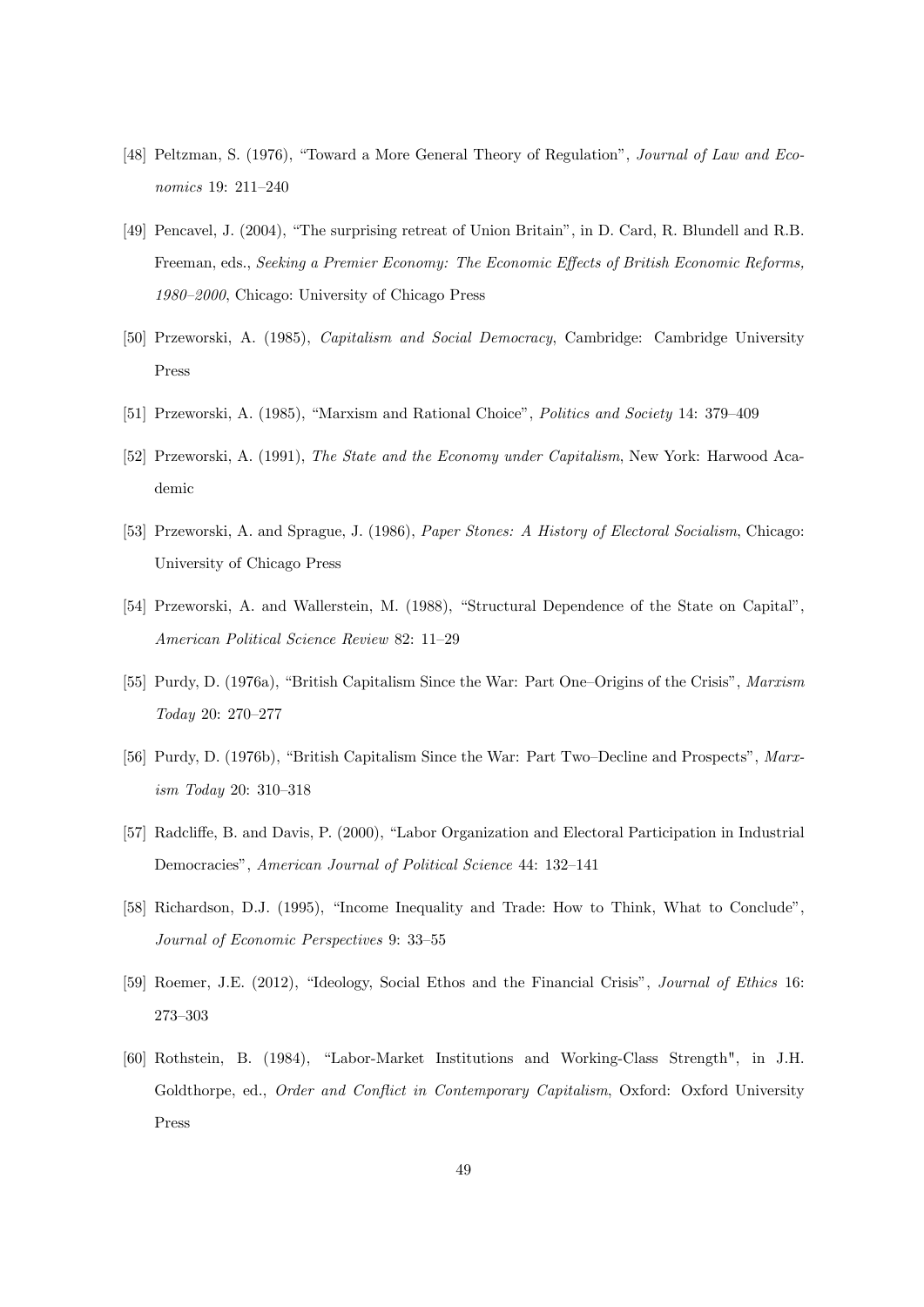- [48] Peltzman, S. (1976), "Toward a More General Theory of Regulation", Journal of Law and Economics 19: 211-240
- [49] Pencavel, J. (2004), "The surprising retreat of Union Britain", in D. Card, R. Blundell and R.B. Freeman, eds., Seeking a Premier Economy: The Economic Effects of British Economic Reforms, 1980-2000, Chicago: University of Chicago Press
- [50] Przeworski, A. (1985), Capitalism and Social Democracy, Cambridge: Cambridge University Press
- [51] Przeworski, A. (1985), "Marxism and Rational Choice", Politics and Society 14: 379–409
- [52] Przeworski, A. (1991), The State and the Economy under Capitalism, New York: Harwood Academic
- [53] Przeworski, A. and Sprague, J. (1986), Paper Stones: A History of Electoral Socialism, Chicago: University of Chicago Press
- [54] Przeworski, A. and Wallerstein, M. (1988), "Structural Dependence of the State on Capital", American Political Science Review 82: 11–29
- [55] Purdy, D. (1976a), "British Capitalism Since the War: Part One–Origins of the Crisis", Marxism  $Today 20: 270–277$
- [56] Purdy, D. (1976b), "British Capitalism Since the War: Part Two–Decline and Prospects", Marx $ism$  Today 20: 310-318
- [57] Radcliffe, B. and Davis, P. (2000), "Labor Organization and Electoral Participation in Industrial Democracies", American Journal of Political Science 44: 132-141
- [58] Richardson, D.J. (1995), "Income Inequality and Trade: How to Think, What to Conclude", Journal of Economic Perspectives 9: 33-55
- [59] Roemer, J.E. (2012), "Ideology, Social Ethos and the Financial Crisis", Journal of Ethics 16: 273-303
- [60] Rothstein, B. (1984), "Labor-Market Institutions and Working-Class Strength", in J.H. Goldthorpe, ed., Order and Conflict in Contemporary Capitalism, Oxford: Oxford University Press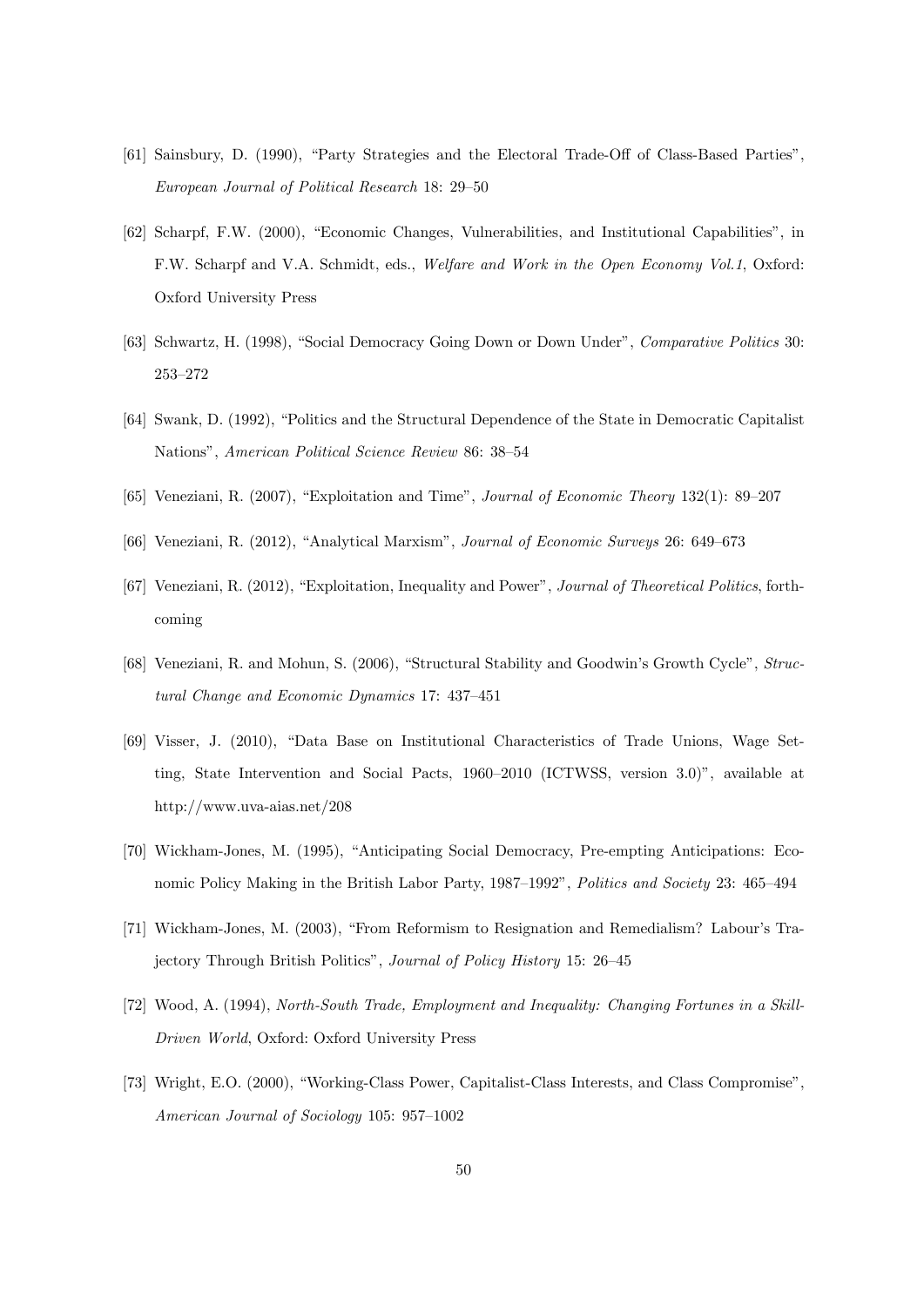- [61] Sainsbury, D. (1990), "Party Strategies and the Electoral Trade-Off of Class-Based Parties", European Journal of Political Research 18: 29–50
- [62] Scharpf, F.W. (2000), "Economic Changes, Vulnerabilities, and Institutional Capabilities", in F.W. Scharpf and V.A. Schmidt, eds., Welfare and Work in the Open Economy Vol.1, Oxford: Oxford University Press
- [63] Schwartz, H. (1998), "Social Democracy Going Down or Down Under", Comparative Politics 30: 253-272
- [64] Swank, D. (1992), "Politics and the Structural Dependence of the State in Democratic Capitalist Nations", American Political Science Review 86: 38-54
- [65] Veneziani, R. (2007), "Exploitation and Time", *Journal of Economic Theory* 132(1): 89–207
- [66] Veneziani, R. (2012), "Analytical Marxism", Journal of Economic Surveys 26: 649–673
- [67] Veneziani, R. (2012), "Exploitation, Inequality and Power", *Journal of Theoretical Politics*, forthcoming
- [68] Veneziani, R. and Mohun, S. (2006), "Structural Stability and Goodwin's Growth Cycle", Structural Change and Economic Dynamics 17:  $437-451$
- [69] Visser, J. (2010), "Data Base on Institutional Characteristics of Trade Unions, Wage Setting, State Intervention and Social Pacts,  $1960-2010$  (ICTWSS, version 3.0)<sup>n</sup>, available at http://www.uva-aias.net/208
- [70] Wickham-Jones, M. (1995), "Anticipating Social Democracy, Pre-empting Anticipations: Economic Policy Making in the British Labor Party, 1987–1992", Politics and Society 23: 465–494
- [71] Wickham-Jones, M. (2003), "From Reformism to Resignation and Remedialism? Labour's Trajectory Through British Politics", Journal of Policy History 15: 26–45
- [72] Wood, A. (1994), North-South Trade, Employment and Inequality: Changing Fortunes in a Skill-Driven World, Oxford: Oxford University Press
- [73] Wright, E.O. (2000), "Working-Class Power, Capitalist-Class Interests, and Class Compromise", American Journal of Sociology 105:  $957-1002$